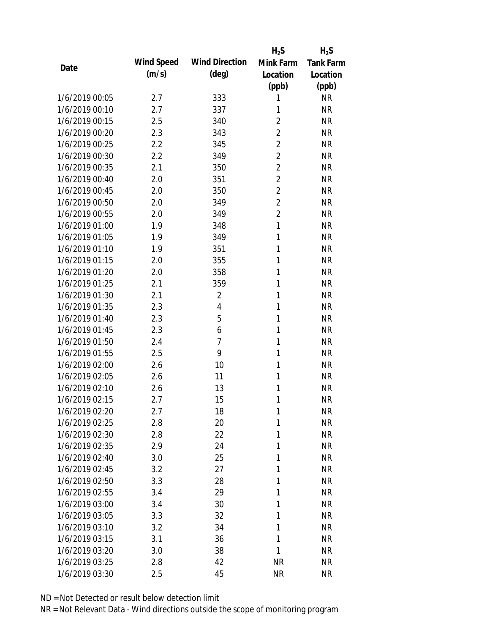|                |            |                       | $H_2S$         | $H_2S$           |
|----------------|------------|-----------------------|----------------|------------------|
| Date           | Wind Speed | <b>Wind Direction</b> | Mink Farm      | <b>Tank Farm</b> |
|                | (m/s)      | $(\text{deg})$        | Location       | Location         |
|                |            |                       | (ppb)          | (ppb)            |
| 1/6/2019 00:05 | 2.7        | 333                   | 1              | <b>NR</b>        |
| 1/6/2019 00:10 | 2.7        | 337                   | 1              | <b>NR</b>        |
| 1/6/2019 00:15 | 2.5        | 340                   | $\overline{2}$ | <b>NR</b>        |
| 1/6/2019 00:20 | 2.3        | 343                   | $\overline{2}$ | <b>NR</b>        |
| 1/6/2019 00:25 | 2.2        | 345                   | $\overline{2}$ | <b>NR</b>        |
| 1/6/2019 00:30 | 2.2        | 349                   | $\overline{2}$ | <b>NR</b>        |
| 1/6/2019 00:35 | 2.1        | 350                   | $\overline{2}$ | <b>NR</b>        |
| 1/6/2019 00:40 | 2.0        | 351                   | $\overline{2}$ | <b>NR</b>        |
| 1/6/2019 00:45 | 2.0        | 350                   | $\overline{2}$ | <b>NR</b>        |
| 1/6/2019 00:50 | 2.0        | 349                   | $\overline{2}$ | <b>NR</b>        |
| 1/6/2019 00:55 | 2.0        | 349                   | $\overline{2}$ | <b>NR</b>        |
| 1/6/2019 01:00 | 1.9        | 348                   | $\mathbf{1}$   | <b>NR</b>        |
| 1/6/2019 01:05 | 1.9        | 349                   | 1              | <b>NR</b>        |
| 1/6/2019 01:10 | 1.9        | 351                   | 1              | <b>NR</b>        |
| 1/6/2019 01:15 | 2.0        | 355                   | 1              | <b>NR</b>        |
| 1/6/2019 01:20 | 2.0        | 358                   | 1              | <b>NR</b>        |
| 1/6/2019 01:25 | 2.1        | 359                   | 1              | <b>NR</b>        |
| 1/6/2019 01:30 | 2.1        | $\overline{2}$        | 1              | <b>NR</b>        |
| 1/6/2019 01:35 | 2.3        | $\overline{4}$        | $\mathbf{1}$   | <b>NR</b>        |
| 1/6/2019 01:40 | 2.3        | 5                     | 1              | <b>NR</b>        |
| 1/6/2019 01:45 | 2.3        | 6                     | 1              | <b>NR</b>        |
| 1/6/2019 01:50 | 2.4        | $\overline{7}$        | 1              | <b>NR</b>        |
| 1/6/2019 01:55 | 2.5        | 9                     | 1              | <b>NR</b>        |
| 1/6/2019 02:00 | 2.6        | 10                    | 1              | <b>NR</b>        |
| 1/6/2019 02:05 | 2.6        | 11                    | 1              | <b>NR</b>        |
| 1/6/2019 02:10 | 2.6        | 13                    | 1              | <b>NR</b>        |
| 1/6/2019 02:15 | 2.7        | 15                    | 1              | <b>NR</b>        |
| 1/6/2019 02:20 | 2.7        | 18                    | 1              | <b>NR</b>        |
| 1/6/2019 02:25 | 2.8        | 20                    | 1              | <b>NR</b>        |
| 1/6/2019 02:30 | 2.8        | 22                    | 1              | <b>NR</b>        |
| 1/6/2019 02:35 | 2.9        | 24                    | 1              | <b>NR</b>        |
| 1/6/2019 02:40 | 3.0        | 25                    | 1              | <b>NR</b>        |
| 1/6/2019 02:45 | 3.2        | 27                    | 1              | <b>NR</b>        |
| 1/6/2019 02:50 | 3.3        | 28                    | 1              | <b>NR</b>        |
| 1/6/2019 02:55 | 3.4        | 29                    | 1              | <b>NR</b>        |
| 1/6/2019 03:00 | 3.4        | 30                    | 1              | <b>NR</b>        |
| 1/6/2019 03:05 | 3.3        | 32                    | 1              | <b>NR</b>        |
| 1/6/2019 03:10 | 3.2        | 34                    | 1              | <b>NR</b>        |
| 1/6/2019 03:15 | 3.1        | 36                    | 1              | <b>NR</b>        |
| 1/6/2019 03:20 | 3.0        | 38                    | 1              | <b>NR</b>        |
| 1/6/2019 03:25 | 2.8        | 42                    | <b>NR</b>      | <b>NR</b>        |
| 1/6/2019 03:30 | 2.5        | 45                    | <b>NR</b>      | <b>NR</b>        |
|                |            |                       |                |                  |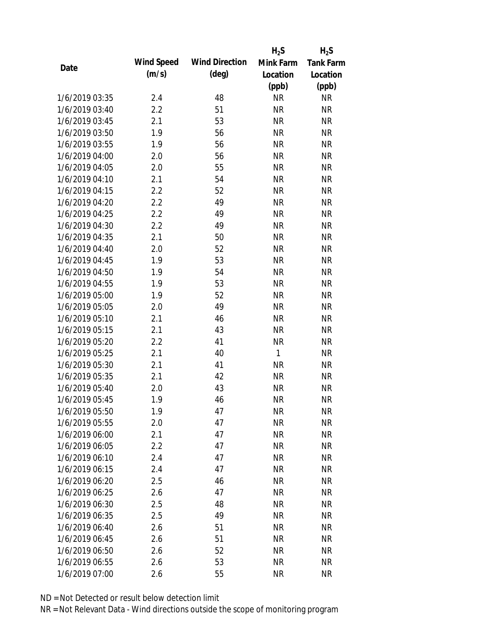|                |            |                       | $H_2S$       | $H_2S$           |
|----------------|------------|-----------------------|--------------|------------------|
| Date           | Wind Speed | <b>Wind Direction</b> | Mink Farm    | <b>Tank Farm</b> |
|                | (m/s)      | $(\text{deg})$        | Location     | Location         |
|                |            |                       | (ppb)        | (ppb)            |
| 1/6/2019 03:35 | 2.4        | 48                    | <b>NR</b>    | <b>NR</b>        |
| 1/6/2019 03:40 | 2.2        | 51                    | <b>NR</b>    | <b>NR</b>        |
| 1/6/2019 03:45 | 2.1        | 53                    | <b>NR</b>    | <b>NR</b>        |
| 1/6/2019 03:50 | 1.9        | 56                    | <b>NR</b>    | <b>NR</b>        |
| 1/6/2019 03:55 | 1.9        | 56                    | <b>NR</b>    | <b>NR</b>        |
| 1/6/2019 04:00 | 2.0        | 56                    | <b>NR</b>    | <b>NR</b>        |
| 1/6/2019 04:05 | 2.0        | 55                    | <b>NR</b>    | <b>NR</b>        |
| 1/6/2019 04:10 | 2.1        | 54                    | <b>NR</b>    | <b>NR</b>        |
| 1/6/2019 04:15 | 2.2        | 52                    | <b>NR</b>    | <b>NR</b>        |
| 1/6/2019 04:20 | 2.2        | 49                    | <b>NR</b>    | <b>NR</b>        |
| 1/6/2019 04:25 | 2.2        | 49                    | <b>NR</b>    | <b>NR</b>        |
| 1/6/2019 04:30 | 2.2        | 49                    | <b>NR</b>    | <b>NR</b>        |
| 1/6/2019 04:35 | 2.1        | 50                    | <b>NR</b>    | <b>NR</b>        |
| 1/6/2019 04:40 | 2.0        | 52                    | <b>NR</b>    | <b>NR</b>        |
| 1/6/2019 04:45 | 1.9        | 53                    | <b>NR</b>    | <b>NR</b>        |
| 1/6/2019 04:50 | 1.9        | 54                    | <b>NR</b>    | <b>NR</b>        |
| 1/6/2019 04:55 | 1.9        | 53                    | <b>NR</b>    | <b>NR</b>        |
| 1/6/2019 05:00 | 1.9        | 52                    | <b>NR</b>    | <b>NR</b>        |
| 1/6/2019 05:05 | 2.0        | 49                    | <b>NR</b>    | <b>NR</b>        |
| 1/6/2019 05:10 | 2.1        | 46                    | <b>NR</b>    | <b>NR</b>        |
| 1/6/2019 05:15 | 2.1        | 43                    | <b>NR</b>    | <b>NR</b>        |
| 1/6/2019 05:20 | 2.2        | 41                    | <b>NR</b>    | <b>NR</b>        |
| 1/6/2019 05:25 | 2.1        | 40                    | $\mathbf{1}$ | <b>NR</b>        |
| 1/6/2019 05:30 | 2.1        | 41                    | <b>NR</b>    | <b>NR</b>        |
| 1/6/2019 05:35 | 2.1        | 42                    | <b>NR</b>    | <b>NR</b>        |
| 1/6/2019 05:40 | 2.0        | 43                    | <b>NR</b>    | <b>NR</b>        |
| 1/6/2019 05:45 | 1.9        | 46                    | <b>NR</b>    | <b>NR</b>        |
| 1/6/2019 05:50 | 1.9        | 47                    | <b>NR</b>    | <b>NR</b>        |
| 1/6/2019 05:55 | 2.0        | 47                    | <b>NR</b>    | <b>NR</b>        |
| 1/6/2019 06:00 | 2.1        | 47                    | <b>NR</b>    | <b>NR</b>        |
| 1/6/2019 06:05 | 2.2        | 47                    | <b>NR</b>    | <b>NR</b>        |
| 1/6/2019 06:10 | 2.4        | 47                    | <b>NR</b>    | <b>NR</b>        |
| 1/6/2019 06:15 | 2.4        | 47                    | <b>NR</b>    | <b>NR</b>        |
| 1/6/2019 06:20 | 2.5        | 46                    | <b>NR</b>    | <b>NR</b>        |
| 1/6/2019 06:25 | 2.6        | 47                    | <b>NR</b>    | <b>NR</b>        |
| 1/6/2019 06:30 | 2.5        | 48                    | <b>NR</b>    | <b>NR</b>        |
| 1/6/2019 06:35 | 2.5        | 49                    | <b>NR</b>    | <b>NR</b>        |
| 1/6/2019 06:40 | 2.6        | 51                    | <b>NR</b>    | <b>NR</b>        |
| 1/6/2019 06:45 | 2.6        | 51                    | <b>NR</b>    | <b>NR</b>        |
| 1/6/2019 06:50 | 2.6        | 52                    | <b>NR</b>    | <b>NR</b>        |
| 1/6/2019 06:55 | 2.6        | 53                    | <b>NR</b>    | <b>NR</b>        |
| 1/6/2019 07:00 | 2.6        | 55                    | <b>NR</b>    | <b>NR</b>        |
|                |            |                       |              |                  |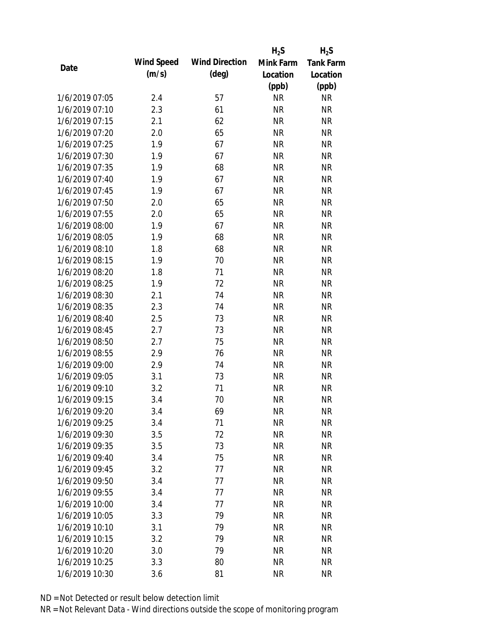|                |            |                       | $H_2S$    | $H_2S$           |
|----------------|------------|-----------------------|-----------|------------------|
| Date           | Wind Speed | <b>Wind Direction</b> | Mink Farm | <b>Tank Farm</b> |
|                | (m/s)      | $(\text{deg})$        | Location  | Location         |
|                |            |                       | (ppb)     | (ppb)            |
| 1/6/2019 07:05 | 2.4        | 57                    | <b>NR</b> | <b>NR</b>        |
| 1/6/2019 07:10 | 2.3        | 61                    | <b>NR</b> | <b>NR</b>        |
| 1/6/2019 07:15 | 2.1        | 62                    | <b>NR</b> | <b>NR</b>        |
| 1/6/2019 07:20 | 2.0        | 65                    | <b>NR</b> | <b>NR</b>        |
| 1/6/2019 07:25 | 1.9        | 67                    | <b>NR</b> | <b>NR</b>        |
| 1/6/2019 07:30 | 1.9        | 67                    | <b>NR</b> | <b>NR</b>        |
| 1/6/2019 07:35 | 1.9        | 68                    | <b>NR</b> | <b>NR</b>        |
| 1/6/2019 07:40 | 1.9        | 67                    | <b>NR</b> | <b>NR</b>        |
| 1/6/2019 07:45 | 1.9        | 67                    | <b>NR</b> | <b>NR</b>        |
| 1/6/2019 07:50 | 2.0        | 65                    | <b>NR</b> | <b>NR</b>        |
| 1/6/2019 07:55 | 2.0        | 65                    | <b>NR</b> | <b>NR</b>        |
| 1/6/2019 08:00 | 1.9        | 67                    | <b>NR</b> | <b>NR</b>        |
| 1/6/2019 08:05 | 1.9        | 68                    | <b>NR</b> | <b>NR</b>        |
| 1/6/2019 08:10 | 1.8        | 68                    | <b>NR</b> | <b>NR</b>        |
| 1/6/2019 08:15 | 1.9        | 70                    | <b>NR</b> | <b>NR</b>        |
| 1/6/2019 08:20 | 1.8        | 71                    | <b>NR</b> | <b>NR</b>        |
| 1/6/2019 08:25 | 1.9        | 72                    | <b>NR</b> | <b>NR</b>        |
| 1/6/2019 08:30 | 2.1        | 74                    | <b>NR</b> | <b>NR</b>        |
| 1/6/2019 08:35 | 2.3        | 74                    | <b>NR</b> | <b>NR</b>        |
| 1/6/2019 08:40 | 2.5        | 73                    | <b>NR</b> | <b>NR</b>        |
| 1/6/2019 08:45 | 2.7        | 73                    | <b>NR</b> | <b>NR</b>        |
| 1/6/2019 08:50 | 2.7        | 75                    | <b>NR</b> | <b>NR</b>        |
| 1/6/2019 08:55 | 2.9        | 76                    | <b>NR</b> | <b>NR</b>        |
| 1/6/2019 09:00 | 2.9        | 74                    | <b>NR</b> | <b>NR</b>        |
| 1/6/2019 09:05 | 3.1        | 73                    | <b>NR</b> | <b>NR</b>        |
| 1/6/2019 09:10 | 3.2        | 71                    | <b>NR</b> | <b>NR</b>        |
| 1/6/2019 09:15 | 3.4        | 70                    | <b>NR</b> | <b>NR</b>        |
| 1/6/2019 09:20 | 3.4        | 69                    | <b>NR</b> | <b>NR</b>        |
| 1/6/2019 09:25 | 3.4        | 71                    | <b>NR</b> | <b>NR</b>        |
| 1/6/2019 09:30 | 3.5        | 72                    | <b>NR</b> | <b>NR</b>        |
| 1/6/2019 09:35 | 3.5        | 73                    | <b>NR</b> | <b>NR</b>        |
| 1/6/2019 09:40 | 3.4        | 75                    | <b>NR</b> | <b>NR</b>        |
| 1/6/2019 09:45 | 3.2        | 77                    | <b>NR</b> | <b>NR</b>        |
| 1/6/2019 09:50 | 3.4        | 77                    | <b>NR</b> | <b>NR</b>        |
| 1/6/2019 09:55 | 3.4        | 77                    | <b>NR</b> | <b>NR</b>        |
| 1/6/2019 10:00 | 3.4        | 77                    | <b>NR</b> | <b>NR</b>        |
| 1/6/2019 10:05 | 3.3        | 79                    | <b>NR</b> | <b>NR</b>        |
| 1/6/2019 10:10 | 3.1        | 79                    | <b>NR</b> | <b>NR</b>        |
| 1/6/2019 10:15 | 3.2        | 79                    | <b>NR</b> | <b>NR</b>        |
| 1/6/2019 10:20 | 3.0        | 79                    | <b>NR</b> | <b>NR</b>        |
| 1/6/2019 10:25 | 3.3        | 80                    | <b>NR</b> | <b>NR</b>        |
| 1/6/2019 10:30 | 3.6        | 81                    | <b>NR</b> | <b>NR</b>        |
|                |            |                       |           |                  |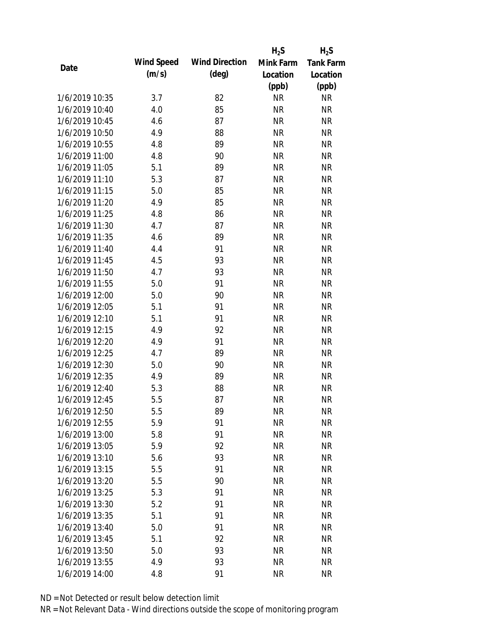|                |            |                       | $H_2S$    | $H_2S$           |
|----------------|------------|-----------------------|-----------|------------------|
| Date           | Wind Speed | <b>Wind Direction</b> | Mink Farm | <b>Tank Farm</b> |
|                | (m/s)      | $(\text{deg})$        | Location  | Location         |
|                |            |                       | (ppb)     | (ppb)            |
| 1/6/2019 10:35 | 3.7        | 82                    | <b>NR</b> | <b>NR</b>        |
| 1/6/2019 10:40 | 4.0        | 85                    | <b>NR</b> | <b>NR</b>        |
| 1/6/2019 10:45 | 4.6        | 87                    | <b>NR</b> | <b>NR</b>        |
| 1/6/2019 10:50 | 4.9        | 88                    | <b>NR</b> | <b>NR</b>        |
| 1/6/2019 10:55 | 4.8        | 89                    | <b>NR</b> | <b>NR</b>        |
| 1/6/2019 11:00 | 4.8        | 90                    | <b>NR</b> | <b>NR</b>        |
| 1/6/2019 11:05 | 5.1        | 89                    | <b>NR</b> | <b>NR</b>        |
| 1/6/2019 11:10 | 5.3        | 87                    | <b>NR</b> | <b>NR</b>        |
| 1/6/2019 11:15 | 5.0        | 85                    | <b>NR</b> | <b>NR</b>        |
| 1/6/2019 11:20 | 4.9        | 85                    | <b>NR</b> | <b>NR</b>        |
| 1/6/2019 11:25 | 4.8        | 86                    | <b>NR</b> | <b>NR</b>        |
| 1/6/2019 11:30 | 4.7        | 87                    | <b>NR</b> | <b>NR</b>        |
| 1/6/2019 11:35 | 4.6        | 89                    | <b>NR</b> | <b>NR</b>        |
| 1/6/2019 11:40 | 4.4        | 91                    | <b>NR</b> | <b>NR</b>        |
| 1/6/2019 11:45 | 4.5        | 93                    | <b>NR</b> | <b>NR</b>        |
| 1/6/2019 11:50 | 4.7        | 93                    | <b>NR</b> | <b>NR</b>        |
| 1/6/2019 11:55 | 5.0        | 91                    | <b>NR</b> | <b>NR</b>        |
| 1/6/2019 12:00 | 5.0        | 90                    | <b>NR</b> | <b>NR</b>        |
| 1/6/2019 12:05 | 5.1        | 91                    | <b>NR</b> | <b>NR</b>        |
| 1/6/2019 12:10 | 5.1        | 91                    | <b>NR</b> | <b>NR</b>        |
| 1/6/2019 12:15 | 4.9        | 92                    | <b>NR</b> | <b>NR</b>        |
| 1/6/2019 12:20 | 4.9        | 91                    | <b>NR</b> | <b>NR</b>        |
| 1/6/2019 12:25 | 4.7        | 89                    | <b>NR</b> | <b>NR</b>        |
| 1/6/2019 12:30 | 5.0        | 90                    | <b>NR</b> | <b>NR</b>        |
| 1/6/2019 12:35 | 4.9        | 89                    | <b>NR</b> | <b>NR</b>        |
| 1/6/2019 12:40 | 5.3        | 88                    | <b>NR</b> | <b>NR</b>        |
| 1/6/2019 12:45 | 5.5        | 87                    | <b>NR</b> | <b>NR</b>        |
| 1/6/2019 12:50 | 5.5        | 89                    | <b>NR</b> | <b>NR</b>        |
| 1/6/2019 12:55 | 5.9        | 91                    | <b>NR</b> | <b>NR</b>        |
| 1/6/2019 13:00 | 5.8        | 91                    | <b>NR</b> | <b>NR</b>        |
| 1/6/2019 13:05 | 5.9        | 92                    | <b>NR</b> | <b>NR</b>        |
| 1/6/2019 13:10 | 5.6        | 93                    | <b>NR</b> | <b>NR</b>        |
| 1/6/2019 13:15 | 5.5        | 91                    | <b>NR</b> | <b>NR</b>        |
| 1/6/2019 13:20 | 5.5        | 90                    | <b>NR</b> | <b>NR</b>        |
| 1/6/2019 13:25 | 5.3        | 91                    | <b>NR</b> | <b>NR</b>        |
| 1/6/2019 13:30 | 5.2        | 91                    | <b>NR</b> | <b>NR</b>        |
| 1/6/2019 13:35 | 5.1        | 91                    | <b>NR</b> | <b>NR</b>        |
| 1/6/2019 13:40 | 5.0        | 91                    | <b>NR</b> | <b>NR</b>        |
| 1/6/2019 13:45 | 5.1        | 92                    | <b>NR</b> | <b>NR</b>        |
| 1/6/2019 13:50 | 5.0        | 93                    | <b>NR</b> | <b>NR</b>        |
| 1/6/2019 13:55 | 4.9        | 93                    | <b>NR</b> | <b>NR</b>        |
| 1/6/2019 14:00 | 4.8        | 91                    | <b>NR</b> | <b>NR</b>        |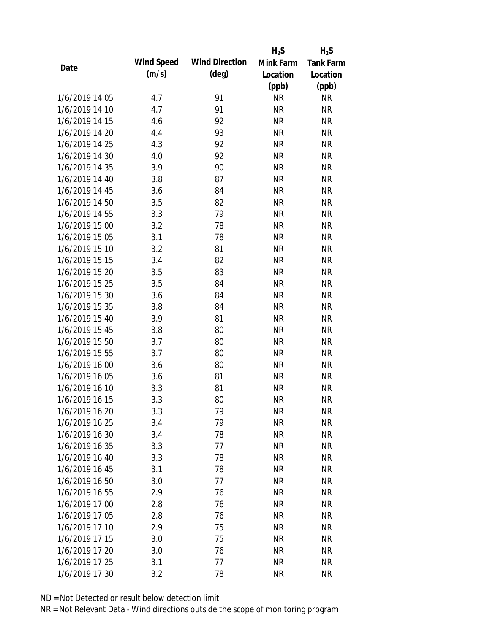|                |            |                       | $H_2S$    | $H_2S$           |
|----------------|------------|-----------------------|-----------|------------------|
| Date           | Wind Speed | <b>Wind Direction</b> | Mink Farm | <b>Tank Farm</b> |
|                | (m/s)      | $(\text{deg})$        | Location  | Location         |
|                |            |                       | (ppb)     | (ppb)            |
| 1/6/2019 14:05 | 4.7        | 91                    | <b>NR</b> | <b>NR</b>        |
| 1/6/2019 14:10 | 4.7        | 91                    | <b>NR</b> | <b>NR</b>        |
| 1/6/2019 14:15 | 4.6        | 92                    | <b>NR</b> | <b>NR</b>        |
| 1/6/2019 14:20 | 4.4        | 93                    | <b>NR</b> | <b>NR</b>        |
| 1/6/2019 14:25 | 4.3        | 92                    | <b>NR</b> | <b>NR</b>        |
| 1/6/2019 14:30 | 4.0        | 92                    | <b>NR</b> | <b>NR</b>        |
| 1/6/2019 14:35 | 3.9        | 90                    | <b>NR</b> | <b>NR</b>        |
| 1/6/2019 14:40 | 3.8        | 87                    | <b>NR</b> | <b>NR</b>        |
| 1/6/2019 14:45 | 3.6        | 84                    | <b>NR</b> | <b>NR</b>        |
| 1/6/2019 14:50 | 3.5        | 82                    | <b>NR</b> | <b>NR</b>        |
| 1/6/2019 14:55 | 3.3        | 79                    | <b>NR</b> | <b>NR</b>        |
| 1/6/2019 15:00 | 3.2        | 78                    | <b>NR</b> | <b>NR</b>        |
| 1/6/2019 15:05 | 3.1        | 78                    | <b>NR</b> | <b>NR</b>        |
| 1/6/2019 15:10 | 3.2        | 81                    | <b>NR</b> | <b>NR</b>        |
| 1/6/2019 15:15 | 3.4        | 82                    | <b>NR</b> | <b>NR</b>        |
| 1/6/2019 15:20 | 3.5        | 83                    | <b>NR</b> | <b>NR</b>        |
| 1/6/2019 15:25 | 3.5        | 84                    | <b>NR</b> | <b>NR</b>        |
| 1/6/2019 15:30 | 3.6        | 84                    | <b>NR</b> | <b>NR</b>        |
| 1/6/2019 15:35 | 3.8        | 84                    | <b>NR</b> | <b>NR</b>        |
| 1/6/2019 15:40 | 3.9        | 81                    | <b>NR</b> | <b>NR</b>        |
| 1/6/2019 15:45 | 3.8        | 80                    | <b>NR</b> | <b>NR</b>        |
| 1/6/2019 15:50 | 3.7        | 80                    | <b>NR</b> | <b>NR</b>        |
| 1/6/2019 15:55 | 3.7        | 80                    | <b>NR</b> | <b>NR</b>        |
| 1/6/2019 16:00 | 3.6        | 80                    | <b>NR</b> | <b>NR</b>        |
| 1/6/2019 16:05 | 3.6        | 81                    | <b>NR</b> | <b>NR</b>        |
| 1/6/2019 16:10 | 3.3        | 81                    | <b>NR</b> | <b>NR</b>        |
| 1/6/2019 16:15 | 3.3        | 80                    | <b>NR</b> | <b>NR</b>        |
| 1/6/2019 16:20 | 3.3        | 79                    | <b>NR</b> | <b>NR</b>        |
| 1/6/2019 16:25 | 3.4        | 79                    | <b>NR</b> | <b>NR</b>        |
| 1/6/2019 16:30 | 3.4        | 78                    | <b>NR</b> | <b>NR</b>        |
| 1/6/2019 16:35 | 3.3        | 77                    | <b>NR</b> | <b>NR</b>        |
| 1/6/2019 16:40 | 3.3        | 78                    | <b>NR</b> | <b>NR</b>        |
| 1/6/2019 16:45 | 3.1        | 78                    | <b>NR</b> | <b>NR</b>        |
| 1/6/2019 16:50 | 3.0        | 77                    | <b>NR</b> | <b>NR</b>        |
| 1/6/2019 16:55 | 2.9        | 76                    | <b>NR</b> | <b>NR</b>        |
| 1/6/2019 17:00 | 2.8        | 76                    | <b>NR</b> | <b>NR</b>        |
| 1/6/2019 17:05 | 2.8        | 76                    | <b>NR</b> | <b>NR</b>        |
| 1/6/2019 17:10 | 2.9        | 75                    | NR        | <b>NR</b>        |
| 1/6/2019 17:15 | 3.0        | 75                    | <b>NR</b> | <b>NR</b>        |
| 1/6/2019 17:20 | 3.0        | 76                    | <b>NR</b> | <b>NR</b>        |
| 1/6/2019 17:25 | 3.1        | 77                    | <b>NR</b> | <b>NR</b>        |
| 1/6/2019 17:30 | 3.2        | 78                    | <b>NR</b> | <b>NR</b>        |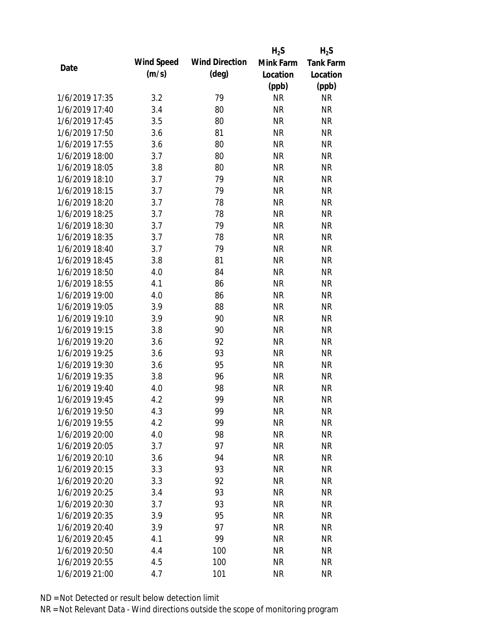|                |            |                       | $H_2S$    | $H_2S$           |
|----------------|------------|-----------------------|-----------|------------------|
| Date           | Wind Speed | <b>Wind Direction</b> | Mink Farm | <b>Tank Farm</b> |
|                | (m/s)      | $(\text{deg})$        | Location  | Location         |
|                |            |                       | (ppb)     | (ppb)            |
| 1/6/2019 17:35 | 3.2        | 79                    | <b>NR</b> | <b>NR</b>        |
| 1/6/2019 17:40 | 3.4        | 80                    | <b>NR</b> | <b>NR</b>        |
| 1/6/2019 17:45 | 3.5        | 80                    | <b>NR</b> | <b>NR</b>        |
| 1/6/2019 17:50 | 3.6        | 81                    | <b>NR</b> | <b>NR</b>        |
| 1/6/2019 17:55 | 3.6        | 80                    | <b>NR</b> | <b>NR</b>        |
| 1/6/2019 18:00 | 3.7        | 80                    | <b>NR</b> | <b>NR</b>        |
| 1/6/2019 18:05 | 3.8        | 80                    | <b>NR</b> | <b>NR</b>        |
| 1/6/2019 18:10 | 3.7        | 79                    | <b>NR</b> | <b>NR</b>        |
| 1/6/2019 18:15 | 3.7        | 79                    | <b>NR</b> | <b>NR</b>        |
| 1/6/2019 18:20 | 3.7        | 78                    | <b>NR</b> | <b>NR</b>        |
| 1/6/2019 18:25 | 3.7        | 78                    | <b>NR</b> | <b>NR</b>        |
| 1/6/2019 18:30 | 3.7        | 79                    | <b>NR</b> | <b>NR</b>        |
| 1/6/2019 18:35 | 3.7        | 78                    | <b>NR</b> | <b>NR</b>        |
| 1/6/2019 18:40 | 3.7        | 79                    | <b>NR</b> | <b>NR</b>        |
| 1/6/2019 18:45 | 3.8        | 81                    | <b>NR</b> | <b>NR</b>        |
| 1/6/2019 18:50 | 4.0        | 84                    | <b>NR</b> | <b>NR</b>        |
| 1/6/2019 18:55 | 4.1        | 86                    | <b>NR</b> | <b>NR</b>        |
| 1/6/2019 19:00 | 4.0        | 86                    | <b>NR</b> | <b>NR</b>        |
| 1/6/2019 19:05 | 3.9        | 88                    | <b>NR</b> | <b>NR</b>        |
| 1/6/2019 19:10 | 3.9        | 90                    | <b>NR</b> | <b>NR</b>        |
| 1/6/2019 19:15 | 3.8        | 90                    | <b>NR</b> | <b>NR</b>        |
| 1/6/2019 19:20 | 3.6        | 92                    | <b>NR</b> | <b>NR</b>        |
| 1/6/2019 19:25 | 3.6        | 93                    | <b>NR</b> | <b>NR</b>        |
| 1/6/2019 19:30 | 3.6        | 95                    | <b>NR</b> | <b>NR</b>        |
| 1/6/2019 19:35 | 3.8        | 96                    | <b>NR</b> | <b>NR</b>        |
| 1/6/2019 19:40 | 4.0        | 98                    | <b>NR</b> | <b>NR</b>        |
| 1/6/2019 19:45 | 4.2        | 99                    | <b>NR</b> | <b>NR</b>        |
| 1/6/2019 19:50 | 4.3        | 99                    | <b>NR</b> | <b>NR</b>        |
| 1/6/2019 19:55 | 4.2        | 99                    | <b>NR</b> | <b>NR</b>        |
| 1/6/2019 20:00 | 4.0        | 98                    | <b>NR</b> | <b>NR</b>        |
| 1/6/2019 20:05 | 3.7        | 97                    | <b>NR</b> | <b>NR</b>        |
| 1/6/2019 20:10 | 3.6        | 94                    | <b>NR</b> | <b>NR</b>        |
| 1/6/2019 20:15 | 3.3        | 93                    | <b>NR</b> | <b>NR</b>        |
| 1/6/2019 20:20 | 3.3        | 92                    | <b>NR</b> | <b>NR</b>        |
| 1/6/2019 20:25 | 3.4        | 93                    | <b>NR</b> | <b>NR</b>        |
| 1/6/2019 20:30 | 3.7        | 93                    | <b>NR</b> | <b>NR</b>        |
| 1/6/2019 20:35 | 3.9        | 95                    | <b>NR</b> | <b>NR</b>        |
| 1/6/2019 20:40 | 3.9        | 97                    | <b>NR</b> | <b>NR</b>        |
| 1/6/2019 20:45 | 4.1        | 99                    | <b>NR</b> | <b>NR</b>        |
| 1/6/2019 20:50 | 4.4        | 100                   | <b>NR</b> | <b>NR</b>        |
| 1/6/2019 20:55 | 4.5        | 100                   | <b>NR</b> | <b>NR</b>        |
| 1/6/2019 21:00 | 4.7        | 101                   | <b>NR</b> | <b>NR</b>        |
|                |            |                       |           |                  |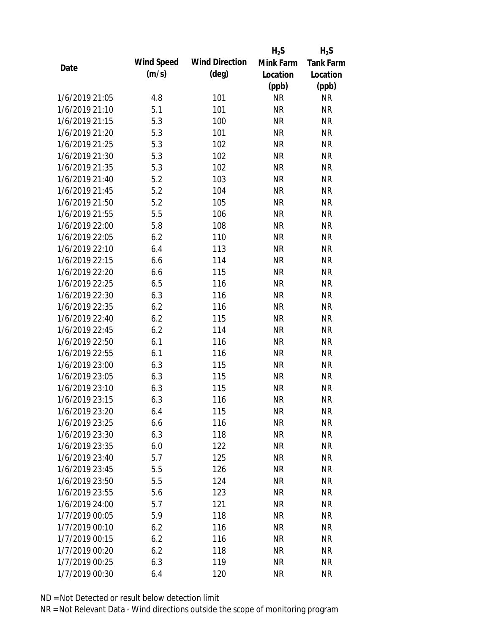|                |            |                       | $H_2S$    | $H_2S$           |
|----------------|------------|-----------------------|-----------|------------------|
|                | Wind Speed | <b>Wind Direction</b> | Mink Farm | <b>Tank Farm</b> |
| Date           | (m/s)      | $(\text{deg})$        | Location  | Location         |
|                |            |                       | (ppb)     | (ppb)            |
| 1/6/2019 21:05 | 4.8        | 101                   | <b>NR</b> | <b>NR</b>        |
| 1/6/2019 21:10 | 5.1        | 101                   | <b>NR</b> | <b>NR</b>        |
| 1/6/2019 21:15 | 5.3        | 100                   | <b>NR</b> | <b>NR</b>        |
| 1/6/2019 21:20 | 5.3        | 101                   | <b>NR</b> | <b>NR</b>        |
| 1/6/2019 21:25 | 5.3        | 102                   | <b>NR</b> | <b>NR</b>        |
| 1/6/2019 21:30 | 5.3        | 102                   | <b>NR</b> | <b>NR</b>        |
| 1/6/2019 21:35 | 5.3        | 102                   | <b>NR</b> | <b>NR</b>        |
| 1/6/2019 21:40 | 5.2        | 103                   | <b>NR</b> | <b>NR</b>        |
| 1/6/2019 21:45 | 5.2        | 104                   | <b>NR</b> | <b>NR</b>        |
| 1/6/2019 21:50 | 5.2        | 105                   | <b>NR</b> | <b>NR</b>        |
| 1/6/2019 21:55 | 5.5        | 106                   | <b>NR</b> | <b>NR</b>        |
| 1/6/2019 22:00 | 5.8        | 108                   | <b>NR</b> | <b>NR</b>        |
| 1/6/2019 22:05 | 6.2        | 110                   | <b>NR</b> | <b>NR</b>        |
| 1/6/2019 22:10 | 6.4        | 113                   | <b>NR</b> | <b>NR</b>        |
| 1/6/2019 22:15 | 6.6        | 114                   | <b>NR</b> | <b>NR</b>        |
| 1/6/2019 22:20 | 6.6        | 115                   | <b>NR</b> | <b>NR</b>        |
| 1/6/2019 22:25 | 6.5        | 116                   | <b>NR</b> | <b>NR</b>        |
| 1/6/2019 22:30 | 6.3        | 116                   | <b>NR</b> | <b>NR</b>        |
| 1/6/2019 22:35 | 6.2        | 116                   | <b>NR</b> | <b>NR</b>        |
| 1/6/2019 22:40 | 6.2        | 115                   | <b>NR</b> | <b>NR</b>        |
| 1/6/2019 22:45 | 6.2        | 114                   | <b>NR</b> | <b>NR</b>        |
| 1/6/2019 22:50 | 6.1        | 116                   | <b>NR</b> | <b>NR</b>        |
| 1/6/2019 22:55 | 6.1        | 116                   | <b>NR</b> | <b>NR</b>        |
| 1/6/2019 23:00 | 6.3        | 115                   | <b>NR</b> | <b>NR</b>        |
| 1/6/2019 23:05 | 6.3        | 115                   | <b>NR</b> | <b>NR</b>        |
| 1/6/2019 23:10 | 6.3        | 115                   | <b>NR</b> | <b>NR</b>        |
| 1/6/2019 23:15 | 6.3        | 116                   | <b>NR</b> | <b>NR</b>        |
| 1/6/2019 23:20 | 6.4        | 115                   | <b>NR</b> | <b>NR</b>        |
| 1/6/2019 23:25 | 6.6        | 116                   | <b>NR</b> | <b>NR</b>        |
| 1/6/2019 23:30 | 6.3        | 118                   | <b>NR</b> | <b>NR</b>        |
| 1/6/2019 23:35 | 6.0        | 122                   | <b>NR</b> | <b>NR</b>        |
| 1/6/2019 23:40 | 5.7        | 125                   | <b>NR</b> | <b>NR</b>        |
| 1/6/2019 23:45 | 5.5        | 126                   | <b>NR</b> | <b>NR</b>        |
| 1/6/2019 23:50 | 5.5        | 124                   | <b>NR</b> | <b>NR</b>        |
| 1/6/2019 23:55 | 5.6        | 123                   | <b>NR</b> | <b>NR</b>        |
| 1/6/2019 24:00 | 5.7        | 121                   | <b>NR</b> | <b>NR</b>        |
| 1/7/2019 00:05 | 5.9        | 118                   | <b>NR</b> | <b>NR</b>        |
| 1/7/2019 00:10 | 6.2        | 116                   | <b>NR</b> | <b>NR</b>        |
| 1/7/2019 00:15 | 6.2        | 116                   | <b>NR</b> | <b>NR</b>        |
| 1/7/2019 00:20 | 6.2        | 118                   | <b>NR</b> | <b>NR</b>        |
| 1/7/2019 00:25 | 6.3        | 119                   | <b>NR</b> | <b>NR</b>        |
| 1/7/2019 00:30 | 6.4        | 120                   | <b>NR</b> | <b>NR</b>        |
|                |            |                       |           |                  |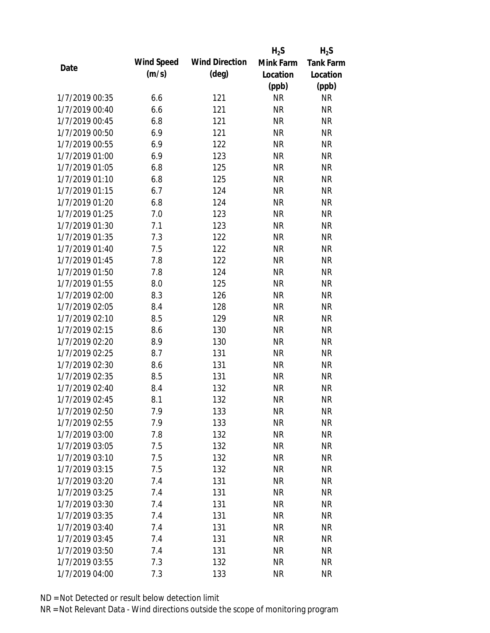|                |            |                       | $H_2S$    | $H_2S$           |
|----------------|------------|-----------------------|-----------|------------------|
| Date           | Wind Speed | <b>Wind Direction</b> | Mink Farm | <b>Tank Farm</b> |
|                | (m/s)      | $(\text{deg})$        | Location  | Location         |
|                |            |                       | (ppb)     | (ppb)            |
| 1/7/2019 00:35 | 6.6        | 121                   | <b>NR</b> | <b>NR</b>        |
| 1/7/2019 00:40 | 6.6        | 121                   | <b>NR</b> | <b>NR</b>        |
| 1/7/2019 00:45 | 6.8        | 121                   | <b>NR</b> | <b>NR</b>        |
| 1/7/2019 00:50 | 6.9        | 121                   | <b>NR</b> | <b>NR</b>        |
| 1/7/2019 00:55 | 6.9        | 122                   | <b>NR</b> | <b>NR</b>        |
| 1/7/2019 01:00 | 6.9        | 123                   | <b>NR</b> | <b>NR</b>        |
| 1/7/2019 01:05 | 6.8        | 125                   | <b>NR</b> | <b>NR</b>        |
| 1/7/2019 01:10 | 6.8        | 125                   | <b>NR</b> | <b>NR</b>        |
| 1/7/2019 01:15 | 6.7        | 124                   | <b>NR</b> | <b>NR</b>        |
| 1/7/2019 01:20 | 6.8        | 124                   | <b>NR</b> | <b>NR</b>        |
| 1/7/2019 01:25 | 7.0        | 123                   | <b>NR</b> | <b>NR</b>        |
| 1/7/2019 01:30 | 7.1        | 123                   | <b>NR</b> | <b>NR</b>        |
| 1/7/2019 01:35 | 7.3        | 122                   | <b>NR</b> | <b>NR</b>        |
| 1/7/2019 01:40 | 7.5        | 122                   | <b>NR</b> | <b>NR</b>        |
| 1/7/2019 01:45 | 7.8        | 122                   | <b>NR</b> | <b>NR</b>        |
| 1/7/2019 01:50 | 7.8        | 124                   | <b>NR</b> | <b>NR</b>        |
| 1/7/2019 01:55 | 8.0        | 125                   | <b>NR</b> | <b>NR</b>        |
| 1/7/2019 02:00 | 8.3        | 126                   | <b>NR</b> | <b>NR</b>        |
| 1/7/2019 02:05 | 8.4        | 128                   | <b>NR</b> | <b>NR</b>        |
| 1/7/2019 02:10 | 8.5        | 129                   | <b>NR</b> | <b>NR</b>        |
| 1/7/2019 02:15 | 8.6        | 130                   | <b>NR</b> | <b>NR</b>        |
| 1/7/2019 02:20 | 8.9        | 130                   | <b>NR</b> | <b>NR</b>        |
| 1/7/2019 02:25 | 8.7        | 131                   | <b>NR</b> | <b>NR</b>        |
| 1/7/2019 02:30 | 8.6        | 131                   | <b>NR</b> | <b>NR</b>        |
| 1/7/2019 02:35 | 8.5        | 131                   | <b>NR</b> | <b>NR</b>        |
| 1/7/2019 02:40 | 8.4        | 132                   | <b>NR</b> | <b>NR</b>        |
| 1/7/2019 02:45 | 8.1        | 132                   | <b>NR</b> | <b>NR</b>        |
| 1/7/2019 02:50 | 7.9        | 133                   | <b>NR</b> | <b>NR</b>        |
| 1/7/2019 02:55 | 7.9        | 133                   | <b>NR</b> | <b>NR</b>        |
| 1/7/2019 03:00 | 7.8        | 132                   | <b>NR</b> | <b>NR</b>        |
| 1/7/2019 03:05 | 7.5        | 132                   | <b>NR</b> | <b>NR</b>        |
| 1/7/2019 03:10 | 7.5        | 132                   | <b>NR</b> | <b>NR</b>        |
| 1/7/2019 03:15 | 7.5        | 132                   | <b>NR</b> | <b>NR</b>        |
| 1/7/2019 03:20 | 7.4        | 131                   | <b>NR</b> | <b>NR</b>        |
| 1/7/2019 03:25 | 7.4        | 131                   | <b>NR</b> | <b>NR</b>        |
| 1/7/2019 03:30 | 7.4        | 131                   | <b>NR</b> | <b>NR</b>        |
| 1/7/2019 03:35 | 7.4        | 131                   | <b>NR</b> | <b>NR</b>        |
| 1/7/2019 03:40 | 7.4        | 131                   | <b>NR</b> | <b>NR</b>        |
| 1/7/2019 03:45 | 7.4        | 131                   | <b>NR</b> | <b>NR</b>        |
| 1/7/2019 03:50 | 7.4        | 131                   | <b>NR</b> | <b>NR</b>        |
| 1/7/2019 03:55 | 7.3        | 132                   | <b>NR</b> | <b>NR</b>        |
| 1/7/2019 04:00 | 7.3        | 133                   | <b>NR</b> | <b>NR</b>        |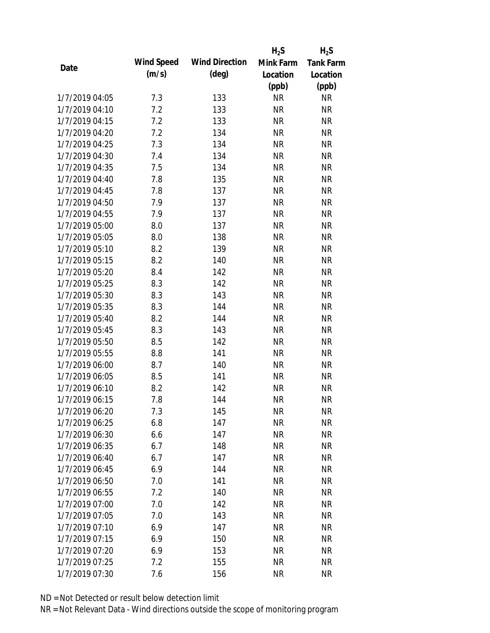|                |            |                       | $H_2S$    | $H_2S$           |
|----------------|------------|-----------------------|-----------|------------------|
|                | Wind Speed | <b>Wind Direction</b> | Mink Farm | <b>Tank Farm</b> |
| Date           | (m/s)      | $(\text{deg})$        | Location  | Location         |
|                |            |                       | (ppb)     | (ppb)            |
| 1/7/2019 04:05 | 7.3        | 133                   | <b>NR</b> | <b>NR</b>        |
| 1/7/2019 04:10 | 7.2        | 133                   | <b>NR</b> | <b>NR</b>        |
| 1/7/2019 04:15 | 7.2        | 133                   | <b>NR</b> | <b>NR</b>        |
| 1/7/2019 04:20 | 7.2        | 134                   | <b>NR</b> | <b>NR</b>        |
| 1/7/2019 04:25 | 7.3        | 134                   | <b>NR</b> | <b>NR</b>        |
| 1/7/2019 04:30 | 7.4        | 134                   | <b>NR</b> | <b>NR</b>        |
| 1/7/2019 04:35 | 7.5        | 134                   | <b>NR</b> | <b>NR</b>        |
| 1/7/2019 04:40 | 7.8        | 135                   | <b>NR</b> | <b>NR</b>        |
| 1/7/2019 04:45 | 7.8        | 137                   | <b>NR</b> | <b>NR</b>        |
| 1/7/2019 04:50 | 7.9        | 137                   | <b>NR</b> | <b>NR</b>        |
| 1/7/2019 04:55 | 7.9        | 137                   | <b>NR</b> | <b>NR</b>        |
| 1/7/2019 05:00 | 8.0        | 137                   | <b>NR</b> | <b>NR</b>        |
| 1/7/2019 05:05 | 8.0        | 138                   | <b>NR</b> | <b>NR</b>        |
| 1/7/2019 05:10 | 8.2        | 139                   | <b>NR</b> | <b>NR</b>        |
| 1/7/2019 05:15 | 8.2        | 140                   | <b>NR</b> | <b>NR</b>        |
| 1/7/2019 05:20 | 8.4        | 142                   | <b>NR</b> | <b>NR</b>        |
| 1/7/2019 05:25 | 8.3        | 142                   | <b>NR</b> | <b>NR</b>        |
| 1/7/2019 05:30 | 8.3        | 143                   | <b>NR</b> | <b>NR</b>        |
| 1/7/2019 05:35 | 8.3        | 144                   | <b>NR</b> | <b>NR</b>        |
| 1/7/2019 05:40 | 8.2        | 144                   | <b>NR</b> | <b>NR</b>        |
| 1/7/2019 05:45 | 8.3        | 143                   | <b>NR</b> | <b>NR</b>        |
| 1/7/2019 05:50 | 8.5        | 142                   | <b>NR</b> | <b>NR</b>        |
| 1/7/2019 05:55 | 8.8        | 141                   | <b>NR</b> | <b>NR</b>        |
| 1/7/2019 06:00 | 8.7        | 140                   | <b>NR</b> | <b>NR</b>        |
| 1/7/2019 06:05 | 8.5        | 141                   | <b>NR</b> | <b>NR</b>        |
| 1/7/2019 06:10 | 8.2        | 142                   | <b>NR</b> | <b>NR</b>        |
| 1/7/2019 06:15 | 7.8        | 144                   | <b>NR</b> | <b>NR</b>        |
| 1/7/2019 06:20 | 7.3        | 145                   | <b>NR</b> | <b>NR</b>        |
| 1/7/2019 06:25 | 6.8        | 147                   | <b>NR</b> | <b>NR</b>        |
| 1/7/2019 06:30 | 6.6        | 147                   | <b>NR</b> | <b>NR</b>        |
| 1/7/2019 06:35 | 6.7        | 148                   | <b>NR</b> | <b>NR</b>        |
| 1/7/2019 06:40 | 6.7        | 147                   | <b>NR</b> | <b>NR</b>        |
| 1/7/2019 06:45 | 6.9        | 144                   | <b>NR</b> | <b>NR</b>        |
| 1/7/2019 06:50 | 7.0        | 141                   | <b>NR</b> | <b>NR</b>        |
| 1/7/2019 06:55 | 7.2        | 140                   | <b>NR</b> | <b>NR</b>        |
| 1/7/2019 07:00 | 7.0        | 142                   | <b>NR</b> | <b>NR</b>        |
| 1/7/2019 07:05 | 7.0        | 143                   | <b>NR</b> | <b>NR</b>        |
| 1/7/2019 07:10 | 6.9        | 147                   | <b>NR</b> | <b>NR</b>        |
| 1/7/2019 07:15 | 6.9        | 150                   | <b>NR</b> | <b>NR</b>        |
| 1/7/2019 07:20 | 6.9        | 153                   | <b>NR</b> | <b>NR</b>        |
| 1/7/2019 07:25 | 7.2        | 155                   | <b>NR</b> | <b>NR</b>        |
| 1/7/2019 07:30 | 7.6        | 156                   | <b>NR</b> | <b>NR</b>        |
|                |            |                       |           |                  |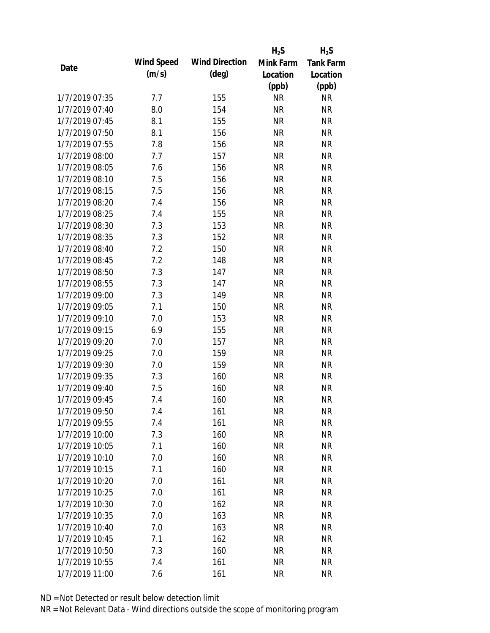|                |            |                       | $H_2S$    | $H_2S$           |
|----------------|------------|-----------------------|-----------|------------------|
| Date           | Wind Speed | <b>Wind Direction</b> | Mink Farm | <b>Tank Farm</b> |
|                | (m/s)      | $(\text{deg})$        | Location  | Location         |
|                |            |                       | (ppb)     | (ppb)            |
| 1/7/2019 07:35 | 7.7        | 155                   | <b>NR</b> | NR               |
| 1/7/2019 07:40 | 8.0        | 154                   | <b>NR</b> | <b>NR</b>        |
| 1/7/2019 07:45 | 8.1        | 155                   | <b>NR</b> | <b>NR</b>        |
| 1/7/2019 07:50 | 8.1        | 156                   | <b>NR</b> | <b>NR</b>        |
| 1/7/2019 07:55 | 7.8        | 156                   | <b>NR</b> | <b>NR</b>        |
| 1/7/2019 08:00 | 7.7        | 157                   | <b>NR</b> | <b>NR</b>        |
| 1/7/2019 08:05 | 7.6        | 156                   | <b>NR</b> | <b>NR</b>        |
| 1/7/2019 08:10 | 7.5        | 156                   | <b>NR</b> | <b>NR</b>        |
| 1/7/2019 08:15 | 7.5        | 156                   | <b>NR</b> | <b>NR</b>        |
| 1/7/2019 08:20 | 7.4        | 156                   | <b>NR</b> | <b>NR</b>        |
| 1/7/2019 08:25 | 7.4        | 155                   | <b>NR</b> | <b>NR</b>        |
| 1/7/2019 08:30 | 7.3        | 153                   | <b>NR</b> | <b>NR</b>        |
| 1/7/2019 08:35 | 7.3        | 152                   | <b>NR</b> | <b>NR</b>        |
| 1/7/2019 08:40 | 7.2        | 150                   | <b>NR</b> | <b>NR</b>        |
| 1/7/2019 08:45 | 7.2        | 148                   | <b>NR</b> | <b>NR</b>        |
| 1/7/2019 08:50 | 7.3        | 147                   | <b>NR</b> | <b>NR</b>        |
| 1/7/2019 08:55 | 7.3        | 147                   | <b>NR</b> | <b>NR</b>        |
| 1/7/2019 09:00 | 7.3        | 149                   | <b>NR</b> | <b>NR</b>        |
| 1/7/2019 09:05 | 7.1        | 150                   | <b>NR</b> | <b>NR</b>        |
| 1/7/2019 09:10 | 7.0        | 153                   | <b>NR</b> | <b>NR</b>        |
| 1/7/2019 09:15 | 6.9        | 155                   | <b>NR</b> | <b>NR</b>        |
| 1/7/2019 09:20 | 7.0        | 157                   | <b>NR</b> | <b>NR</b>        |
| 1/7/2019 09:25 | 7.0        | 159                   | <b>NR</b> | <b>NR</b>        |
| 1/7/2019 09:30 | 7.0        | 159                   | <b>NR</b> | <b>NR</b>        |
| 1/7/2019 09:35 | 7.3        | 160                   | <b>NR</b> | <b>NR</b>        |
| 1/7/2019 09:40 | 7.5        | 160                   | <b>NR</b> | <b>NR</b>        |
| 1/7/2019 09:45 | 7.4        | 160                   | <b>NR</b> | <b>NR</b>        |
| 1/7/2019 09:50 | 7.4        | 161                   | <b>NR</b> | <b>NR</b>        |
| 1/7/2019 09:55 | 7.4        | 161                   | <b>NR</b> | <b>NR</b>        |
| 1/7/2019 10:00 | 7.3        | 160                   | <b>NR</b> | <b>NR</b>        |
| 1/7/2019 10:05 | 7.1        | 160                   | <b>NR</b> | <b>NR</b>        |
| 1/7/2019 10:10 | 7.0        | 160                   | <b>NR</b> | <b>NR</b>        |
| 1/7/2019 10:15 | 7.1        | 160                   | <b>NR</b> | <b>NR</b>        |
| 1/7/2019 10:20 | 7.0        | 161                   | <b>NR</b> | <b>NR</b>        |
| 1/7/2019 10:25 | 7.0        | 161                   | <b>NR</b> | <b>NR</b>        |
| 1/7/2019 10:30 | 7.0        | 162                   | <b>NR</b> | <b>NR</b>        |
| 1/7/2019 10:35 | 7.0        | 163                   | <b>NR</b> | <b>NR</b>        |
| 1/7/2019 10:40 | 7.0        | 163                   | NR        | <b>NR</b>        |
| 1/7/2019 10:45 | 7.1        | 162                   | <b>NR</b> | <b>NR</b>        |
| 1/7/2019 10:50 | 7.3        | 160                   | <b>NR</b> | <b>NR</b>        |
| 1/7/2019 10:55 | 7.4        | 161                   | <b>NR</b> | <b>NR</b>        |
| 1/7/2019 11:00 | 7.6        | 161                   | <b>NR</b> | <b>NR</b>        |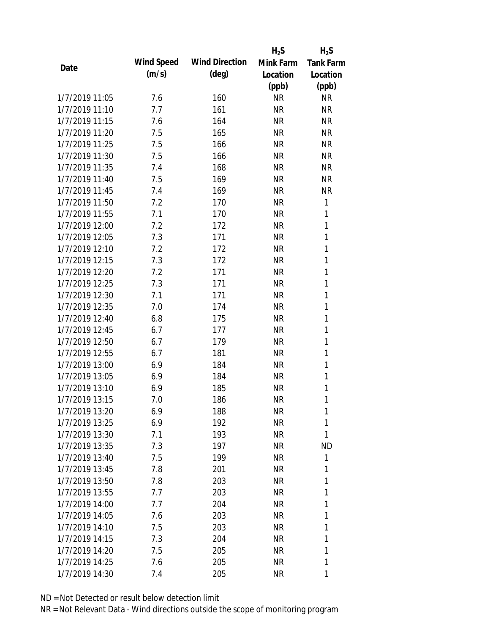|                |            |                       | $H_2S$    | $H_2S$           |
|----------------|------------|-----------------------|-----------|------------------|
| Date           | Wind Speed | <b>Wind Direction</b> | Mink Farm | <b>Tank Farm</b> |
|                | (m/s)      | $(\text{deg})$        | Location  | Location         |
|                |            |                       | (ppb)     | (ppb)            |
| 1/7/2019 11:05 | 7.6        | 160                   | <b>NR</b> | <b>NR</b>        |
| 1/7/2019 11:10 | 7.7        | 161                   | <b>NR</b> | <b>NR</b>        |
| 1/7/2019 11:15 | 7.6        | 164                   | <b>NR</b> | <b>NR</b>        |
| 1/7/2019 11:20 | 7.5        | 165                   | <b>NR</b> | <b>NR</b>        |
| 1/7/2019 11:25 | 7.5        | 166                   | <b>NR</b> | <b>NR</b>        |
| 1/7/2019 11:30 | 7.5        | 166                   | <b>NR</b> | <b>NR</b>        |
| 1/7/2019 11:35 | 7.4        | 168                   | <b>NR</b> | <b>NR</b>        |
| 1/7/2019 11:40 | 7.5        | 169                   | <b>NR</b> | <b>NR</b>        |
| 1/7/2019 11:45 | 7.4        | 169                   | <b>NR</b> | <b>NR</b>        |
| 1/7/2019 11:50 | 7.2        | 170                   | <b>NR</b> | 1                |
| 1/7/2019 11:55 | 7.1        | 170                   | <b>NR</b> | 1                |
| 1/7/2019 12:00 | 7.2        | 172                   | <b>NR</b> | $\mathbf{1}$     |
| 1/7/2019 12:05 | 7.3        | 171                   | <b>NR</b> | $\mathbf{1}$     |
| 1/7/2019 12:10 | 7.2        | 172                   | <b>NR</b> | 1                |
| 1/7/2019 12:15 | 7.3        | 172                   | <b>NR</b> | 1                |
| 1/7/2019 12:20 | 7.2        | 171                   | <b>NR</b> | 1                |
| 1/7/2019 12:25 | 7.3        | 171                   | <b>NR</b> | 1                |
| 1/7/2019 12:30 | 7.1        | 171                   | <b>NR</b> | $\mathbf{1}$     |
| 1/7/2019 12:35 | 7.0        | 174                   | <b>NR</b> | $\mathbf{1}$     |
| 1/7/2019 12:40 | 6.8        | 175                   | <b>NR</b> | 1                |
| 1/7/2019 12:45 | 6.7        | 177                   | <b>NR</b> | 1                |
| 1/7/2019 12:50 | 6.7        | 179                   | <b>NR</b> | 1                |
| 1/7/2019 12:55 | 6.7        | 181                   | <b>NR</b> | 1                |
| 1/7/2019 13:00 | 6.9        | 184                   | <b>NR</b> | 1                |
| 1/7/2019 13:05 | 6.9        | 184                   | <b>NR</b> | 1                |
| 1/7/2019 13:10 | 6.9        | 185                   | <b>NR</b> | 1                |
| 1/7/2019 13:15 | 7.0        | 186                   | <b>NR</b> | 1                |
| 1/7/2019 13:20 | 6.9        | 188                   | <b>NR</b> | 1                |
| 1/7/2019 13:25 | 6.9        | 192                   | <b>NR</b> | 1                |
| 1/7/2019 13:30 | 7.1        | 193                   | NR        | 1                |
| 1/7/2019 13:35 | 7.3        | 197                   | <b>NR</b> | <b>ND</b>        |
| 1/7/2019 13:40 | 7.5        | 199                   | NR        | 1                |
| 1/7/2019 13:45 | 7.8        | 201                   | NR        | 1                |
| 1/7/2019 13:50 | 7.8        | 203                   | <b>NR</b> | 1                |
| 1/7/2019 13:55 | 7.7        | 203                   | NR        | 1                |
| 1/7/2019 14:00 | 7.7        | 204                   | <b>NR</b> | 1                |
| 1/7/2019 14:05 | 7.6        | 203                   | NR        | 1                |
| 1/7/2019 14:10 | 7.5        | 203                   | NR        | 1                |
| 1/7/2019 14:15 | 7.3        | 204                   | NR        | 1                |
| 1/7/2019 14:20 | 7.5        | 205                   | <b>NR</b> | 1                |
| 1/7/2019 14:25 | 7.6        | 205                   | <b>NR</b> | 1                |
| 1/7/2019 14:30 | 7.4        | 205                   | <b>NR</b> | 1                |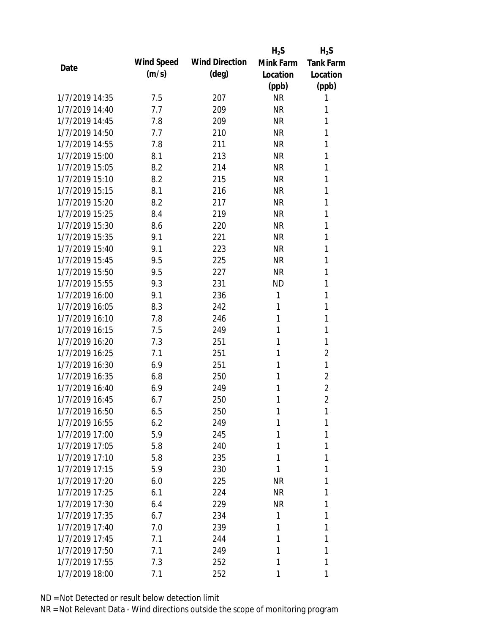|                |            |                       | $H_2S$    | $H_2S$           |
|----------------|------------|-----------------------|-----------|------------------|
| Date           | Wind Speed | <b>Wind Direction</b> | Mink Farm | <b>Tank Farm</b> |
|                | (m/s)      | $(\text{deg})$        | Location  | Location         |
|                |            |                       | (ppb)     | (ppb)            |
| 1/7/2019 14:35 | 7.5        | 207                   | <b>NR</b> | 1                |
| 1/7/2019 14:40 | 7.7        | 209                   | <b>NR</b> | 1                |
| 1/7/2019 14:45 | 7.8        | 209                   | <b>NR</b> | 1                |
| 1/7/2019 14:50 | 7.7        | 210                   | <b>NR</b> | 1                |
| 1/7/2019 14:55 | 7.8        | 211                   | <b>NR</b> | 1                |
| 1/7/2019 15:00 | 8.1        | 213                   | <b>NR</b> | 1                |
| 1/7/2019 15:05 | 8.2        | 214                   | <b>NR</b> | 1                |
| 1/7/2019 15:10 | 8.2        | 215                   | <b>NR</b> | 1                |
| 1/7/2019 15:15 | 8.1        | 216                   | <b>NR</b> | 1                |
| 1/7/2019 15:20 | 8.2        | 217                   | <b>NR</b> | 1                |
| 1/7/2019 15:25 | 8.4        | 219                   | <b>NR</b> | 1                |
| 1/7/2019 15:30 | 8.6        | 220                   | <b>NR</b> | 1                |
| 1/7/2019 15:35 | 9.1        | 221                   | <b>NR</b> | 1                |
| 1/7/2019 15:40 | 9.1        | 223                   | <b>NR</b> | 1                |
| 1/7/2019 15:45 | 9.5        | 225                   | <b>NR</b> | 1                |
| 1/7/2019 15:50 | 9.5        | 227                   | <b>NR</b> | 1                |
| 1/7/2019 15:55 | 9.3        | 231                   | <b>ND</b> | 1                |
| 1/7/2019 16:00 | 9.1        | 236                   | 1         | 1                |
| 1/7/2019 16:05 | 8.3        | 242                   | 1         | 1                |
| 1/7/2019 16:10 | 7.8        | 246                   | 1         | 1                |
| 1/7/2019 16:15 | 7.5        | 249                   | 1         | 1                |
| 1/7/2019 16:20 | 7.3        | 251                   | 1         | 1                |
| 1/7/2019 16:25 | 7.1        | 251                   | 1         | $\overline{2}$   |
| 1/7/2019 16:30 | 6.9        | 251                   | 1         | 1                |
| 1/7/2019 16:35 | 6.8        | 250                   | 1         | $\overline{2}$   |
| 1/7/2019 16:40 | 6.9        | 249                   | 1         | $\overline{2}$   |
| 1/7/2019 16:45 | 6.7        | 250                   | 1         | $\overline{2}$   |
| 1/7/2019 16:50 | 6.5        | 250                   | 1         | 1                |
| 1/7/2019 16:55 | 6.2        | 249                   | 1         | 1                |
| 1/7/2019 17:00 | 5.9        | 245                   | 1         | 1                |
| 1/7/2019 17:05 | 5.8        | 240                   | 1         | 1                |
| 1/7/2019 17:10 | 5.8        | 235                   | 1         | 1                |
| 1/7/2019 17:15 | 5.9        | 230                   | 1         | 1                |
| 1/7/2019 17:20 | 6.0        | 225                   | <b>NR</b> | 1                |
| 1/7/2019 17:25 | 6.1        | 224                   | <b>NR</b> | 1                |
| 1/7/2019 17:30 | 6.4        | 229                   | <b>NR</b> | 1                |
| 1/7/2019 17:35 | 6.7        | 234                   | 1         | 1                |
| 1/7/2019 17:40 | 7.0        | 239                   | 1         | 1                |
| 1/7/2019 17:45 | 7.1        | 244                   | 1         | 1                |
| 1/7/2019 17:50 | 7.1        | 249                   | 1         | 1                |
| 1/7/2019 17:55 | 7.3        | 252                   | 1         | 1                |
| 1/7/2019 18:00 | 7.1        | 252                   | 1         | 1                |
|                |            |                       |           |                  |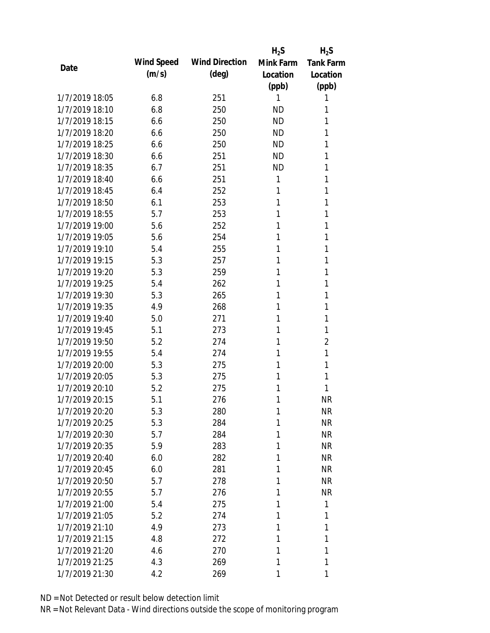|                |            |                       | $H_2S$    | $H_2S$           |
|----------------|------------|-----------------------|-----------|------------------|
| Date           | Wind Speed | <b>Wind Direction</b> | Mink Farm | <b>Tank Farm</b> |
|                | (m/s)      | $(\text{deg})$        | Location  | Location         |
|                |            |                       | (ppb)     | (ppb)            |
| 1/7/2019 18:05 | 6.8        | 251                   | 1         | 1                |
| 1/7/2019 18:10 | 6.8        | 250                   | <b>ND</b> | 1                |
| 1/7/2019 18:15 | 6.6        | 250                   | <b>ND</b> | 1                |
| 1/7/2019 18:20 | 6.6        | 250                   | <b>ND</b> | 1                |
| 1/7/2019 18:25 | 6.6        | 250                   | <b>ND</b> | 1                |
| 1/7/2019 18:30 | 6.6        | 251                   | <b>ND</b> | 1                |
| 1/7/2019 18:35 | 6.7        | 251                   | <b>ND</b> | 1                |
| 1/7/2019 18:40 | 6.6        | 251                   | 1         | 1                |
| 1/7/2019 18:45 | 6.4        | 252                   | 1         | 1                |
| 1/7/2019 18:50 | 6.1        | 253                   | 1         | 1                |
| 1/7/2019 18:55 | 5.7        | 253                   | 1         | 1                |
| 1/7/2019 19:00 | 5.6        | 252                   | 1         | 1                |
| 1/7/2019 19:05 | 5.6        | 254                   | 1         | 1                |
| 1/7/2019 19:10 | 5.4        | 255                   | 1         | 1                |
| 1/7/2019 19:15 | 5.3        | 257                   | 1         | 1                |
| 1/7/2019 19:20 | 5.3        | 259                   | 1         | 1                |
| 1/7/2019 19:25 | 5.4        | 262                   | 1         | 1                |
| 1/7/2019 19:30 | 5.3        | 265                   | 1         | 1                |
| 1/7/2019 19:35 | 4.9        | 268                   | 1         | 1                |
| 1/7/2019 19:40 | 5.0        | 271                   | 1         | 1                |
| 1/7/2019 19:45 | 5.1        | 273                   | 1         | 1                |
| 1/7/2019 19:50 | 5.2        | 274                   | 1         | $\overline{2}$   |
| 1/7/2019 19:55 | 5.4        | 274                   | 1         | 1                |
| 1/7/2019 20:00 | 5.3        | 275                   | 1         | 1                |
| 1/7/2019 20:05 | 5.3        | 275                   | 1         | 1                |
| 1/7/2019 20:10 | 5.2        | 275                   | 1         | 1                |
| 1/7/2019 20:15 | 5.1        | 276                   | 1         | <b>NR</b>        |
| 1/7/2019 20:20 | 5.3        | 280                   | 1         | <b>NR</b>        |
| 1/7/2019 20:25 | 5.3        | 284                   | 1         | <b>NR</b>        |
| 1/7/2019 20:30 | 5.7        | 284                   | 1         | <b>NR</b>        |
| 1/7/2019 20:35 | 5.9        | 283                   | 1         | <b>NR</b>        |
| 1/7/2019 20:40 | 6.0        | 282                   | 1         | <b>NR</b>        |
| 1/7/2019 20:45 | 6.0        | 281                   | 1         | NR               |
| 1/7/2019 20:50 | 5.7        | 278                   | 1         | <b>NR</b>        |
| 1/7/2019 20:55 | 5.7        | 276                   | 1         | <b>NR</b>        |
| 1/7/2019 21:00 | 5.4        | 275                   | 1         | 1                |
| 1/7/2019 21:05 | 5.2        | 274                   | 1         | 1                |
| 1/7/2019 21:10 | 4.9        | 273                   | 1         | 1                |
| 1/7/2019 21:15 | 4.8        | 272                   | 1         | 1                |
| 1/7/2019 21:20 | 4.6        | 270                   | 1         | 1                |
| 1/7/2019 21:25 | 4.3        | 269                   | 1         | 1                |
| 1/7/2019 21:30 | 4.2        | 269                   | 1         | 1                |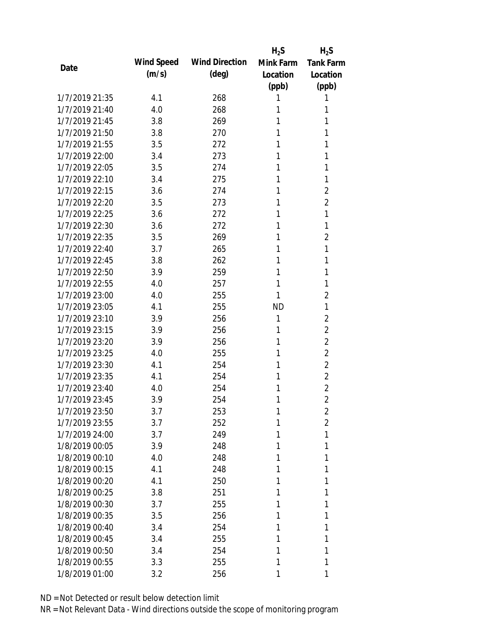|                |            |                       | $H_2S$    | $H_2S$           |
|----------------|------------|-----------------------|-----------|------------------|
| Date           | Wind Speed | <b>Wind Direction</b> | Mink Farm | <b>Tank Farm</b> |
|                | (m/s)      | (deg)                 | Location  | Location         |
|                |            |                       | (ppb)     | (ppb)            |
| 1/7/2019 21:35 | 4.1        | 268                   | 1         | 1                |
| 1/7/2019 21:40 | 4.0        | 268                   | 1         | 1                |
| 1/7/2019 21:45 | 3.8        | 269                   | 1         | 1                |
| 1/7/2019 21:50 | 3.8        | 270                   | 1         | 1                |
| 1/7/2019 21:55 | 3.5        | 272                   | 1         | 1                |
| 1/7/2019 22:00 | 3.4        | 273                   | 1         | 1                |
| 1/7/2019 22:05 | 3.5        | 274                   | 1         | 1                |
| 1/7/2019 22:10 | 3.4        | 275                   | 1         | 1                |
| 1/7/2019 22:15 | 3.6        | 274                   | 1         | $\overline{2}$   |
| 1/7/2019 22:20 | 3.5        | 273                   | 1         | $\overline{2}$   |
| 1/7/2019 22:25 | 3.6        | 272                   | 1         | 1                |
| 1/7/2019 22:30 | 3.6        | 272                   | 1         | 1                |
| 1/7/2019 22:35 | 3.5        | 269                   | 1         | $\overline{2}$   |
| 1/7/2019 22:40 | 3.7        | 265                   | 1         | 1                |
| 1/7/2019 22:45 | 3.8        | 262                   | 1         | 1                |
| 1/7/2019 22:50 | 3.9        | 259                   | 1         | 1                |
| 1/7/2019 22:55 | 4.0        | 257                   | 1         | 1                |
| 1/7/2019 23:00 | 4.0        | 255                   | 1         | $\overline{2}$   |
| 1/7/2019 23:05 | 4.1        | 255                   | <b>ND</b> | 1                |
| 1/7/2019 23:10 | 3.9        | 256                   | 1         | $\overline{2}$   |
| 1/7/2019 23:15 | 3.9        | 256                   | 1         | $\overline{2}$   |
| 1/7/2019 23:20 | 3.9        | 256                   | 1         | $\overline{2}$   |
| 1/7/2019 23:25 | 4.0        | 255                   | 1         | $\overline{2}$   |
| 1/7/2019 23:30 | 4.1        | 254                   | 1         | $\overline{2}$   |
| 1/7/2019 23:35 | 4.1        | 254                   | 1         | $\overline{2}$   |
| 1/7/2019 23:40 | 4.0        | 254                   | 1         | $\overline{2}$   |
| 1/7/2019 23:45 | 3.9        | 254                   | 1         | $\overline{2}$   |
| 1/7/2019 23:50 | 3.7        | 253                   | 1         | 2                |
| 1/7/2019 23:55 | 3.7        | 252                   | 1         | $\overline{2}$   |
| 1/7/2019 24:00 | 3.7        | 249                   | 1         | 1                |
| 1/8/2019 00:05 | 3.9        | 248                   | 1         | 1                |
| 1/8/2019 00:10 | 4.0        | 248                   | 1         | 1                |
| 1/8/2019 00:15 | 4.1        | 248                   | 1         | 1                |
| 1/8/2019 00:20 | 4.1        | 250                   | 1         | 1                |
| 1/8/2019 00:25 | 3.8        | 251                   | 1         | 1                |
| 1/8/2019 00:30 | 3.7        | 255                   | 1         | 1                |
| 1/8/2019 00:35 | 3.5        | 256                   | 1         | 1                |
| 1/8/2019 00:40 | 3.4        | 254                   | 1         | 1                |
| 1/8/2019 00:45 | 3.4        | 255                   | 1         | 1                |
| 1/8/2019 00:50 | 3.4        | 254                   | 1         | 1                |
| 1/8/2019 00:55 | 3.3        | 255                   | 1         | 1                |
| 1/8/2019 01:00 | 3.2        | 256                   | 1         | 1                |
|                |            |                       |           |                  |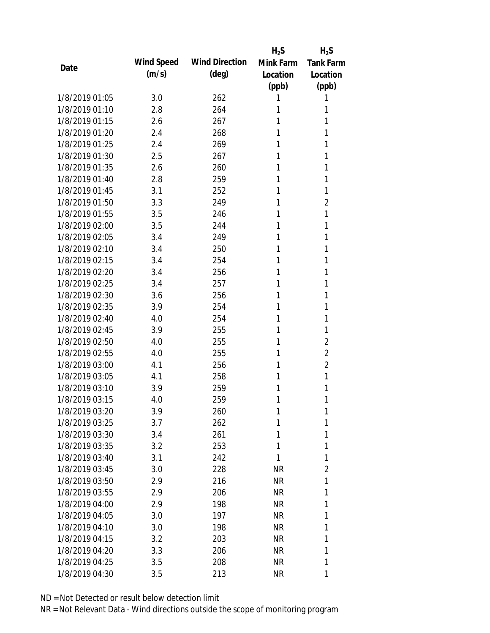|                |            |                       | $H_2S$    | $H_2S$           |
|----------------|------------|-----------------------|-----------|------------------|
|                | Wind Speed | <b>Wind Direction</b> | Mink Farm | <b>Tank Farm</b> |
| Date           | (m/s)      | (deg)                 | Location  | Location         |
|                |            |                       | (ppb)     | (ppb)            |
| 1/8/2019 01:05 | 3.0        | 262                   | 1         | 1                |
| 1/8/2019 01:10 | 2.8        | 264                   | 1         | 1                |
| 1/8/2019 01:15 | 2.6        | 267                   | 1         | 1                |
| 1/8/2019 01:20 | 2.4        | 268                   | 1         | 1                |
| 1/8/2019 01:25 | 2.4        | 269                   | 1         | 1                |
| 1/8/2019 01:30 | 2.5        | 267                   | 1         | 1                |
| 1/8/2019 01:35 | 2.6        | 260                   | 1         | 1                |
| 1/8/2019 01:40 | 2.8        | 259                   | 1         | 1                |
| 1/8/2019 01:45 | 3.1        | 252                   | 1         | 1                |
| 1/8/2019 01:50 | 3.3        | 249                   | 1         | $\overline{2}$   |
| 1/8/2019 01:55 | 3.5        | 246                   | 1         | 1                |
| 1/8/2019 02:00 | 3.5        | 244                   | 1         | 1                |
| 1/8/2019 02:05 | 3.4        | 249                   | 1         | 1                |
| 1/8/2019 02:10 | 3.4        | 250                   | 1         | 1                |
| 1/8/2019 02:15 | 3.4        | 254                   | 1         | 1                |
| 1/8/2019 02:20 | 3.4        | 256                   | 1         | 1                |
| 1/8/2019 02:25 | 3.4        | 257                   | 1         | 1                |
| 1/8/2019 02:30 | 3.6        | 256                   | 1         | 1                |
| 1/8/2019 02:35 | 3.9        | 254                   | 1         | 1                |
| 1/8/2019 02:40 | 4.0        | 254                   | 1         | 1                |
| 1/8/2019 02:45 | 3.9        | 255                   | 1         | 1                |
| 1/8/2019 02:50 | 4.0        | 255                   | 1         | $\overline{2}$   |
| 1/8/2019 02:55 | 4.0        | 255                   | 1         | $\overline{2}$   |
| 1/8/2019 03:00 | 4.1        | 256                   | 1         | $\overline{2}$   |
| 1/8/2019 03:05 | 4.1        | 258                   | 1         | 1                |
| 1/8/2019 03:10 | 3.9        | 259                   | 1         | 1                |
| 1/8/2019 03:15 | 4.0        | 259                   | 1         | 1                |
| 1/8/2019 03:20 | 3.9        | 260                   | 1         | 1                |
| 1/8/2019 03:25 | 3.7        | 262                   | 1         | 1                |
| 1/8/2019 03:30 | 3.4        | 261                   | 1         | 1                |
| 1/8/2019 03:35 | 3.2        | 253                   | 1         | 1                |
| 1/8/2019 03:40 | 3.1        | 242                   | 1         | 1                |
| 1/8/2019 03:45 | 3.0        | 228                   | <b>NR</b> | 2                |
| 1/8/2019 03:50 | 2.9        | 216                   | <b>NR</b> | 1                |
| 1/8/2019 03:55 | 2.9        | 206                   | <b>NR</b> | 1                |
| 1/8/2019 04:00 | 2.9        | 198                   | <b>NR</b> | 1                |
| 1/8/2019 04:05 | 3.0        | 197                   | <b>NR</b> | 1                |
| 1/8/2019 04:10 | 3.0        | 198                   | <b>NR</b> | 1                |
| 1/8/2019 04:15 | 3.2        | 203                   | <b>NR</b> | 1                |
| 1/8/2019 04:20 | 3.3        | 206                   | <b>NR</b> | 1                |
| 1/8/2019 04:25 | 3.5        | 208                   | <b>NR</b> | 1                |
| 1/8/2019 04:30 | 3.5        | 213                   | <b>NR</b> | 1                |
|                |            |                       |           |                  |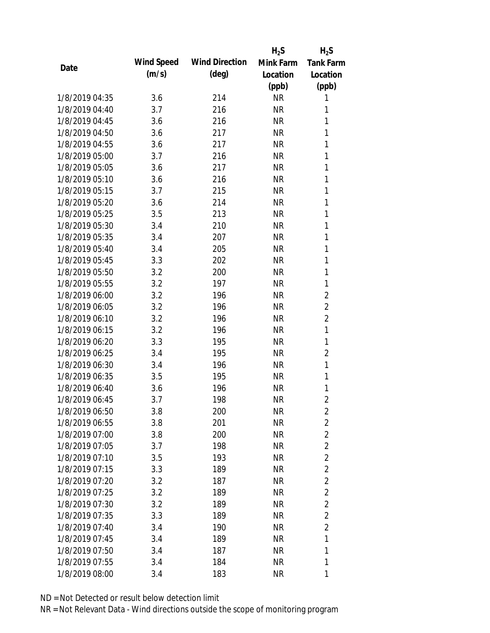|                |            |                       | $H_2S$    | $H_2S$           |
|----------------|------------|-----------------------|-----------|------------------|
| Date           | Wind Speed | <b>Wind Direction</b> | Mink Farm | <b>Tank Farm</b> |
|                | (m/s)      | $(\text{deg})$        | Location  | Location         |
|                |            |                       | (ppb)     | (ppb)            |
| 1/8/2019 04:35 | 3.6        | 214                   | <b>NR</b> | 1                |
| 1/8/2019 04:40 | 3.7        | 216                   | <b>NR</b> | 1                |
| 1/8/2019 04:45 | 3.6        | 216                   | <b>NR</b> | 1                |
| 1/8/2019 04:50 | 3.6        | 217                   | <b>NR</b> | 1                |
| 1/8/2019 04:55 | 3.6        | 217                   | <b>NR</b> | 1                |
| 1/8/2019 05:00 | 3.7        | 216                   | <b>NR</b> | 1                |
| 1/8/2019 05:05 | 3.6        | 217                   | <b>NR</b> | 1                |
| 1/8/2019 05:10 | 3.6        | 216                   | <b>NR</b> | 1                |
| 1/8/2019 05:15 | 3.7        | 215                   | <b>NR</b> | 1                |
| 1/8/2019 05:20 | 3.6        | 214                   | <b>NR</b> | 1                |
| 1/8/2019 05:25 | 3.5        | 213                   | <b>NR</b> | 1                |
| 1/8/2019 05:30 | 3.4        | 210                   | <b>NR</b> | 1                |
| 1/8/2019 05:35 | 3.4        | 207                   | <b>NR</b> | 1                |
| 1/8/2019 05:40 | 3.4        | 205                   | <b>NR</b> | $\mathbf{1}$     |
| 1/8/2019 05:45 | 3.3        | 202                   | <b>NR</b> | $\mathbf{1}$     |
| 1/8/2019 05:50 | 3.2        | 200                   | <b>NR</b> | 1                |
| 1/8/2019 05:55 | 3.2        | 197                   | <b>NR</b> | 1                |
| 1/8/2019 06:00 | 3.2        | 196                   | <b>NR</b> | $\overline{2}$   |
| 1/8/2019 06:05 | 3.2        | 196                   | <b>NR</b> | $\overline{2}$   |
| 1/8/2019 06:10 | 3.2        | 196                   | <b>NR</b> | $\overline{2}$   |
| 1/8/2019 06:15 | 3.2        | 196                   | <b>NR</b> | 1                |
| 1/8/2019 06:20 | 3.3        | 195                   | <b>NR</b> | 1                |
| 1/8/2019 06:25 | 3.4        | 195                   | <b>NR</b> | $\overline{2}$   |
| 1/8/2019 06:30 | 3.4        | 196                   | <b>NR</b> | 1                |
| 1/8/2019 06:35 | 3.5        | 195                   | <b>NR</b> | 1                |
| 1/8/2019 06:40 | 3.6        | 196                   | <b>NR</b> | 1                |
| 1/8/2019 06:45 | 3.7        | 198                   | <b>NR</b> | $\overline{2}$   |
| 1/8/2019 06:50 | 3.8        | 200                   | <b>NR</b> | 2                |
| 1/8/2019 06:55 | 3.8        | 201                   | <b>NR</b> | $\overline{2}$   |
| 1/8/2019 07:00 | 3.8        | 200                   | <b>NR</b> | $\overline{2}$   |
| 1/8/2019 07:05 | 3.7        | 198                   | <b>NR</b> | $\overline{2}$   |
| 1/8/2019 07:10 | 3.5        | 193                   | <b>NR</b> | $\overline{2}$   |
| 1/8/2019 07:15 | 3.3        | 189                   | <b>NR</b> | $\overline{2}$   |
| 1/8/2019 07:20 | 3.2        | 187                   | <b>NR</b> | $\overline{2}$   |
| 1/8/2019 07:25 | 3.2        | 189                   | <b>NR</b> | $\overline{2}$   |
| 1/8/2019 07:30 | 3.2        | 189                   | <b>NR</b> | $\overline{2}$   |
| 1/8/2019 07:35 | 3.3        | 189                   | NR        | $\overline{2}$   |
| 1/8/2019 07:40 | 3.4        | 190                   | <b>NR</b> | $\overline{2}$   |
| 1/8/2019 07:45 | 3.4        | 189                   | <b>NR</b> | 1                |
| 1/8/2019 07:50 | 3.4        | 187                   | <b>NR</b> | 1                |
| 1/8/2019 07:55 | 3.4        | 184                   | <b>NR</b> | 1                |
|                |            |                       |           |                  |
| 1/8/2019 08:00 | 3.4        | 183                   | <b>NR</b> | 1                |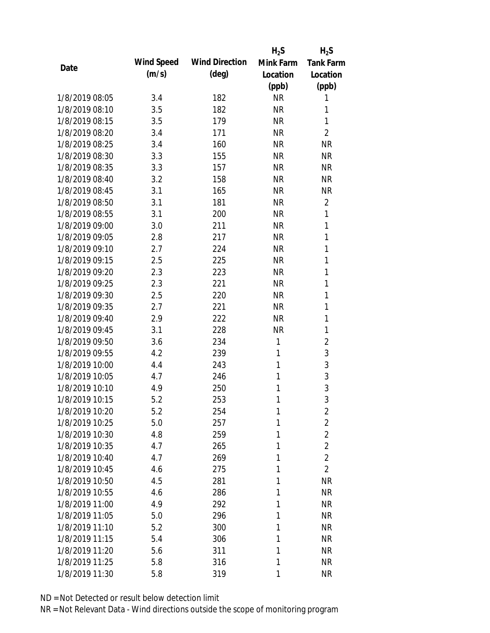|                |            |                       | $H_2S$       | $H_2S$           |
|----------------|------------|-----------------------|--------------|------------------|
|                | Wind Speed | <b>Wind Direction</b> | Mink Farm    | <b>Tank Farm</b> |
| Date           | (m/s)      | $(\text{deg})$        | Location     | Location         |
|                |            |                       | (ppb)        | (ppb)            |
| 1/8/2019 08:05 | 3.4        | 182                   | <b>NR</b>    | 1                |
| 1/8/2019 08:10 | 3.5        | 182                   | <b>NR</b>    | 1                |
| 1/8/2019 08:15 | 3.5        | 179                   | <b>NR</b>    | 1                |
| 1/8/2019 08:20 | 3.4        | 171                   | <b>NR</b>    | $\overline{2}$   |
| 1/8/2019 08:25 | 3.4        | 160                   | <b>NR</b>    | <b>NR</b>        |
| 1/8/2019 08:30 | 3.3        | 155                   | <b>NR</b>    | <b>NR</b>        |
| 1/8/2019 08:35 | 3.3        | 157                   | <b>NR</b>    | <b>NR</b>        |
| 1/8/2019 08:40 | 3.2        | 158                   | <b>NR</b>    | <b>NR</b>        |
| 1/8/2019 08:45 | 3.1        | 165                   | <b>NR</b>    | <b>NR</b>        |
| 1/8/2019 08:50 | 3.1        | 181                   | <b>NR</b>    | $\overline{2}$   |
| 1/8/2019 08:55 | 3.1        | 200                   | <b>NR</b>    | 1                |
| 1/8/2019 09:00 | 3.0        | 211                   | <b>NR</b>    | 1                |
| 1/8/2019 09:05 | 2.8        | 217                   | <b>NR</b>    | 1                |
| 1/8/2019 09:10 | 2.7        | 224                   | <b>NR</b>    | 1                |
| 1/8/2019 09:15 | 2.5        | 225                   | <b>NR</b>    | 1                |
| 1/8/2019 09:20 | 2.3        | 223                   | <b>NR</b>    | 1                |
| 1/8/2019 09:25 | 2.3        | 221                   | <b>NR</b>    | 1                |
| 1/8/2019 09:30 | 2.5        | 220                   | <b>NR</b>    | 1                |
| 1/8/2019 09:35 | 2.7        | 221                   | <b>NR</b>    | 1                |
| 1/8/2019 09:40 | 2.9        | 222                   | <b>NR</b>    | 1                |
| 1/8/2019 09:45 | 3.1        | 228                   | <b>NR</b>    | 1                |
| 1/8/2019 09:50 | 3.6        | 234                   | 1            | $\overline{2}$   |
| 1/8/2019 09:55 | 4.2        | 239                   | 1            | 3                |
| 1/8/2019 10:00 | 4.4        | 243                   | 1            | 3                |
| 1/8/2019 10:05 | 4.7        | 246                   | 1            | 3                |
| 1/8/2019 10:10 | 4.9        | 250                   | 1            | 3                |
| 1/8/2019 10:15 | 5.2        | 253                   | 1            | 3                |
| 1/8/2019 10:20 | 5.2        | 254                   | $\mathbf{1}$ | 2                |
| 1/8/2019 10:25 | 5.0        | 257                   | 1            | $\overline{2}$   |
| 1/8/2019 10:30 | 4.8        | 259                   | 1            | $\overline{2}$   |
| 1/8/2019 10:35 | 4.7        | 265                   | 1            | $\overline{2}$   |
| 1/8/2019 10:40 | 4.7        | 269                   | 1            | $\overline{2}$   |
| 1/8/2019 10:45 | 4.6        | 275                   | 1            | $\overline{2}$   |
| 1/8/2019 10:50 | 4.5        | 281                   | 1            | <b>NR</b>        |
| 1/8/2019 10:55 | 4.6        | 286                   | 1            | <b>NR</b>        |
| 1/8/2019 11:00 | 4.9        | 292                   | 1            | <b>NR</b>        |
| 1/8/2019 11:05 | 5.0        | 296                   | 1            | <b>NR</b>        |
| 1/8/2019 11:10 | 5.2        | 300                   | 1            | <b>NR</b>        |
| 1/8/2019 11:15 | 5.4        | 306                   | 1            | <b>NR</b>        |
| 1/8/2019 11:20 | 5.6        | 311                   | 1            | <b>NR</b>        |
| 1/8/2019 11:25 | 5.8        | 316                   | 1            | <b>NR</b>        |
| 1/8/2019 11:30 | 5.8        | 319                   | 1            | <b>NR</b>        |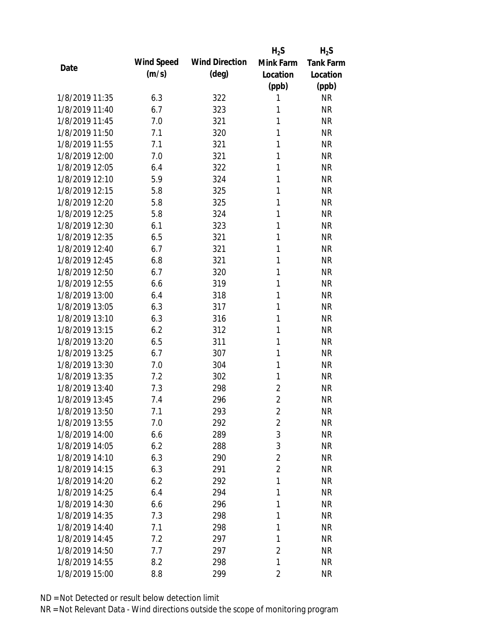|                |            |                       | $H_2S$         | $H_2S$           |
|----------------|------------|-----------------------|----------------|------------------|
| Date           | Wind Speed | <b>Wind Direction</b> | Mink Farm      | <b>Tank Farm</b> |
|                | (m/s)      | $(\text{deg})$        | Location       | Location         |
|                |            |                       | (ppb)          | (ppb)            |
| 1/8/2019 11:35 | 6.3        | 322                   | 1              | <b>NR</b>        |
| 1/8/2019 11:40 | 6.7        | 323                   | 1              | <b>NR</b>        |
| 1/8/2019 11:45 | 7.0        | 321                   | 1              | <b>NR</b>        |
| 1/8/2019 11:50 | 7.1        | 320                   | 1              | <b>NR</b>        |
| 1/8/2019 11:55 | 7.1        | 321                   | 1              | <b>NR</b>        |
| 1/8/2019 12:00 | 7.0        | 321                   | 1              | <b>NR</b>        |
| 1/8/2019 12:05 | 6.4        | 322                   | 1              | <b>NR</b>        |
| 1/8/2019 12:10 | 5.9        | 324                   | 1              | <b>NR</b>        |
| 1/8/2019 12:15 | 5.8        | 325                   | 1              | <b>NR</b>        |
| 1/8/2019 12:20 | 5.8        | 325                   | 1              | <b>NR</b>        |
| 1/8/2019 12:25 | 5.8        | 324                   | 1              | <b>NR</b>        |
| 1/8/2019 12:30 | 6.1        | 323                   | 1              | <b>NR</b>        |
| 1/8/2019 12:35 | 6.5        | 321                   | 1              | <b>NR</b>        |
| 1/8/2019 12:40 | 6.7        | 321                   | 1              | <b>NR</b>        |
| 1/8/2019 12:45 | 6.8        | 321                   | 1              | <b>NR</b>        |
| 1/8/2019 12:50 | 6.7        | 320                   | 1              | <b>NR</b>        |
| 1/8/2019 12:55 | 6.6        | 319                   | 1              | <b>NR</b>        |
| 1/8/2019 13:00 | 6.4        | 318                   | 1              | <b>NR</b>        |
| 1/8/2019 13:05 | 6.3        | 317                   | 1              | <b>NR</b>        |
| 1/8/2019 13:10 | 6.3        | 316                   | 1              | <b>NR</b>        |
| 1/8/2019 13:15 | 6.2        | 312                   | 1              | <b>NR</b>        |
| 1/8/2019 13:20 | 6.5        | 311                   | 1              | <b>NR</b>        |
| 1/8/2019 13:25 | 6.7        | 307                   | 1              | <b>NR</b>        |
| 1/8/2019 13:30 | 7.0        | 304                   | 1              | <b>NR</b>        |
| 1/8/2019 13:35 | 7.2        | 302                   | 1              | <b>NR</b>        |
| 1/8/2019 13:40 | 7.3        | 298                   | $\overline{2}$ | <b>NR</b>        |
| 1/8/2019 13:45 | 7.4        | 296                   | $\overline{2}$ | <b>NR</b>        |
| 1/8/2019 13:50 | 7.1        | 293                   | $\overline{2}$ | <b>NR</b>        |
| 1/8/2019 13:55 | 7.0        | 292                   | $\overline{2}$ | <b>NR</b>        |
| 1/8/2019 14:00 | 6.6        | 289                   | 3              | <b>NR</b>        |
| 1/8/2019 14:05 | 6.2        | 288                   | 3              | <b>NR</b>        |
| 1/8/2019 14:10 | 6.3        | 290                   | $\overline{2}$ | <b>NR</b>        |
| 1/8/2019 14:15 | 6.3        | 291                   | $\overline{2}$ | <b>NR</b>        |
| 1/8/2019 14:20 | 6.2        | 292                   | 1              | <b>NR</b>        |
| 1/8/2019 14:25 | 6.4        | 294                   | 1              | <b>NR</b>        |
| 1/8/2019 14:30 | 6.6        | 296                   | 1              | <b>NR</b>        |
| 1/8/2019 14:35 | 7.3        | 298                   | 1              | <b>NR</b>        |
| 1/8/2019 14:40 | 7.1        | 298                   | 1              | <b>NR</b>        |
| 1/8/2019 14:45 | 7.2        | 297                   | 1              | <b>NR</b>        |
| 1/8/2019 14:50 | 7.7        | 297                   | $\overline{2}$ | <b>NR</b>        |
| 1/8/2019 14:55 | 8.2        | 298                   | 1              | <b>NR</b>        |
| 1/8/2019 15:00 | 8.8        | 299                   | $\sqrt{2}$     | <b>NR</b>        |
|                |            |                       |                |                  |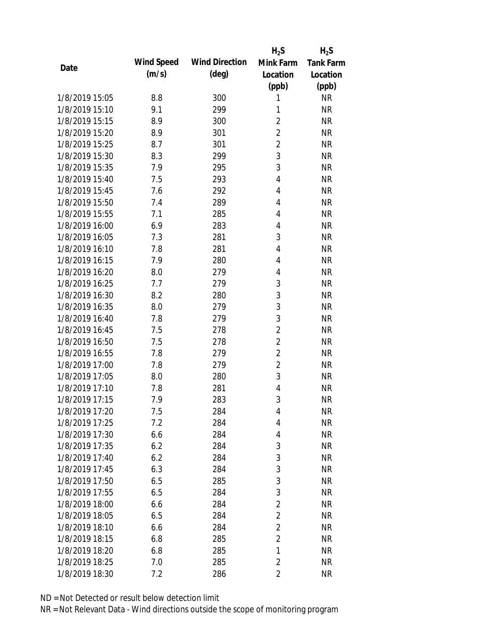|                |            |                       | $H_2S$         | $H_2S$           |
|----------------|------------|-----------------------|----------------|------------------|
| Date           | Wind Speed | <b>Wind Direction</b> | Mink Farm      | <b>Tank Farm</b> |
|                | (m/s)      | $(\text{deg})$        | Location       | Location         |
|                |            |                       | (ppb)          | (ppb)            |
| 1/8/2019 15:05 | 8.8        | 300                   | 1              | <b>NR</b>        |
| 1/8/2019 15:10 | 9.1        | 299                   | 1              | <b>NR</b>        |
| 1/8/2019 15:15 | 8.9        | 300                   | $\overline{2}$ | <b>NR</b>        |
| 1/8/2019 15:20 | 8.9        | 301                   | $\overline{2}$ | <b>NR</b>        |
| 1/8/2019 15:25 | 8.7        | 301                   | $\overline{2}$ | <b>NR</b>        |
| 1/8/2019 15:30 | 8.3        | 299                   | 3              | <b>NR</b>        |
| 1/8/2019 15:35 | 7.9        | 295                   | 3              | <b>NR</b>        |
| 1/8/2019 15:40 | 7.5        | 293                   | $\overline{4}$ | <b>NR</b>        |
| 1/8/2019 15:45 | 7.6        | 292                   | 4              | <b>NR</b>        |
| 1/8/2019 15:50 | 7.4        | 289                   | 4              | <b>NR</b>        |
| 1/8/2019 15:55 | 7.1        | 285                   | $\overline{4}$ | <b>NR</b>        |
| 1/8/2019 16:00 | 6.9        | 283                   | $\overline{4}$ | <b>NR</b>        |
| 1/8/2019 16:05 | 7.3        | 281                   | 3              | <b>NR</b>        |
| 1/8/2019 16:10 | 7.8        | 281                   | $\overline{4}$ | <b>NR</b>        |
| 1/8/2019 16:15 | 7.9        | 280                   | 4              | <b>NR</b>        |
| 1/8/2019 16:20 | 8.0        | 279                   | 4              | <b>NR</b>        |
| 1/8/2019 16:25 | 7.7        | 279                   | 3              | <b>NR</b>        |
| 1/8/2019 16:30 | 8.2        | 280                   | 3              | <b>NR</b>        |
| 1/8/2019 16:35 | 8.0        | 279                   | 3              | <b>NR</b>        |
| 1/8/2019 16:40 | 7.8        | 279                   | 3              | <b>NR</b>        |
| 1/8/2019 16:45 | 7.5        | 278                   | $\overline{2}$ | <b>NR</b>        |
| 1/8/2019 16:50 | 7.5        | 278                   | $\overline{2}$ | <b>NR</b>        |
| 1/8/2019 16:55 | 7.8        | 279                   | $\overline{2}$ | <b>NR</b>        |
| 1/8/2019 17:00 | 7.8        | 279                   | $\overline{2}$ | <b>NR</b>        |
| 1/8/2019 17:05 | 8.0        | 280                   | 3              | <b>NR</b>        |
| 1/8/2019 17:10 | 7.8        | 281                   | $\overline{4}$ | <b>NR</b>        |
| 1/8/2019 17:15 | 7.9        | 283                   | 3              | <b>NR</b>        |
| 1/8/2019 17:20 | 7.5        | 284                   | 4              | <b>NR</b>        |
| 1/8/2019 17:25 | 7.2        | 284                   | 4              | <b>NR</b>        |
| 1/8/2019 17:30 | 6.6        | 284                   | 4              | <b>NR</b>        |
| 1/8/2019 17:35 | 6.2        | 284                   | 3              | <b>NR</b>        |
| 1/8/2019 17:40 | 6.2        | 284                   | $\mathfrak{Z}$ | <b>NR</b>        |
| 1/8/2019 17:45 | 6.3        | 284                   | 3              | <b>NR</b>        |
| 1/8/2019 17:50 | 6.5        | 285                   | 3              | <b>NR</b>        |
| 1/8/2019 17:55 | 6.5        | 284                   | 3              | <b>NR</b>        |
| 1/8/2019 18:00 | 6.6        | 284                   | $\overline{2}$ | <b>NR</b>        |
| 1/8/2019 18:05 | 6.5        | 284                   | $\overline{2}$ | <b>NR</b>        |
| 1/8/2019 18:10 | 6.6        | 284                   | $\overline{2}$ | <b>NR</b>        |
| 1/8/2019 18:15 | 6.8        | 285                   | $\overline{2}$ | <b>NR</b>        |
| 1/8/2019 18:20 | 6.8        | 285                   | 1              | <b>NR</b>        |
| 1/8/2019 18:25 | 7.0        | 285                   | $\overline{2}$ | <b>NR</b>        |
| 1/8/2019 18:30 | 7.2        | 286                   | $\overline{2}$ | <b>NR</b>        |
|                |            |                       |                |                  |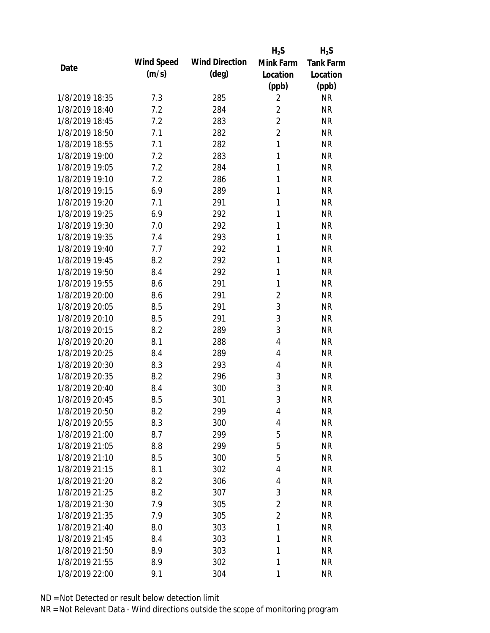|                |            |                       | $H_2S$         | $H_2S$           |
|----------------|------------|-----------------------|----------------|------------------|
| Date           | Wind Speed | <b>Wind Direction</b> | Mink Farm      | <b>Tank Farm</b> |
|                | (m/s)      | $(\text{deg})$        | Location       | Location         |
|                |            |                       | (ppb)          | (ppb)            |
| 1/8/2019 18:35 | 7.3        | 285                   | $\overline{2}$ | <b>NR</b>        |
| 1/8/2019 18:40 | 7.2        | 284                   | $\overline{2}$ | <b>NR</b>        |
| 1/8/2019 18:45 | 7.2        | 283                   | $\overline{2}$ | <b>NR</b>        |
| 1/8/2019 18:50 | 7.1        | 282                   | $\overline{2}$ | <b>NR</b>        |
| 1/8/2019 18:55 | 7.1        | 282                   | $\mathbf{1}$   | <b>NR</b>        |
| 1/8/2019 19:00 | 7.2        | 283                   | 1              | <b>NR</b>        |
| 1/8/2019 19:05 | 7.2        | 284                   | 1              | <b>NR</b>        |
| 1/8/2019 19:10 | 7.2        | 286                   | 1              | <b>NR</b>        |
| 1/8/2019 19:15 | 6.9        | 289                   | 1              | <b>NR</b>        |
| 1/8/2019 19:20 | 7.1        | 291                   | 1              | <b>NR</b>        |
| 1/8/2019 19:25 | 6.9        | 292                   | 1              | <b>NR</b>        |
| 1/8/2019 19:30 | 7.0        | 292                   | 1              | <b>NR</b>        |
| 1/8/2019 19:35 | 7.4        | 293                   | 1              | <b>NR</b>        |
| 1/8/2019 19:40 | 7.7        | 292                   | 1              | <b>NR</b>        |
| 1/8/2019 19:45 | 8.2        | 292                   | 1              | <b>NR</b>        |
| 1/8/2019 19:50 | 8.4        | 292                   | 1              | <b>NR</b>        |
| 1/8/2019 19:55 | 8.6        | 291                   | 1              | <b>NR</b>        |
| 1/8/2019 20:00 | 8.6        | 291                   | $\overline{2}$ | <b>NR</b>        |
| 1/8/2019 20:05 | 8.5        | 291                   | 3              | <b>NR</b>        |
| 1/8/2019 20:10 | 8.5        | 291                   | 3              | <b>NR</b>        |
| 1/8/2019 20:15 | 8.2        | 289                   | 3              | <b>NR</b>        |
| 1/8/2019 20:20 | 8.1        | 288                   | 4              | <b>NR</b>        |
| 1/8/2019 20:25 | 8.4        | 289                   | 4              | <b>NR</b>        |
| 1/8/2019 20:30 | 8.3        | 293                   | 4              | <b>NR</b>        |
| 1/8/2019 20:35 | 8.2        | 296                   | 3              | <b>NR</b>        |
| 1/8/2019 20:40 | 8.4        | 300                   | 3              | <b>NR</b>        |
| 1/8/2019 20:45 | 8.5        | 301                   | 3              | <b>NR</b>        |
| 1/8/2019 20:50 | 8.2        | 299                   | 4              | <b>NR</b>        |
| 1/8/2019 20:55 | 8.3        | 300                   | 4              | <b>NR</b>        |
| 1/8/2019 21:00 | 8.7        | 299                   | 5              | <b>NR</b>        |
| 1/8/2019 21:05 | 8.8        | 299                   | 5              | <b>NR</b>        |
| 1/8/2019 21:10 | 8.5        | 300                   | 5              | <b>NR</b>        |
| 1/8/2019 21:15 | 8.1        | 302                   | 4              | <b>NR</b>        |
| 1/8/2019 21:20 | 8.2        | 306                   | 4              | <b>NR</b>        |
| 1/8/2019 21:25 | 8.2        | 307                   | 3              | <b>NR</b>        |
| 1/8/2019 21:30 | 7.9        | 305                   | $\overline{2}$ | <b>NR</b>        |
| 1/8/2019 21:35 | 7.9        | 305                   | $\overline{2}$ | <b>NR</b>        |
| 1/8/2019 21:40 | 8.0        | 303                   | 1              | <b>NR</b>        |
| 1/8/2019 21:45 | 8.4        | 303                   | 1              | <b>NR</b>        |
| 1/8/2019 21:50 | 8.9        | 303                   | 1              | <b>NR</b>        |
| 1/8/2019 21:55 | 8.9        | 302                   | 1              | <b>NR</b>        |
| 1/8/2019 22:00 | 9.1        | 304                   | 1              | <b>NR</b>        |
|                |            |                       |                |                  |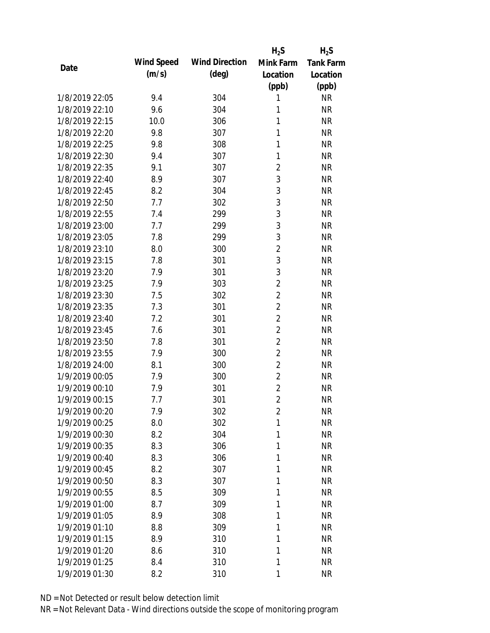|                |            |                       | $H_2S$         | $H_2S$           |
|----------------|------------|-----------------------|----------------|------------------|
| Date           | Wind Speed | <b>Wind Direction</b> | Mink Farm      | <b>Tank Farm</b> |
|                | (m/s)      | $(\text{deg})$        | Location       | Location         |
|                |            |                       | (ppb)          | (ppb)            |
| 1/8/2019 22:05 | 9.4        | 304                   | 1              | <b>NR</b>        |
| 1/8/2019 22:10 | 9.6        | 304                   | 1              | <b>NR</b>        |
| 1/8/2019 22:15 | 10.0       | 306                   | 1              | <b>NR</b>        |
| 1/8/2019 22:20 | 9.8        | 307                   | 1              | <b>NR</b>        |
| 1/8/2019 22:25 | 9.8        | 308                   | 1              | <b>NR</b>        |
| 1/8/2019 22:30 | 9.4        | 307                   | 1              | <b>NR</b>        |
| 1/8/2019 22:35 | 9.1        | 307                   | $\overline{2}$ | <b>NR</b>        |
| 1/8/2019 22:40 | 8.9        | 307                   | $\mathfrak{Z}$ | <b>NR</b>        |
| 1/8/2019 22:45 | 8.2        | 304                   | 3              | <b>NR</b>        |
| 1/8/2019 22:50 | 7.7        | 302                   | 3              | <b>NR</b>        |
| 1/8/2019 22:55 | 7.4        | 299                   | 3              | <b>NR</b>        |
| 1/8/2019 23:00 | 7.7        | 299                   | 3              | <b>NR</b>        |
| 1/8/2019 23:05 | 7.8        | 299                   | 3              | <b>NR</b>        |
| 1/8/2019 23:10 | 8.0        | 300                   | $\overline{2}$ | <b>NR</b>        |
| 1/8/2019 23:15 | 7.8        | 301                   | 3              | <b>NR</b>        |
| 1/8/2019 23:20 | 7.9        | 301                   | 3              | <b>NR</b>        |
| 1/8/2019 23:25 | 7.9        | 303                   | $\overline{2}$ | <b>NR</b>        |
| 1/8/2019 23:30 | 7.5        | 302                   | $\overline{2}$ | <b>NR</b>        |
| 1/8/2019 23:35 | 7.3        | 301                   | $\overline{2}$ | <b>NR</b>        |
| 1/8/2019 23:40 | 7.2        | 301                   | $\overline{2}$ | <b>NR</b>        |
| 1/8/2019 23:45 | 7.6        | 301                   | $\overline{2}$ | <b>NR</b>        |
| 1/8/2019 23:50 | 7.8        | 301                   | $\overline{2}$ | <b>NR</b>        |
| 1/8/2019 23:55 | 7.9        | 300                   | $\overline{2}$ | <b>NR</b>        |
| 1/8/2019 24:00 | 8.1        | 300                   | $\overline{2}$ | <b>NR</b>        |
| 1/9/2019 00:05 | 7.9        | 300                   | $\overline{2}$ | <b>NR</b>        |
| 1/9/2019 00:10 | 7.9        | 301                   | $\overline{2}$ | <b>NR</b>        |
| 1/9/2019 00:15 | 7.7        | 301                   | $\overline{2}$ | <b>NR</b>        |
| 1/9/2019 00:20 | 7.9        | 302                   | $\overline{2}$ | <b>NR</b>        |
| 1/9/2019 00:25 | 8.0        | 302                   | 1              | <b>NR</b>        |
| 1/9/2019 00:30 | 8.2        | 304                   | 1              | <b>NR</b>        |
| 1/9/2019 00:35 | 8.3        | 306                   | 1              | <b>NR</b>        |
| 1/9/2019 00:40 | 8.3        | 306                   | 1              | <b>NR</b>        |
| 1/9/2019 00:45 | 8.2        | 307                   | 1              | <b>NR</b>        |
| 1/9/2019 00:50 | 8.3        | 307                   | 1              | <b>NR</b>        |
| 1/9/2019 00:55 | 8.5        | 309                   | 1              | <b>NR</b>        |
| 1/9/2019 01:00 | 8.7        | 309                   | 1              | <b>NR</b>        |
| 1/9/2019 01:05 | 8.9        | 308                   | 1              | <b>NR</b>        |
| 1/9/2019 01:10 | 8.8        | 309                   | 1              | <b>NR</b>        |
| 1/9/2019 01:15 | 8.9        | 310                   | 1              | <b>NR</b>        |
| 1/9/2019 01:20 | 8.6        | 310                   | 1              | <b>NR</b>        |
| 1/9/2019 01:25 | 8.4        | 310                   | 1              | <b>NR</b>        |
| 1/9/2019 01:30 | 8.2        | 310                   | 1              | <b>NR</b>        |
|                |            |                       |                |                  |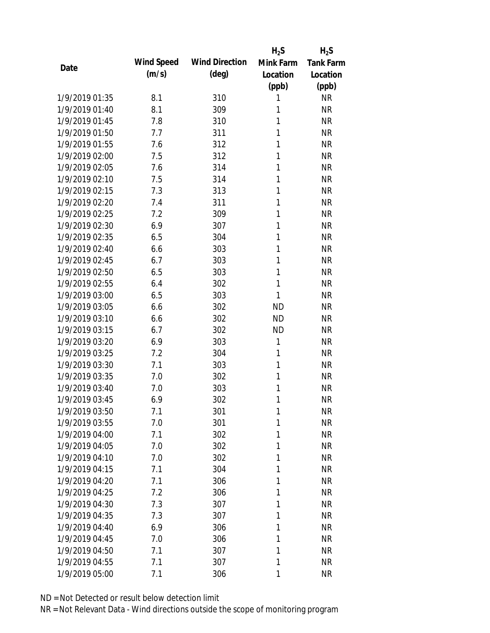|                |            |                       | $H_2S$    | $H_2S$           |
|----------------|------------|-----------------------|-----------|------------------|
| Date           | Wind Speed | <b>Wind Direction</b> | Mink Farm | <b>Tank Farm</b> |
|                | (m/s)      | $(\text{deg})$        | Location  | Location         |
|                |            |                       | (ppb)     | (ppb)            |
| 1/9/2019 01:35 | 8.1        | 310                   | 1         | <b>NR</b>        |
| 1/9/2019 01:40 | 8.1        | 309                   | 1         | <b>NR</b>        |
| 1/9/2019 01:45 | 7.8        | 310                   | 1         | <b>NR</b>        |
| 1/9/2019 01:50 | 7.7        | 311                   | 1         | <b>NR</b>        |
| 1/9/2019 01:55 | 7.6        | 312                   | 1         | <b>NR</b>        |
| 1/9/2019 02:00 | 7.5        | 312                   | 1         | <b>NR</b>        |
| 1/9/2019 02:05 | 7.6        | 314                   | 1         | <b>NR</b>        |
| 1/9/2019 02:10 | 7.5        | 314                   | 1         | <b>NR</b>        |
| 1/9/2019 02:15 | 7.3        | 313                   | 1         | <b>NR</b>        |
| 1/9/2019 02:20 | 7.4        | 311                   | 1         | <b>NR</b>        |
| 1/9/2019 02:25 | 7.2        | 309                   | 1         | <b>NR</b>        |
| 1/9/2019 02:30 | 6.9        | 307                   | 1         | <b>NR</b>        |
| 1/9/2019 02:35 | 6.5        | 304                   | 1         | <b>NR</b>        |
| 1/9/2019 02:40 | 6.6        | 303                   | 1         | <b>NR</b>        |
| 1/9/2019 02:45 | 6.7        | 303                   | 1         | <b>NR</b>        |
| 1/9/2019 02:50 | 6.5        | 303                   | 1         | <b>NR</b>        |
| 1/9/2019 02:55 | 6.4        | 302                   | 1         | <b>NR</b>        |
| 1/9/2019 03:00 | 6.5        | 303                   | 1         | <b>NR</b>        |
| 1/9/2019 03:05 | 6.6        | 302                   | <b>ND</b> | <b>NR</b>        |
| 1/9/2019 03:10 | 6.6        | 302                   | <b>ND</b> | <b>NR</b>        |
| 1/9/2019 03:15 | 6.7        | 302                   | <b>ND</b> | <b>NR</b>        |
| 1/9/2019 03:20 | 6.9        | 303                   | 1         | <b>NR</b>        |
| 1/9/2019 03:25 | 7.2        | 304                   | 1         | <b>NR</b>        |
| 1/9/2019 03:30 | 7.1        | 303                   | 1         | <b>NR</b>        |
| 1/9/2019 03:35 | 7.0        | 302                   | 1         | <b>NR</b>        |
| 1/9/2019 03:40 | 7.0        | 303                   | 1         | <b>NR</b>        |
| 1/9/2019 03:45 | 6.9        | 302                   | 1         | <b>NR</b>        |
| 1/9/2019 03:50 | 7.1        | 301                   | 1         | <b>NR</b>        |
| 1/9/2019 03:55 | 7.0        | 301                   | 1         | <b>NR</b>        |
| 1/9/2019 04:00 | 7.1        | 302                   | 1         | <b>NR</b>        |
| 1/9/2019 04:05 | 7.0        | 302                   | 1         | <b>NR</b>        |
| 1/9/2019 04:10 | 7.0        | 302                   | 1         | <b>NR</b>        |
| 1/9/2019 04:15 | 7.1        | 304                   | 1         | <b>NR</b>        |
| 1/9/2019 04:20 | 7.1        | 306                   | 1         | <b>NR</b>        |
| 1/9/2019 04:25 | 7.2        | 306                   | 1         | <b>NR</b>        |
| 1/9/2019 04:30 | 7.3        | 307                   | 1         | <b>NR</b>        |
| 1/9/2019 04:35 |            |                       | 1         | <b>NR</b>        |
|                | 7.3        | 307                   |           |                  |
| 1/9/2019 04:40 | 6.9        | 306                   | 1         | <b>NR</b>        |
| 1/9/2019 04:45 | 7.0        | 306                   | 1         | <b>NR</b>        |
| 1/9/2019 04:50 | 7.1        | 307                   | 1         | <b>NR</b>        |
| 1/9/2019 04:55 | 7.1        | 307                   | 1         | <b>NR</b>        |
| 1/9/2019 05:00 | 7.1        | 306                   | 1         | <b>NR</b>        |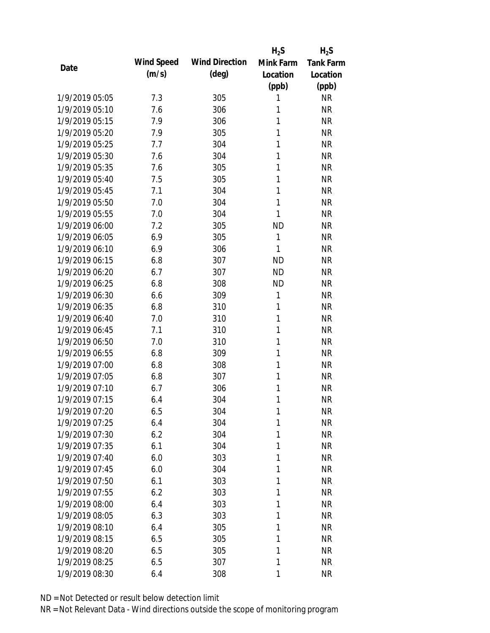|                |            |                       | $H_2S$    | $H_2S$           |
|----------------|------------|-----------------------|-----------|------------------|
| Date           | Wind Speed | <b>Wind Direction</b> | Mink Farm | <b>Tank Farm</b> |
|                | (m/s)      | $(\text{deg})$        | Location  | Location         |
|                |            |                       | (ppb)     | (ppb)            |
| 1/9/2019 05:05 | 7.3        | 305                   | 1         | <b>NR</b>        |
| 1/9/2019 05:10 | 7.6        | 306                   | 1         | <b>NR</b>        |
| 1/9/2019 05:15 | 7.9        | 306                   | 1         | <b>NR</b>        |
| 1/9/2019 05:20 | 7.9        | 305                   | 1         | <b>NR</b>        |
| 1/9/2019 05:25 | 7.7        | 304                   | 1         | <b>NR</b>        |
| 1/9/2019 05:30 | 7.6        | 304                   | 1         | <b>NR</b>        |
| 1/9/2019 05:35 | 7.6        | 305                   | 1         | <b>NR</b>        |
| 1/9/2019 05:40 | 7.5        | 305                   | 1         | <b>NR</b>        |
| 1/9/2019 05:45 | 7.1        | 304                   | 1         | <b>NR</b>        |
| 1/9/2019 05:50 | 7.0        | 304                   | 1         | <b>NR</b>        |
| 1/9/2019 05:55 | 7.0        | 304                   | 1         | <b>NR</b>        |
| 1/9/2019 06:00 | 7.2        | 305                   | <b>ND</b> | <b>NR</b>        |
| 1/9/2019 06:05 | 6.9        | 305                   | 1         | <b>NR</b>        |
| 1/9/2019 06:10 | 6.9        | 306                   | 1         | <b>NR</b>        |
| 1/9/2019 06:15 | 6.8        | 307                   | <b>ND</b> | <b>NR</b>        |
| 1/9/2019 06:20 | 6.7        | 307                   | <b>ND</b> | <b>NR</b>        |
| 1/9/2019 06:25 | 6.8        | 308                   | <b>ND</b> | <b>NR</b>        |
| 1/9/2019 06:30 | 6.6        | 309                   | 1         | <b>NR</b>        |
| 1/9/2019 06:35 | 6.8        | 310                   | 1         | <b>NR</b>        |
| 1/9/2019 06:40 | 7.0        | 310                   | 1         | <b>NR</b>        |
| 1/9/2019 06:45 | 7.1        | 310                   | 1         | <b>NR</b>        |
| 1/9/2019 06:50 | 7.0        | 310                   | 1         | <b>NR</b>        |
| 1/9/2019 06:55 | 6.8        | 309                   | 1         | <b>NR</b>        |
| 1/9/2019 07:00 | 6.8        | 308                   | 1         | <b>NR</b>        |
| 1/9/2019 07:05 | 6.8        | 307                   | 1         | <b>NR</b>        |
| 1/9/2019 07:10 | 6.7        | 306                   | 1         | <b>NR</b>        |
| 1/9/2019 07:15 | 6.4        | 304                   | 1         | <b>NR</b>        |
| 1/9/2019 07:20 | 6.5        | 304                   | 1         | <b>NR</b>        |
| 1/9/2019 07:25 | 6.4        | 304                   | 1         | <b>NR</b>        |
| 1/9/2019 07:30 | 6.2        | 304                   | 1         | <b>NR</b>        |
| 1/9/2019 07:35 | 6.1        | 304                   | 1         | <b>NR</b>        |
| 1/9/2019 07:40 | 6.0        | 303                   | 1         | <b>NR</b>        |
| 1/9/2019 07:45 | 6.0        | 304                   | 1         | <b>NR</b>        |
| 1/9/2019 07:50 | 6.1        | 303                   | 1         | <b>NR</b>        |
| 1/9/2019 07:55 | 6.2        | 303                   | 1         | <b>NR</b>        |
| 1/9/2019 08:00 | 6.4        | 303                   | 1         | <b>NR</b>        |
| 1/9/2019 08:05 | 6.3        | 303                   | 1         | <b>NR</b>        |
| 1/9/2019 08:10 | 6.4        | 305                   | 1         | <b>NR</b>        |
| 1/9/2019 08:15 | 6.5        | 305                   | 1         | <b>NR</b>        |
| 1/9/2019 08:20 | 6.5        | 305                   | 1         | <b>NR</b>        |
| 1/9/2019 08:25 | 6.5        | 307                   | 1         | <b>NR</b>        |
| 1/9/2019 08:30 | 6.4        | 308                   | 1         | <b>NR</b>        |
|                |            |                       |           |                  |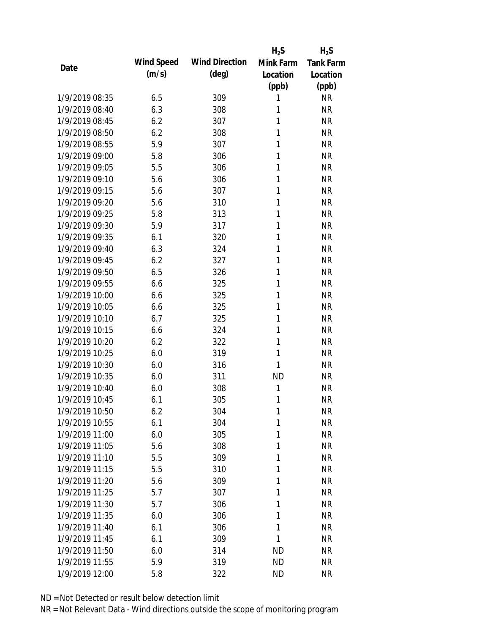|                |            |                       | $H_2S$    | $H_2S$           |
|----------------|------------|-----------------------|-----------|------------------|
| Date           | Wind Speed | <b>Wind Direction</b> | Mink Farm | <b>Tank Farm</b> |
|                | (m/s)      | $(\text{deg})$        | Location  | Location         |
|                |            |                       | (ppb)     | (ppb)            |
| 1/9/2019 08:35 | 6.5        | 309                   | 1         | <b>NR</b>        |
| 1/9/2019 08:40 | 6.3        | 308                   | 1         | <b>NR</b>        |
| 1/9/2019 08:45 | 6.2        | 307                   | 1         | <b>NR</b>        |
| 1/9/2019 08:50 | 6.2        | 308                   | 1         | <b>NR</b>        |
| 1/9/2019 08:55 | 5.9        | 307                   | 1         | <b>NR</b>        |
| 1/9/2019 09:00 | 5.8        | 306                   | 1         | <b>NR</b>        |
| 1/9/2019 09:05 | 5.5        | 306                   | 1         | <b>NR</b>        |
| 1/9/2019 09:10 | 5.6        | 306                   | 1         | <b>NR</b>        |
| 1/9/2019 09:15 | 5.6        | 307                   | 1         | <b>NR</b>        |
| 1/9/2019 09:20 | 5.6        | 310                   | 1         | <b>NR</b>        |
| 1/9/2019 09:25 | 5.8        | 313                   | 1         | <b>NR</b>        |
| 1/9/2019 09:30 | 5.9        | 317                   | 1         | <b>NR</b>        |
| 1/9/2019 09:35 | 6.1        | 320                   | 1         | <b>NR</b>        |
| 1/9/2019 09:40 | 6.3        | 324                   | 1         | <b>NR</b>        |
| 1/9/2019 09:45 | 6.2        | 327                   | 1         | <b>NR</b>        |
| 1/9/2019 09:50 | 6.5        | 326                   | 1         | <b>NR</b>        |
| 1/9/2019 09:55 | 6.6        | 325                   | 1         | <b>NR</b>        |
| 1/9/2019 10:00 | 6.6        | 325                   | 1         | <b>NR</b>        |
| 1/9/2019 10:05 | 6.6        | 325                   | 1         | <b>NR</b>        |
| 1/9/2019 10:10 | 6.7        | 325                   | 1         | <b>NR</b>        |
| 1/9/2019 10:15 | 6.6        | 324                   | 1         | <b>NR</b>        |
| 1/9/2019 10:20 | 6.2        | 322                   | 1         | <b>NR</b>        |
| 1/9/2019 10:25 | 6.0        | 319                   | 1         | <b>NR</b>        |
| 1/9/2019 10:30 | 6.0        | 316                   | 1         | <b>NR</b>        |
| 1/9/2019 10:35 | 6.0        | 311                   | <b>ND</b> | <b>NR</b>        |
| 1/9/2019 10:40 | 6.0        | 308                   | 1         | <b>NR</b>        |
| 1/9/2019 10:45 | 6.1        | 305                   | 1         | <b>NR</b>        |
| 1/9/2019 10:50 | 6.2        | 304                   | 1         | <b>NR</b>        |
| 1/9/2019 10:55 | 6.1        | 304                   | 1         | <b>NR</b>        |
| 1/9/2019 11:00 | 6.0        | 305                   | 1         | <b>NR</b>        |
| 1/9/2019 11:05 | 5.6        | 308                   | 1         | <b>NR</b>        |
| 1/9/2019 11:10 | 5.5        | 309                   | 1         | <b>NR</b>        |
| 1/9/2019 11:15 | 5.5        | 310                   | 1         | <b>NR</b>        |
| 1/9/2019 11:20 | 5.6        | 309                   | 1         | <b>NR</b>        |
| 1/9/2019 11:25 | 5.7        | 307                   | 1         | <b>NR</b>        |
| 1/9/2019 11:30 | 5.7        | 306                   | 1         | <b>NR</b>        |
| 1/9/2019 11:35 | 6.0        | 306                   | 1         | <b>NR</b>        |
| 1/9/2019 11:40 | 6.1        | 306                   | 1         | <b>NR</b>        |
| 1/9/2019 11:45 | 6.1        | 309                   | 1         | <b>NR</b>        |
| 1/9/2019 11:50 | 6.0        | 314                   | <b>ND</b> | <b>NR</b>        |
| 1/9/2019 11:55 | 5.9        | 319                   | <b>ND</b> | <b>NR</b>        |
| 1/9/2019 12:00 | 5.8        | 322                   | <b>ND</b> | <b>NR</b>        |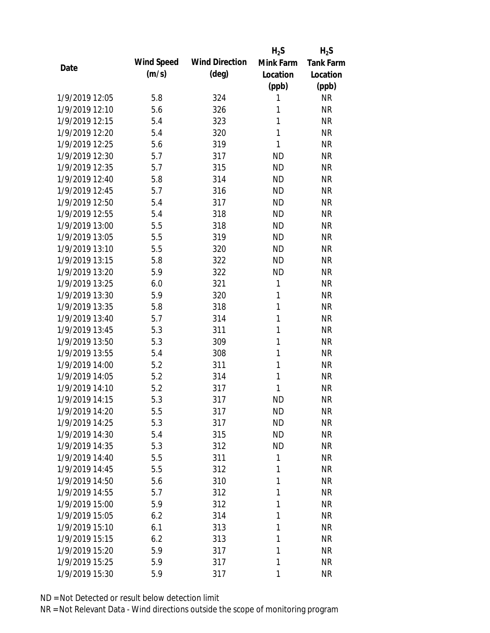|                |            |                       | $H_2S$       | $H_2S$           |
|----------------|------------|-----------------------|--------------|------------------|
|                | Wind Speed | <b>Wind Direction</b> | Mink Farm    | <b>Tank Farm</b> |
| Date           | (m/s)      | $(\text{deg})$        | Location     | Location         |
|                |            |                       | (ppb)        | (ppb)            |
| 1/9/2019 12:05 | 5.8        | 324                   | 1            | <b>NR</b>        |
| 1/9/2019 12:10 | 5.6        | 326                   | 1            | <b>NR</b>        |
| 1/9/2019 12:15 | 5.4        | 323                   | 1            | <b>NR</b>        |
| 1/9/2019 12:20 | 5.4        | 320                   | 1            | <b>NR</b>        |
| 1/9/2019 12:25 | 5.6        | 319                   | 1            | <b>NR</b>        |
| 1/9/2019 12:30 | 5.7        | 317                   | <b>ND</b>    | <b>NR</b>        |
| 1/9/2019 12:35 | 5.7        | 315                   | <b>ND</b>    | <b>NR</b>        |
| 1/9/2019 12:40 | 5.8        | 314                   | <b>ND</b>    | <b>NR</b>        |
| 1/9/2019 12:45 | 5.7        | 316                   | <b>ND</b>    | <b>NR</b>        |
| 1/9/2019 12:50 | 5.4        | 317                   | <b>ND</b>    | <b>NR</b>        |
| 1/9/2019 12:55 | 5.4        | 318                   | <b>ND</b>    | <b>NR</b>        |
| 1/9/2019 13:00 | 5.5        | 318                   | <b>ND</b>    | <b>NR</b>        |
| 1/9/2019 13:05 | 5.5        | 319                   | <b>ND</b>    | <b>NR</b>        |
| 1/9/2019 13:10 | 5.5        | 320                   | <b>ND</b>    | <b>NR</b>        |
| 1/9/2019 13:15 | 5.8        | 322                   | <b>ND</b>    | <b>NR</b>        |
| 1/9/2019 13:20 | 5.9        | 322                   | <b>ND</b>    | <b>NR</b>        |
| 1/9/2019 13:25 | 6.0        | 321                   | 1            | <b>NR</b>        |
| 1/9/2019 13:30 | 5.9        | 320                   | 1            | <b>NR</b>        |
| 1/9/2019 13:35 | 5.8        | 318                   | $\mathbf{1}$ | <b>NR</b>        |
| 1/9/2019 13:40 | 5.7        | 314                   | 1            | <b>NR</b>        |
| 1/9/2019 13:45 | 5.3        | 311                   | 1            | <b>NR</b>        |
| 1/9/2019 13:50 | 5.3        | 309                   | 1            | <b>NR</b>        |
| 1/9/2019 13:55 | 5.4        | 308                   | 1            | <b>NR</b>        |
| 1/9/2019 14:00 | 5.2        | 311                   | 1            | <b>NR</b>        |
| 1/9/2019 14:05 | 5.2        | 314                   | 1            | <b>NR</b>        |
| 1/9/2019 14:10 | 5.2        | 317                   | 1            | <b>NR</b>        |
| 1/9/2019 14:15 | 5.3        | 317                   | <b>ND</b>    | <b>NR</b>        |
| 1/9/2019 14:20 | 5.5        | 317                   | <b>ND</b>    | <b>NR</b>        |
| 1/9/2019 14:25 | 5.3        | 317                   | <b>ND</b>    | <b>NR</b>        |
| 1/9/2019 14:30 | 5.4        | 315                   | <b>ND</b>    | <b>NR</b>        |
| 1/9/2019 14:35 | 5.3        | 312                   | <b>ND</b>    | <b>NR</b>        |
| 1/9/2019 14:40 | 5.5        | 311                   | 1            | <b>NR</b>        |
| 1/9/2019 14:45 | 5.5        | 312                   | 1            | <b>NR</b>        |
| 1/9/2019 14:50 | 5.6        | 310                   | 1            | <b>NR</b>        |
| 1/9/2019 14:55 | 5.7        | 312                   | 1            | <b>NR</b>        |
| 1/9/2019 15:00 | 5.9        | 312                   | 1            | <b>NR</b>        |
| 1/9/2019 15:05 | 6.2        | 314                   | 1            | <b>NR</b>        |
| 1/9/2019 15:10 | 6.1        | 313                   | 1            | <b>NR</b>        |
| 1/9/2019 15:15 | 6.2        | 313                   | 1            | <b>NR</b>        |
| 1/9/2019 15:20 | 5.9        | 317                   | 1            | <b>NR</b>        |
| 1/9/2019 15:25 | 5.9        | 317                   | 1            | <b>NR</b>        |
| 1/9/2019 15:30 | 5.9        | 317                   | 1            | <b>NR</b>        |
|                |            |                       |              |                  |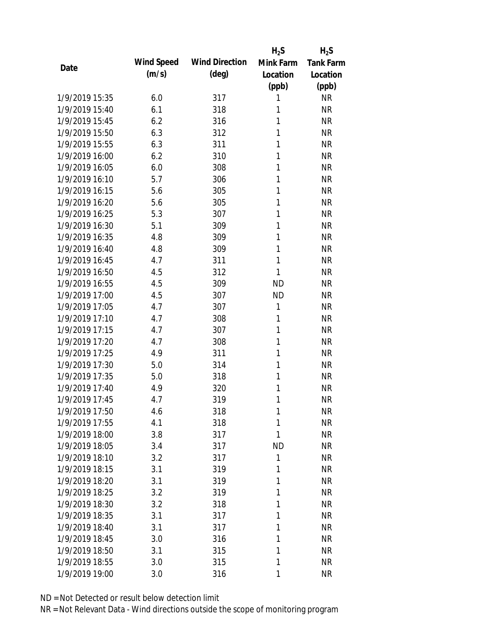|                |            |                       | $H_2S$    | $H_2S$           |
|----------------|------------|-----------------------|-----------|------------------|
| Date           | Wind Speed | <b>Wind Direction</b> | Mink Farm | <b>Tank Farm</b> |
|                | (m/s)      | $(\text{deg})$        | Location  | Location         |
|                |            |                       | (ppb)     | (ppb)            |
| 1/9/2019 15:35 | 6.0        | 317                   | 1         | <b>NR</b>        |
| 1/9/2019 15:40 | 6.1        | 318                   | 1         | <b>NR</b>        |
| 1/9/2019 15:45 | 6.2        | 316                   | 1         | <b>NR</b>        |
| 1/9/2019 15:50 | 6.3        | 312                   | 1         | <b>NR</b>        |
| 1/9/2019 15:55 | 6.3        | 311                   | 1         | <b>NR</b>        |
| 1/9/2019 16:00 | 6.2        | 310                   | 1         | <b>NR</b>        |
| 1/9/2019 16:05 | 6.0        | 308                   | 1         | <b>NR</b>        |
| 1/9/2019 16:10 | 5.7        | 306                   | 1         | <b>NR</b>        |
| 1/9/2019 16:15 | 5.6        | 305                   | 1         | <b>NR</b>        |
| 1/9/2019 16:20 | 5.6        | 305                   | 1         | <b>NR</b>        |
| 1/9/2019 16:25 | 5.3        | 307                   | 1         | <b>NR</b>        |
| 1/9/2019 16:30 | 5.1        | 309                   | 1         | <b>NR</b>        |
| 1/9/2019 16:35 | 4.8        | 309                   | 1         | <b>NR</b>        |
| 1/9/2019 16:40 | 4.8        | 309                   | 1         | <b>NR</b>        |
| 1/9/2019 16:45 | 4.7        | 311                   | 1         | <b>NR</b>        |
| 1/9/2019 16:50 | 4.5        | 312                   | 1         | <b>NR</b>        |
| 1/9/2019 16:55 | 4.5        | 309                   | <b>ND</b> | <b>NR</b>        |
| 1/9/2019 17:00 | 4.5        | 307                   | <b>ND</b> | <b>NR</b>        |
| 1/9/2019 17:05 | 4.7        | 307                   | 1         | <b>NR</b>        |
| 1/9/2019 17:10 | 4.7        | 308                   | 1         | <b>NR</b>        |
| 1/9/2019 17:15 | 4.7        | 307                   | 1         | <b>NR</b>        |
| 1/9/2019 17:20 | 4.7        | 308                   | 1         | <b>NR</b>        |
| 1/9/2019 17:25 | 4.9        | 311                   | 1         | <b>NR</b>        |
| 1/9/2019 17:30 | 5.0        | 314                   | 1         | <b>NR</b>        |
| 1/9/2019 17:35 | 5.0        | 318                   | 1         | <b>NR</b>        |
| 1/9/2019 17:40 | 4.9        | 320                   | 1         | <b>NR</b>        |
| 1/9/2019 17:45 | 4.7        | 319                   | 1         | <b>NR</b>        |
| 1/9/2019 17:50 | 4.6        | 318                   | 1         | <b>NR</b>        |
| 1/9/2019 17:55 | 4.1        | 318                   | 1         | <b>NR</b>        |
| 1/9/2019 18:00 | 3.8        | 317                   | 1         | <b>NR</b>        |
| 1/9/2019 18:05 | 3.4        | 317                   | <b>ND</b> | <b>NR</b>        |
| 1/9/2019 18:10 | 3.2        | 317                   | 1         | <b>NR</b>        |
| 1/9/2019 18:15 | 3.1        | 319                   | 1         | <b>NR</b>        |
| 1/9/2019 18:20 | 3.1        | 319                   | 1         | <b>NR</b>        |
| 1/9/2019 18:25 | 3.2        | 319                   | 1         | <b>NR</b>        |
| 1/9/2019 18:30 | 3.2        | 318                   | 1         | <b>NR</b>        |
| 1/9/2019 18:35 | 3.1        | 317                   | 1         | <b>NR</b>        |
| 1/9/2019 18:40 | 3.1        | 317                   | 1         | <b>NR</b>        |
| 1/9/2019 18:45 | 3.0        | 316                   | 1         | <b>NR</b>        |
| 1/9/2019 18:50 | 3.1        | 315                   | 1         | <b>NR</b>        |
| 1/9/2019 18:55 | 3.0        | 315                   | 1         | <b>NR</b>        |
| 1/9/2019 19:00 | 3.0        | 316                   | 1         | <b>NR</b>        |
|                |            |                       |           |                  |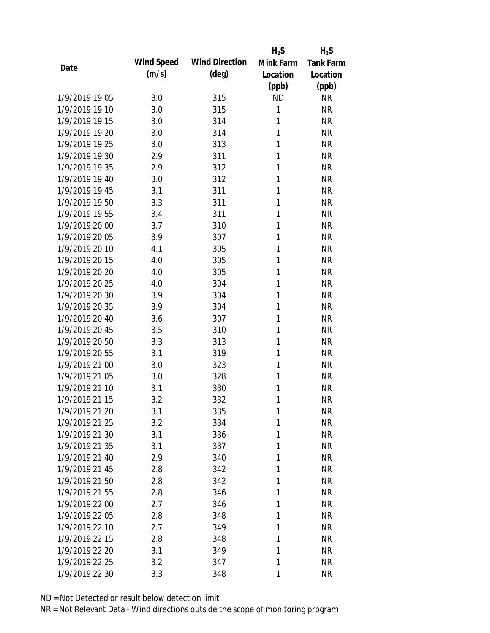|                |            |                       | $H_2S$    | $H_2S$           |
|----------------|------------|-----------------------|-----------|------------------|
|                | Wind Speed | <b>Wind Direction</b> | Mink Farm | <b>Tank Farm</b> |
| Date           | (m/s)      | $(\text{deg})$        | Location  | Location         |
|                |            |                       | (ppb)     | (ppb)            |
| 1/9/2019 19:05 | 3.0        | 315                   | <b>ND</b> | <b>NR</b>        |
| 1/9/2019 19:10 | 3.0        | 315                   | 1         | <b>NR</b>        |
| 1/9/2019 19:15 | 3.0        | 314                   | 1         | <b>NR</b>        |
| 1/9/2019 19:20 | 3.0        | 314                   | 1         | <b>NR</b>        |
| 1/9/2019 19:25 | 3.0        | 313                   | 1         | <b>NR</b>        |
| 1/9/2019 19:30 | 2.9        | 311                   | 1         | <b>NR</b>        |
| 1/9/2019 19:35 | 2.9        | 312                   | 1         | <b>NR</b>        |
| 1/9/2019 19:40 | 3.0        | 312                   | 1         | <b>NR</b>        |
| 1/9/2019 19:45 | 3.1        | 311                   | 1         | <b>NR</b>        |
| 1/9/2019 19:50 | 3.3        | 311                   | 1         | <b>NR</b>        |
| 1/9/2019 19:55 | 3.4        | 311                   | 1         | <b>NR</b>        |
| 1/9/2019 20:00 | 3.7        | 310                   | 1         | <b>NR</b>        |
| 1/9/2019 20:05 | 3.9        | 307                   | 1         | <b>NR</b>        |
| 1/9/2019 20:10 | 4.1        | 305                   | 1         | <b>NR</b>        |
| 1/9/2019 20:15 | 4.0        | 305                   | 1         | <b>NR</b>        |
| 1/9/2019 20:20 | 4.0        | 305                   | 1         | <b>NR</b>        |
| 1/9/2019 20:25 | 4.0        | 304                   | 1         | <b>NR</b>        |
| 1/9/2019 20:30 | 3.9        | 304                   | 1         | <b>NR</b>        |
| 1/9/2019 20:35 | 3.9        | 304                   | 1         | <b>NR</b>        |
| 1/9/2019 20:40 | 3.6        | 307                   | 1         | <b>NR</b>        |
| 1/9/2019 20:45 | 3.5        | 310                   | 1         | <b>NR</b>        |
| 1/9/2019 20:50 | 3.3        | 313                   | 1         | <b>NR</b>        |
| 1/9/2019 20:55 | 3.1        | 319                   | 1         | <b>NR</b>        |
| 1/9/2019 21:00 | 3.0        | 323                   | 1         | <b>NR</b>        |
| 1/9/2019 21:05 | 3.0        | 328                   | 1         | <b>NR</b>        |
| 1/9/2019 21:10 | 3.1        | 330                   | 1         | <b>NR</b>        |
| 1/9/2019 21:15 | 3.2        | 332                   | 1         | <b>NR</b>        |
| 1/9/2019 21:20 | 3.1        | 335                   | 1         | <b>NR</b>        |
| 1/9/2019 21:25 | 3.2        | 334                   | 1         | <b>NR</b>        |
| 1/9/2019 21:30 | 3.1        | 336                   | 1         | <b>NR</b>        |
| 1/9/2019 21:35 | 3.1        | 337                   | 1         | <b>NR</b>        |
| 1/9/2019 21:40 | 2.9        | 340                   | 1         | <b>NR</b>        |
| 1/9/2019 21:45 | 2.8        | 342                   | 1         | <b>NR</b>        |
| 1/9/2019 21:50 | 2.8        | 342                   | 1         | <b>NR</b>        |
| 1/9/2019 21:55 | 2.8        | 346                   | 1         | <b>NR</b>        |
| 1/9/2019 22:00 | 2.7        | 346                   | 1         | <b>NR</b>        |
| 1/9/2019 22:05 | 2.8        | 348                   | 1         | <b>NR</b>        |
| 1/9/2019 22:10 | 2.7        | 349                   | 1         | <b>NR</b>        |
| 1/9/2019 22:15 | 2.8        | 348                   | 1         | <b>NR</b>        |
| 1/9/2019 22:20 | 3.1        | 349                   | 1         | <b>NR</b>        |
| 1/9/2019 22:25 | 3.2        | 347                   | 1         | <b>NR</b>        |
| 1/9/2019 22:30 | 3.3        | 348                   | 1         | <b>NR</b>        |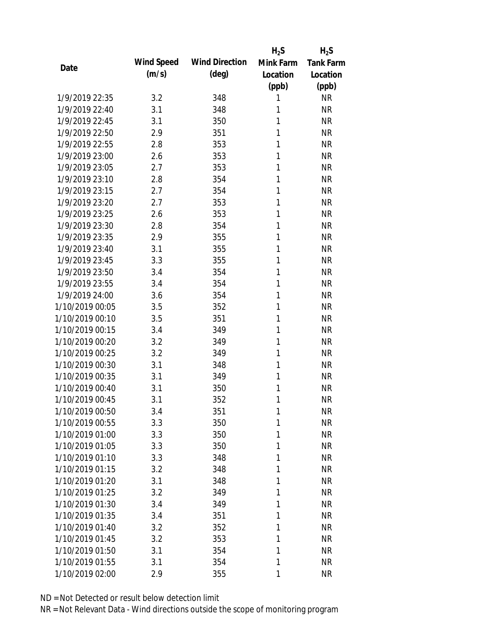|                 |            |                       | $H_2S$    | $H_2S$           |
|-----------------|------------|-----------------------|-----------|------------------|
| Date            | Wind Speed | <b>Wind Direction</b> | Mink Farm | <b>Tank Farm</b> |
|                 | (m/s)      | $(\text{deg})$        | Location  | Location         |
|                 |            |                       | (ppb)     | (ppb)            |
| 1/9/2019 22:35  | 3.2        | 348                   | 1         | <b>NR</b>        |
| 1/9/2019 22:40  | 3.1        | 348                   | 1         | <b>NR</b>        |
| 1/9/2019 22:45  | 3.1        | 350                   | 1         | <b>NR</b>        |
| 1/9/2019 22:50  | 2.9        | 351                   | 1         | <b>NR</b>        |
| 1/9/2019 22:55  | 2.8        | 353                   | 1         | <b>NR</b>        |
| 1/9/2019 23:00  | 2.6        | 353                   | 1         | <b>NR</b>        |
| 1/9/2019 23:05  | 2.7        | 353                   | 1         | <b>NR</b>        |
| 1/9/2019 23:10  | 2.8        | 354                   | 1         | <b>NR</b>        |
| 1/9/2019 23:15  | 2.7        | 354                   | 1         | <b>NR</b>        |
| 1/9/2019 23:20  | 2.7        | 353                   | 1         | <b>NR</b>        |
| 1/9/2019 23:25  | 2.6        | 353                   | 1         | <b>NR</b>        |
| 1/9/2019 23:30  | 2.8        | 354                   | 1         | <b>NR</b>        |
| 1/9/2019 23:35  | 2.9        | 355                   | 1         | <b>NR</b>        |
| 1/9/2019 23:40  | 3.1        | 355                   | 1         | <b>NR</b>        |
| 1/9/2019 23:45  | 3.3        | 355                   | 1         | <b>NR</b>        |
| 1/9/2019 23:50  | 3.4        | 354                   | 1         | <b>NR</b>        |
| 1/9/2019 23:55  | 3.4        | 354                   | 1         | <b>NR</b>        |
| 1/9/2019 24:00  | 3.6        | 354                   | 1         | <b>NR</b>        |
| 1/10/2019 00:05 | 3.5        | 352                   | 1         | <b>NR</b>        |
| 1/10/2019 00:10 | 3.5        | 351                   | 1         | <b>NR</b>        |
| 1/10/2019 00:15 | 3.4        | 349                   | 1         | <b>NR</b>        |
| 1/10/2019 00:20 | 3.2        | 349                   | 1         | <b>NR</b>        |
| 1/10/2019 00:25 | 3.2        | 349                   | 1         | <b>NR</b>        |
| 1/10/2019 00:30 | 3.1        | 348                   | 1         | <b>NR</b>        |
| 1/10/2019 00:35 | 3.1        | 349                   | 1         | <b>NR</b>        |
| 1/10/2019 00:40 | 3.1        | 350                   | 1         | <b>NR</b>        |
| 1/10/2019 00:45 | 3.1        | 352                   | 1         | <b>NR</b>        |
| 1/10/2019 00:50 | 3.4        | 351                   | 1         | <b>NR</b>        |
| 1/10/2019 00:55 | 3.3        | 350                   | 1         | <b>NR</b>        |
| 1/10/2019 01:00 | 3.3        | 350                   | 1         | <b>NR</b>        |
| 1/10/2019 01:05 | 3.3        | 350                   | 1         | <b>NR</b>        |
| 1/10/2019 01:10 | 3.3        | 348                   | 1         | <b>NR</b>        |
| 1/10/2019 01:15 | 3.2        | 348                   | 1         | <b>NR</b>        |
| 1/10/2019 01:20 | 3.1        | 348                   | 1         | <b>NR</b>        |
| 1/10/2019 01:25 | 3.2        | 349                   | 1         | <b>NR</b>        |
| 1/10/2019 01:30 | 3.4        | 349                   | 1         | <b>NR</b>        |
| 1/10/2019 01:35 | 3.4        | 351                   | 1         | <b>NR</b>        |
| 1/10/2019 01:40 | 3.2        | 352                   | 1         | <b>NR</b>        |
| 1/10/2019 01:45 | 3.2        | 353                   | 1         | <b>NR</b>        |
| 1/10/2019 01:50 | 3.1        | 354                   | 1         | <b>NR</b>        |
| 1/10/2019 01:55 | 3.1        | 354                   | 1         | <b>NR</b>        |
| 1/10/2019 02:00 | 2.9        | 355                   | 1         | <b>NR</b>        |
|                 |            |                       |           |                  |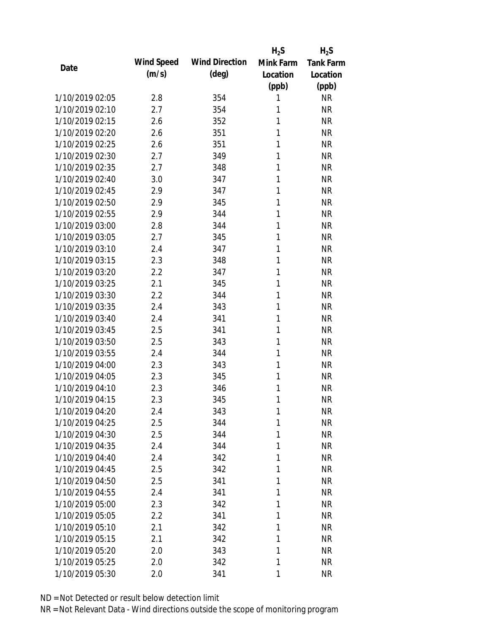|                 |            |                       | $H_2S$    | $H_2S$           |
|-----------------|------------|-----------------------|-----------|------------------|
| Date            | Wind Speed | <b>Wind Direction</b> | Mink Farm | <b>Tank Farm</b> |
|                 | (m/s)      | $(\text{deg})$        | Location  | Location         |
|                 |            |                       | (ppb)     | (ppb)            |
| 1/10/2019 02:05 | 2.8        | 354                   | 1         | <b>NR</b>        |
| 1/10/2019 02:10 | 2.7        | 354                   | 1         | <b>NR</b>        |
| 1/10/2019 02:15 | 2.6        | 352                   | 1         | <b>NR</b>        |
| 1/10/2019 02:20 | 2.6        | 351                   | 1         | <b>NR</b>        |
| 1/10/2019 02:25 | 2.6        | 351                   | 1         | <b>NR</b>        |
| 1/10/2019 02:30 | 2.7        | 349                   | 1         | <b>NR</b>        |
| 1/10/2019 02:35 | 2.7        | 348                   | 1         | <b>NR</b>        |
| 1/10/2019 02:40 | 3.0        | 347                   | 1         | <b>NR</b>        |
| 1/10/2019 02:45 | 2.9        | 347                   | 1         | <b>NR</b>        |
| 1/10/2019 02:50 | 2.9        | 345                   | 1         | <b>NR</b>        |
| 1/10/2019 02:55 | 2.9        | 344                   | 1         | <b>NR</b>        |
| 1/10/2019 03:00 | 2.8        | 344                   | 1         | <b>NR</b>        |
| 1/10/2019 03:05 | 2.7        | 345                   | 1         | <b>NR</b>        |
| 1/10/2019 03:10 | 2.4        | 347                   | 1         | <b>NR</b>        |
| 1/10/2019 03:15 | 2.3        | 348                   | 1         | <b>NR</b>        |
| 1/10/2019 03:20 | 2.2        | 347                   | 1         | <b>NR</b>        |
| 1/10/2019 03:25 | 2.1        | 345                   | 1         | <b>NR</b>        |
| 1/10/2019 03:30 | 2.2        | 344                   | 1         | <b>NR</b>        |
| 1/10/2019 03:35 | 2.4        | 343                   | 1         | <b>NR</b>        |
| 1/10/2019 03:40 | 2.4        | 341                   | 1         | <b>NR</b>        |
| 1/10/2019 03:45 | 2.5        | 341                   | 1         | <b>NR</b>        |
| 1/10/2019 03:50 | 2.5        | 343                   | 1         | <b>NR</b>        |
| 1/10/2019 03:55 | 2.4        | 344                   | 1         | <b>NR</b>        |
| 1/10/2019 04:00 | 2.3        | 343                   | 1         | <b>NR</b>        |
| 1/10/2019 04:05 | 2.3        | 345                   | 1         | <b>NR</b>        |
| 1/10/2019 04:10 | 2.3        | 346                   | 1         | <b>NR</b>        |
| 1/10/2019 04:15 | 2.3        | 345                   | 1         | <b>NR</b>        |
| 1/10/2019 04:20 | 2.4        | 343                   | 1         | <b>NR</b>        |
| 1/10/2019 04:25 | 2.5        | 344                   | 1         | <b>NR</b>        |
| 1/10/2019 04:30 | 2.5        | 344                   | 1         | <b>NR</b>        |
| 1/10/2019 04:35 | 2.4        | 344                   | 1         | <b>NR</b>        |
| 1/10/2019 04:40 | 2.4        | 342                   | 1         | <b>NR</b>        |
| 1/10/2019 04:45 | 2.5        | 342                   | 1         | <b>NR</b>        |
| 1/10/2019 04:50 | 2.5        | 341                   | 1         | <b>NR</b>        |
| 1/10/2019 04:55 | 2.4        | 341                   | 1         | <b>NR</b>        |
| 1/10/2019 05:00 | 2.3        | 342                   | 1         | <b>NR</b>        |
| 1/10/2019 05:05 | 2.2        | 341                   | 1         | <b>NR</b>        |
| 1/10/2019 05:10 | 2.1        | 342                   | 1         | <b>NR</b>        |
| 1/10/2019 05:15 | 2.1        | 342                   | 1         | <b>NR</b>        |
| 1/10/2019 05:20 | 2.0        | 343                   | 1         | <b>NR</b>        |
| 1/10/2019 05:25 | 2.0        | 342                   | 1         | <b>NR</b>        |
| 1/10/2019 05:30 | 2.0        | 341                   | 1         | <b>NR</b>        |
|                 |            |                       |           |                  |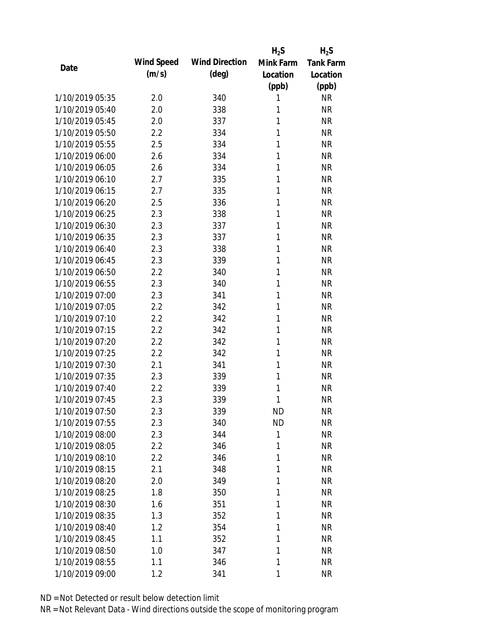|                 |            |                       | $H_2S$    | $H_2S$           |
|-----------------|------------|-----------------------|-----------|------------------|
| Date            | Wind Speed | <b>Wind Direction</b> | Mink Farm | <b>Tank Farm</b> |
|                 | (m/s)      | $(\text{deg})$        | Location  | Location         |
|                 |            |                       | (ppb)     | (ppb)            |
| 1/10/2019 05:35 | 2.0        | 340                   | 1         | <b>NR</b>        |
| 1/10/2019 05:40 | 2.0        | 338                   | 1         | <b>NR</b>        |
| 1/10/2019 05:45 | 2.0        | 337                   | 1         | <b>NR</b>        |
| 1/10/2019 05:50 | 2.2        | 334                   | 1         | <b>NR</b>        |
| 1/10/2019 05:55 | 2.5        | 334                   | 1         | <b>NR</b>        |
| 1/10/2019 06:00 | 2.6        | 334                   | 1         | <b>NR</b>        |
| 1/10/2019 06:05 | 2.6        | 334                   | 1         | <b>NR</b>        |
| 1/10/2019 06:10 | 2.7        | 335                   | 1         | <b>NR</b>        |
| 1/10/2019 06:15 | 2.7        | 335                   | 1         | <b>NR</b>        |
| 1/10/2019 06:20 | 2.5        | 336                   | 1         | <b>NR</b>        |
| 1/10/2019 06:25 | 2.3        | 338                   | 1         | <b>NR</b>        |
| 1/10/2019 06:30 | 2.3        | 337                   | 1         | <b>NR</b>        |
| 1/10/2019 06:35 | 2.3        | 337                   | 1         | <b>NR</b>        |
| 1/10/2019 06:40 | 2.3        | 338                   | 1         | <b>NR</b>        |
| 1/10/2019 06:45 | 2.3        | 339                   | 1         | <b>NR</b>        |
| 1/10/2019 06:50 | 2.2        | 340                   | 1         | <b>NR</b>        |
| 1/10/2019 06:55 | 2.3        | 340                   | 1         | <b>NR</b>        |
| 1/10/2019 07:00 | 2.3        | 341                   | 1         | <b>NR</b>        |
| 1/10/2019 07:05 | 2.2        | 342                   | 1         | <b>NR</b>        |
| 1/10/2019 07:10 | 2.2        | 342                   | 1         | <b>NR</b>        |
| 1/10/2019 07:15 | 2.2        | 342                   | 1         | <b>NR</b>        |
| 1/10/2019 07:20 | 2.2        | 342                   | 1         | <b>NR</b>        |
| 1/10/2019 07:25 | 2.2        | 342                   | 1         | <b>NR</b>        |
| 1/10/2019 07:30 | 2.1        | 341                   | 1         | <b>NR</b>        |
| 1/10/2019 07:35 | 2.3        | 339                   | 1         | <b>NR</b>        |
| 1/10/2019 07:40 | 2.2        | 339                   | 1         | <b>NR</b>        |
| 1/10/2019 07:45 | 2.3        | 339                   | 1         | <b>NR</b>        |
| 1/10/2019 07:50 | 2.3        | 339                   | <b>ND</b> | <b>NR</b>        |
| 1/10/2019 07:55 | 2.3        | 340                   | <b>ND</b> | <b>NR</b>        |
| 1/10/2019 08:00 | 2.3        | 344                   | 1         | <b>NR</b>        |
| 1/10/2019 08:05 | 2.2        | 346                   | 1         | <b>NR</b>        |
| 1/10/2019 08:10 | 2.2        | 346                   | 1         | <b>NR</b>        |
| 1/10/2019 08:15 | 2.1        | 348                   | 1         | <b>NR</b>        |
| 1/10/2019 08:20 | 2.0        | 349                   | 1         | <b>NR</b>        |
| 1/10/2019 08:25 | 1.8        | 350                   | 1         | <b>NR</b>        |
| 1/10/2019 08:30 | 1.6        | 351                   | 1         | <b>NR</b>        |
| 1/10/2019 08:35 | 1.3        | 352                   | 1         | <b>NR</b>        |
| 1/10/2019 08:40 | 1.2        | 354                   | 1         | <b>NR</b>        |
| 1/10/2019 08:45 | 1.1        | 352                   | 1         | <b>NR</b>        |
| 1/10/2019 08:50 | 1.0        | 347                   | 1         | <b>NR</b>        |
| 1/10/2019 08:55 | 1.1        | 346                   | 1         | <b>NR</b>        |
| 1/10/2019 09:00 | 1.2        | 341                   | 1         | <b>NR</b>        |
|                 |            |                       |           |                  |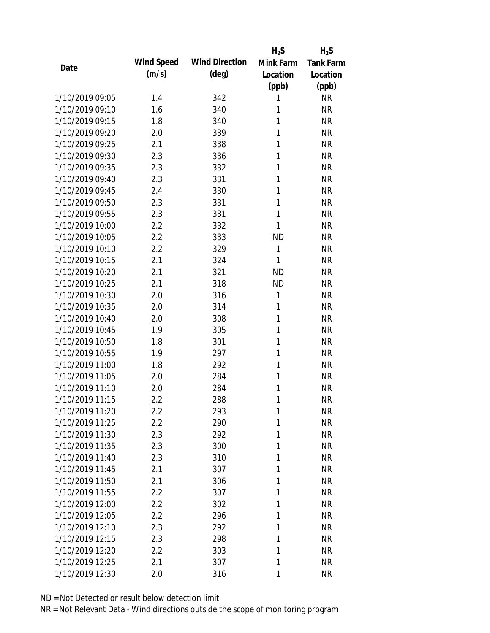|      |                 |            |                       | $H_2S$    | $H_2S$           |
|------|-----------------|------------|-----------------------|-----------|------------------|
| Date |                 | Wind Speed | <b>Wind Direction</b> | Mink Farm | <b>Tank Farm</b> |
|      |                 | (m/s)      | $(\text{deg})$        | Location  | Location         |
|      |                 |            |                       | (ppb)     | (ppb)            |
|      | 1/10/2019 09:05 | 1.4        | 342                   | 1         | <b>NR</b>        |
|      | 1/10/2019 09:10 | 1.6        | 340                   | 1         | <b>NR</b>        |
|      | 1/10/2019 09:15 | 1.8        | 340                   | 1         | <b>NR</b>        |
|      | 1/10/2019 09:20 | 2.0        | 339                   | 1         | <b>NR</b>        |
|      | 1/10/2019 09:25 | 2.1        | 338                   | 1         | <b>NR</b>        |
|      | 1/10/2019 09:30 | 2.3        | 336                   | 1         | <b>NR</b>        |
|      | 1/10/2019 09:35 | 2.3        | 332                   | 1         | <b>NR</b>        |
|      | 1/10/2019 09:40 | 2.3        | 331                   | 1         | <b>NR</b>        |
|      | 1/10/2019 09:45 | 2.4        | 330                   | 1         | <b>NR</b>        |
|      | 1/10/2019 09:50 | 2.3        | 331                   | 1         | <b>NR</b>        |
|      | 1/10/2019 09:55 | 2.3        | 331                   | 1         | <b>NR</b>        |
|      | 1/10/2019 10:00 | 2.2        | 332                   | 1         | <b>NR</b>        |
|      | 1/10/2019 10:05 | 2.2        | 333                   | <b>ND</b> | <b>NR</b>        |
|      | 1/10/2019 10:10 | 2.2        | 329                   | 1         | <b>NR</b>        |
|      | 1/10/2019 10:15 | 2.1        | 324                   | 1         | <b>NR</b>        |
|      | 1/10/2019 10:20 | 2.1        | 321                   | <b>ND</b> | <b>NR</b>        |
|      | 1/10/2019 10:25 | 2.1        | 318                   | <b>ND</b> | <b>NR</b>        |
|      | 1/10/2019 10:30 | 2.0        | 316                   | 1         | <b>NR</b>        |
|      | 1/10/2019 10:35 | 2.0        | 314                   | 1         | <b>NR</b>        |
|      | 1/10/2019 10:40 | 2.0        | 308                   | 1         | <b>NR</b>        |
|      | 1/10/2019 10:45 | 1.9        | 305                   | 1         | <b>NR</b>        |
|      | 1/10/2019 10:50 | 1.8        | 301                   | 1         | <b>NR</b>        |
|      | 1/10/2019 10:55 | 1.9        | 297                   | 1         | <b>NR</b>        |
|      | 1/10/2019 11:00 | 1.8        | 292                   | 1         | <b>NR</b>        |
|      | 1/10/2019 11:05 | 2.0        | 284                   | 1         | <b>NR</b>        |
|      | 1/10/2019 11:10 | 2.0        | 284                   | 1         | <b>NR</b>        |
|      | 1/10/2019 11:15 | 2.2        | 288                   | 1         | <b>NR</b>        |
|      | 1/10/2019 11:20 | 2.2        | 293                   | 1         | <b>NR</b>        |
|      | 1/10/2019 11:25 | 2.2        | 290                   | 1         | <b>NR</b>        |
|      | 1/10/2019 11:30 | 2.3        | 292                   | 1         | <b>NR</b>        |
|      | 1/10/2019 11:35 | 2.3        | 300                   | 1         | <b>NR</b>        |
|      | 1/10/2019 11:40 | 2.3        | 310                   | 1         | <b>NR</b>        |
|      | 1/10/2019 11:45 | 2.1        | 307                   | 1         | <b>NR</b>        |
|      | 1/10/2019 11:50 | 2.1        | 306                   | 1         | <b>NR</b>        |
|      | 1/10/2019 11:55 | 2.2        | 307                   | 1         | <b>NR</b>        |
|      | 1/10/2019 12:00 | 2.2        | 302                   | 1         | <b>NR</b>        |
|      | 1/10/2019 12:05 | 2.2        | 296                   | 1         | <b>NR</b>        |
|      | 1/10/2019 12:10 | 2.3        | 292                   | 1         | <b>NR</b>        |
|      | 1/10/2019 12:15 | 2.3        | 298                   | 1         | <b>NR</b>        |
|      | 1/10/2019 12:20 | 2.2        | 303                   | 1         | <b>NR</b>        |
|      | 1/10/2019 12:25 | 2.1        | 307                   | 1         | <b>NR</b>        |
|      | 1/10/2019 12:30 |            | 316                   | 1         | <b>NR</b>        |
|      |                 | 2.0        |                       |           |                  |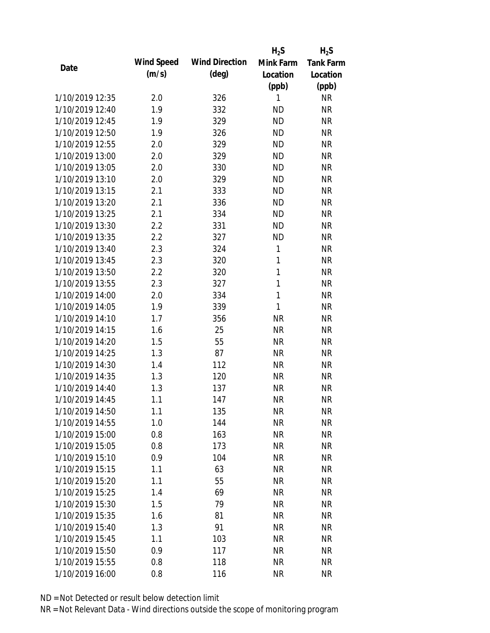|      |                 |            |                       | $H_2S$       | $H_2S$           |
|------|-----------------|------------|-----------------------|--------------|------------------|
| Date |                 | Wind Speed | <b>Wind Direction</b> | Mink Farm    | <b>Tank Farm</b> |
|      |                 | (m/s)      | $(\text{deg})$        | Location     | Location         |
|      |                 |            |                       | (ppb)        | (ppb)            |
|      | 1/10/2019 12:35 | 2.0        | 326                   | 1            | <b>NR</b>        |
|      | 1/10/2019 12:40 | 1.9        | 332                   | <b>ND</b>    | <b>NR</b>        |
|      | 1/10/2019 12:45 | 1.9        | 329                   | <b>ND</b>    | <b>NR</b>        |
|      | 1/10/2019 12:50 | 1.9        | 326                   | <b>ND</b>    | <b>NR</b>        |
|      | 1/10/2019 12:55 | 2.0        | 329                   | <b>ND</b>    | <b>NR</b>        |
|      | 1/10/2019 13:00 | 2.0        | 329                   | <b>ND</b>    | <b>NR</b>        |
|      | 1/10/2019 13:05 | 2.0        | 330                   | <b>ND</b>    | <b>NR</b>        |
|      | 1/10/2019 13:10 | 2.0        | 329                   | <b>ND</b>    | <b>NR</b>        |
|      | 1/10/2019 13:15 | 2.1        | 333                   | <b>ND</b>    | <b>NR</b>        |
|      | 1/10/2019 13:20 | 2.1        | 336                   | <b>ND</b>    | <b>NR</b>        |
|      | 1/10/2019 13:25 | 2.1        | 334                   | <b>ND</b>    | <b>NR</b>        |
|      | 1/10/2019 13:30 | 2.2        | 331                   | <b>ND</b>    | <b>NR</b>        |
|      | 1/10/2019 13:35 | 2.2        | 327                   | <b>ND</b>    | <b>NR</b>        |
|      | 1/10/2019 13:40 | 2.3        | 324                   | 1            | <b>NR</b>        |
|      | 1/10/2019 13:45 | 2.3        | 320                   | 1            | <b>NR</b>        |
|      | 1/10/2019 13:50 | 2.2        | 320                   | 1            | <b>NR</b>        |
|      | 1/10/2019 13:55 | 2.3        | 327                   | 1            | <b>NR</b>        |
|      | 1/10/2019 14:00 | 2.0        | 334                   | $\mathbf{1}$ | <b>NR</b>        |
|      | 1/10/2019 14:05 | 1.9        | 339                   | 1            | <b>NR</b>        |
|      | 1/10/2019 14:10 | 1.7        | 356                   | <b>NR</b>    | <b>NR</b>        |
|      | 1/10/2019 14:15 | 1.6        | 25                    | <b>NR</b>    | <b>NR</b>        |
|      | 1/10/2019 14:20 | 1.5        | 55                    | <b>NR</b>    | <b>NR</b>        |
|      | 1/10/2019 14:25 | 1.3        | 87                    | <b>NR</b>    | <b>NR</b>        |
|      | 1/10/2019 14:30 | 1.4        | 112                   | <b>NR</b>    | <b>NR</b>        |
|      | 1/10/2019 14:35 | 1.3        | 120                   | <b>NR</b>    | <b>NR</b>        |
|      | 1/10/2019 14:40 | 1.3        | 137                   | <b>NR</b>    | <b>NR</b>        |
|      | 1/10/2019 14:45 | 1.1        | 147                   | <b>NR</b>    | <b>NR</b>        |
|      | 1/10/2019 14:50 | 1.1        | 135                   | <b>NR</b>    | <b>NR</b>        |
|      | 1/10/2019 14:55 | 1.0        | 144                   | <b>NR</b>    | <b>NR</b>        |
|      | 1/10/2019 15:00 | 0.8        | 163                   | <b>NR</b>    | <b>NR</b>        |
|      | 1/10/2019 15:05 | 0.8        | 173                   | <b>NR</b>    | <b>NR</b>        |
|      | 1/10/2019 15:10 | 0.9        | 104                   | <b>NR</b>    | NR               |
|      | 1/10/2019 15:15 | 1.1        | 63                    | <b>NR</b>    | <b>NR</b>        |
|      | 1/10/2019 15:20 | 1.1        | 55                    | <b>NR</b>    | <b>NR</b>        |
|      | 1/10/2019 15:25 | 1.4        | 69                    | <b>NR</b>    | <b>NR</b>        |
|      | 1/10/2019 15:30 | 1.5        | 79                    | <b>NR</b>    | <b>NR</b>        |
|      | 1/10/2019 15:35 | 1.6        | 81                    | <b>NR</b>    | <b>NR</b>        |
|      | 1/10/2019 15:40 | 1.3        | 91                    | <b>NR</b>    | <b>NR</b>        |
|      | 1/10/2019 15:45 | 1.1        | 103                   | <b>NR</b>    | <b>NR</b>        |
|      | 1/10/2019 15:50 | 0.9        | 117                   | <b>NR</b>    | <b>NR</b>        |
|      | 1/10/2019 15:55 | 0.8        | 118                   | <b>NR</b>    | <b>NR</b>        |
|      | 1/10/2019 16:00 |            |                       | <b>NR</b>    | <b>NR</b>        |
|      |                 | 0.8        | 116                   |              |                  |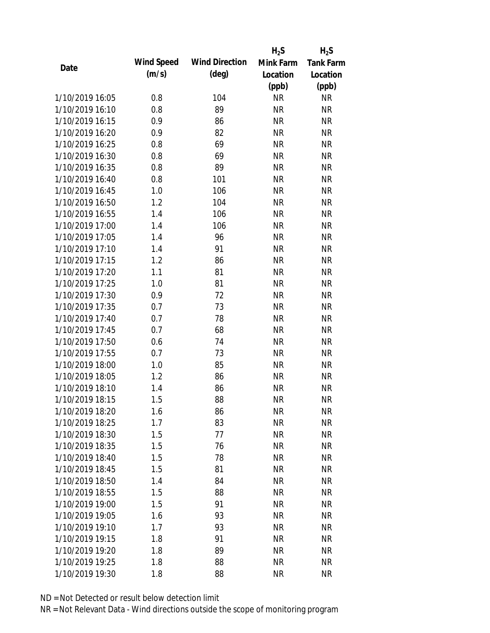|                 |            |                       | $H_2S$    | $H_2S$           |
|-----------------|------------|-----------------------|-----------|------------------|
| Date            | Wind Speed | <b>Wind Direction</b> | Mink Farm | <b>Tank Farm</b> |
|                 | (m/s)      | $(\text{deg})$        | Location  | Location         |
|                 |            |                       | (ppb)     | (ppb)            |
| 1/10/2019 16:05 | 0.8        | 104                   | <b>NR</b> | <b>NR</b>        |
| 1/10/2019 16:10 | 0.8        | 89                    | <b>NR</b> | <b>NR</b>        |
| 1/10/2019 16:15 | 0.9        | 86                    | <b>NR</b> | <b>NR</b>        |
| 1/10/2019 16:20 | 0.9        | 82                    | <b>NR</b> | <b>NR</b>        |
| 1/10/2019 16:25 | 0.8        | 69                    | <b>NR</b> | <b>NR</b>        |
| 1/10/2019 16:30 | 0.8        | 69                    | <b>NR</b> | <b>NR</b>        |
| 1/10/2019 16:35 | 0.8        | 89                    | <b>NR</b> | <b>NR</b>        |
| 1/10/2019 16:40 | 0.8        | 101                   | <b>NR</b> | <b>NR</b>        |
| 1/10/2019 16:45 | 1.0        | 106                   | <b>NR</b> | <b>NR</b>        |
| 1/10/2019 16:50 | 1.2        | 104                   | <b>NR</b> | <b>NR</b>        |
| 1/10/2019 16:55 | 1.4        | 106                   | <b>NR</b> | <b>NR</b>        |
| 1/10/2019 17:00 | 1.4        | 106                   | <b>NR</b> | <b>NR</b>        |
| 1/10/2019 17:05 | 1.4        | 96                    | <b>NR</b> | <b>NR</b>        |
| 1/10/2019 17:10 | 1.4        | 91                    | <b>NR</b> | <b>NR</b>        |
| 1/10/2019 17:15 | 1.2        | 86                    | <b>NR</b> | <b>NR</b>        |
| 1/10/2019 17:20 | 1.1        | 81                    | <b>NR</b> | <b>NR</b>        |
| 1/10/2019 17:25 | 1.0        | 81                    | <b>NR</b> | <b>NR</b>        |
| 1/10/2019 17:30 | 0.9        | 72                    | <b>NR</b> | <b>NR</b>        |
| 1/10/2019 17:35 | 0.7        | 73                    | <b>NR</b> | <b>NR</b>        |
| 1/10/2019 17:40 | 0.7        | 78                    | <b>NR</b> | <b>NR</b>        |
| 1/10/2019 17:45 | 0.7        | 68                    | <b>NR</b> | <b>NR</b>        |
| 1/10/2019 17:50 | 0.6        | 74                    | <b>NR</b> | <b>NR</b>        |
| 1/10/2019 17:55 | 0.7        | 73                    | <b>NR</b> | <b>NR</b>        |
| 1/10/2019 18:00 | 1.0        | 85                    | <b>NR</b> | <b>NR</b>        |
| 1/10/2019 18:05 | 1.2        | 86                    | <b>NR</b> | <b>NR</b>        |
| 1/10/2019 18:10 | 1.4        | 86                    | <b>NR</b> | <b>NR</b>        |
| 1/10/2019 18:15 | 1.5        | 88                    | <b>NR</b> | <b>NR</b>        |
| 1/10/2019 18:20 | 1.6        | 86                    | <b>NR</b> | <b>NR</b>        |
| 1/10/2019 18:25 | 1.7        | 83                    | <b>NR</b> | <b>NR</b>        |
| 1/10/2019 18:30 | 1.5        | 77                    | <b>NR</b> | NR               |
| 1/10/2019 18:35 | 1.5        | 76                    | <b>NR</b> | <b>NR</b>        |
| 1/10/2019 18:40 | 1.5        | 78                    | <b>NR</b> | NR               |
| 1/10/2019 18:45 | 1.5        | 81                    | <b>NR</b> | <b>NR</b>        |
| 1/10/2019 18:50 | 1.4        | 84                    | <b>NR</b> | NR               |
| 1/10/2019 18:55 | 1.5        | 88                    | <b>NR</b> | <b>NR</b>        |
| 1/10/2019 19:00 | 1.5        | 91                    | <b>NR</b> | <b>NR</b>        |
| 1/10/2019 19:05 | 1.6        | 93                    | <b>NR</b> | <b>NR</b>        |
| 1/10/2019 19:10 | 1.7        | 93                    | NR        | <b>NR</b>        |
| 1/10/2019 19:15 | 1.8        | 91                    | <b>NR</b> | <b>NR</b>        |
| 1/10/2019 19:20 | 1.8        | 89                    | <b>NR</b> | <b>NR</b>        |
| 1/10/2019 19:25 | 1.8        | 88                    | <b>NR</b> | <b>NR</b>        |
| 1/10/2019 19:30 | 1.8        | 88                    | <b>NR</b> | <b>NR</b>        |
|                 |            |                       |           |                  |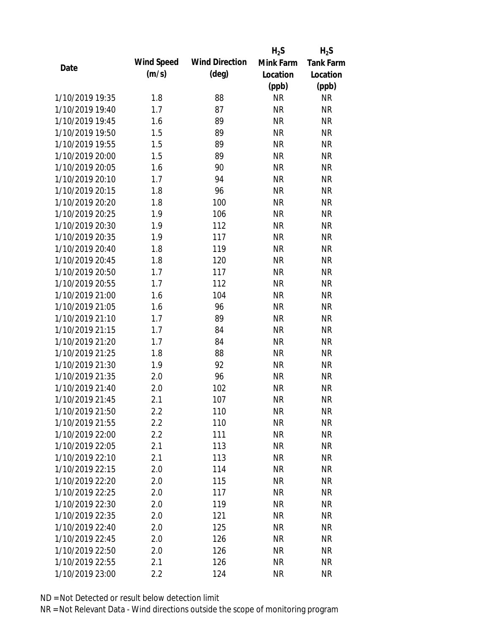|                 |            |                       | $H_2S$    | $H_2S$           |
|-----------------|------------|-----------------------|-----------|------------------|
| Date            | Wind Speed | <b>Wind Direction</b> | Mink Farm | <b>Tank Farm</b> |
|                 | (m/s)      | $(\text{deg})$        | Location  | Location         |
|                 |            |                       | (ppb)     | (ppb)            |
| 1/10/2019 19:35 | 1.8        | 88                    | <b>NR</b> | NR               |
| 1/10/2019 19:40 | 1.7        | 87                    | <b>NR</b> | <b>NR</b>        |
| 1/10/2019 19:45 | 1.6        | 89                    | <b>NR</b> | <b>NR</b>        |
| 1/10/2019 19:50 | 1.5        | 89                    | <b>NR</b> | <b>NR</b>        |
| 1/10/2019 19:55 | 1.5        | 89                    | <b>NR</b> | <b>NR</b>        |
| 1/10/2019 20:00 | 1.5        | 89                    | <b>NR</b> | <b>NR</b>        |
| 1/10/2019 20:05 | 1.6        | 90                    | <b>NR</b> | <b>NR</b>        |
| 1/10/2019 20:10 | 1.7        | 94                    | <b>NR</b> | <b>NR</b>        |
| 1/10/2019 20:15 | 1.8        | 96                    | <b>NR</b> | <b>NR</b>        |
| 1/10/2019 20:20 | 1.8        | 100                   | <b>NR</b> | <b>NR</b>        |
| 1/10/2019 20:25 | 1.9        | 106                   | <b>NR</b> | <b>NR</b>        |
| 1/10/2019 20:30 | 1.9        | 112                   | <b>NR</b> | <b>NR</b>        |
| 1/10/2019 20:35 | 1.9        | 117                   | <b>NR</b> | <b>NR</b>        |
| 1/10/2019 20:40 | 1.8        | 119                   | <b>NR</b> | <b>NR</b>        |
| 1/10/2019 20:45 | 1.8        | 120                   | <b>NR</b> | <b>NR</b>        |
| 1/10/2019 20:50 | 1.7        | 117                   | <b>NR</b> | <b>NR</b>        |
| 1/10/2019 20:55 | 1.7        | 112                   | <b>NR</b> | <b>NR</b>        |
| 1/10/2019 21:00 | 1.6        | 104                   | <b>NR</b> | <b>NR</b>        |
| 1/10/2019 21:05 | 1.6        | 96                    | <b>NR</b> | <b>NR</b>        |
| 1/10/2019 21:10 | 1.7        | 89                    | <b>NR</b> | <b>NR</b>        |
| 1/10/2019 21:15 | 1.7        | 84                    | <b>NR</b> | <b>NR</b>        |
| 1/10/2019 21:20 | 1.7        | 84                    | <b>NR</b> | <b>NR</b>        |
| 1/10/2019 21:25 | 1.8        | 88                    | <b>NR</b> | <b>NR</b>        |
| 1/10/2019 21:30 | 1.9        | 92                    | <b>NR</b> | <b>NR</b>        |
| 1/10/2019 21:35 | 2.0        | 96                    | <b>NR</b> | <b>NR</b>        |
| 1/10/2019 21:40 | 2.0        | 102                   | <b>NR</b> | <b>NR</b>        |
| 1/10/2019 21:45 | 2.1        | 107                   | <b>NR</b> | <b>NR</b>        |
| 1/10/2019 21:50 | $2.2\,$    | 110                   | <b>NR</b> | <b>NR</b>        |
| 1/10/2019 21:55 | 2.2        | 110                   | <b>NR</b> | <b>NR</b>        |
| 1/10/2019 22:00 | 2.2        | 111                   | <b>NR</b> | NR               |
| 1/10/2019 22:05 | 2.1        | 113                   | <b>NR</b> | <b>NR</b>        |
| 1/10/2019 22:10 | 2.1        | 113                   | <b>NR</b> | NR               |
| 1/10/2019 22:15 | 2.0        | 114                   | <b>NR</b> | NR               |
| 1/10/2019 22:20 | 2.0        | 115                   | <b>NR</b> | NR               |
| 1/10/2019 22:25 | 2.0        | 117                   | <b>NR</b> | <b>NR</b>        |
| 1/10/2019 22:30 | 2.0        | 119                   | <b>NR</b> | <b>NR</b>        |
| 1/10/2019 22:35 | 2.0        | 121                   | <b>NR</b> | <b>NR</b>        |
| 1/10/2019 22:40 | 2.0        | 125                   | <b>NR</b> | <b>NR</b>        |
| 1/10/2019 22:45 | 2.0        | 126                   | <b>NR</b> | <b>NR</b>        |
| 1/10/2019 22:50 | 2.0        | 126                   | <b>NR</b> | NR               |
| 1/10/2019 22:55 | 2.1        | 126                   | <b>NR</b> | <b>NR</b>        |
| 1/10/2019 23:00 | 2.2        | 124                   | <b>NR</b> | <b>NR</b>        |
|                 |            |                       |           |                  |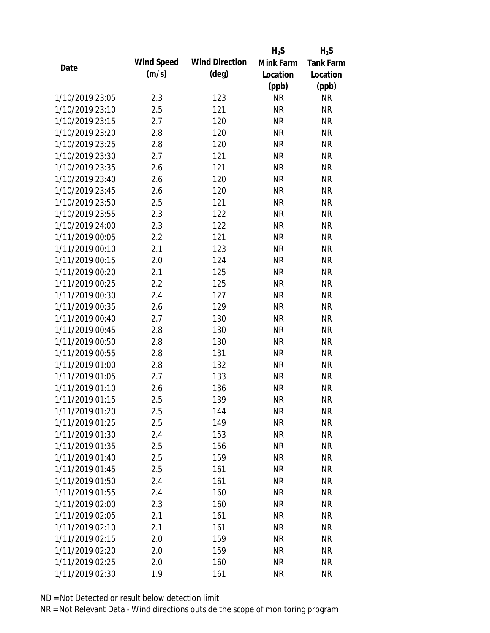|                 |            |                       | $H_2S$    | $H_2S$           |
|-----------------|------------|-----------------------|-----------|------------------|
| Date            | Wind Speed | <b>Wind Direction</b> | Mink Farm | <b>Tank Farm</b> |
|                 | (m/s)      | $(\text{deg})$        | Location  | Location         |
|                 |            |                       | (ppb)     | (ppb)            |
| 1/10/2019 23:05 | 2.3        | 123                   | <b>NR</b> | NR               |
| 1/10/2019 23:10 | 2.5        | 121                   | <b>NR</b> | <b>NR</b>        |
| 1/10/2019 23:15 | 2.7        | 120                   | <b>NR</b> | <b>NR</b>        |
| 1/10/2019 23:20 | 2.8        | 120                   | <b>NR</b> | <b>NR</b>        |
| 1/10/2019 23:25 | 2.8        | 120                   | <b>NR</b> | <b>NR</b>        |
| 1/10/2019 23:30 | 2.7        | 121                   | <b>NR</b> | <b>NR</b>        |
| 1/10/2019 23:35 | 2.6        | 121                   | <b>NR</b> | <b>NR</b>        |
| 1/10/2019 23:40 | 2.6        | 120                   | <b>NR</b> | <b>NR</b>        |
| 1/10/2019 23:45 | 2.6        | 120                   | <b>NR</b> | <b>NR</b>        |
| 1/10/2019 23:50 | 2.5        | 121                   | <b>NR</b> | <b>NR</b>        |
| 1/10/2019 23:55 | 2.3        | 122                   | <b>NR</b> | <b>NR</b>        |
| 1/10/2019 24:00 | 2.3        | 122                   | <b>NR</b> | <b>NR</b>        |
| 1/11/2019 00:05 | 2.2        | 121                   | <b>NR</b> | <b>NR</b>        |
| 1/11/2019 00:10 | 2.1        | 123                   | <b>NR</b> | <b>NR</b>        |
| 1/11/2019 00:15 | 2.0        | 124                   | <b>NR</b> | <b>NR</b>        |
| 1/11/2019 00:20 | 2.1        | 125                   | <b>NR</b> | <b>NR</b>        |
| 1/11/2019 00:25 | 2.2        | 125                   | <b>NR</b> | <b>NR</b>        |
| 1/11/2019 00:30 | 2.4        | 127                   | <b>NR</b> | <b>NR</b>        |
| 1/11/2019 00:35 | 2.6        | 129                   | <b>NR</b> | <b>NR</b>        |
| 1/11/2019 00:40 | 2.7        | 130                   | <b>NR</b> | <b>NR</b>        |
| 1/11/2019 00:45 | 2.8        | 130                   | <b>NR</b> | <b>NR</b>        |
| 1/11/2019 00:50 | 2.8        | 130                   | <b>NR</b> | <b>NR</b>        |
| 1/11/2019 00:55 | 2.8        | 131                   | <b>NR</b> | <b>NR</b>        |
| 1/11/2019 01:00 | 2.8        | 132                   | <b>NR</b> | <b>NR</b>        |
| 1/11/2019 01:05 | 2.7        | 133                   | <b>NR</b> | <b>NR</b>        |
| 1/11/2019 01:10 | 2.6        | 136                   | <b>NR</b> | <b>NR</b>        |
| 1/11/2019 01:15 | 2.5        | 139                   | <b>NR</b> | <b>NR</b>        |
| 1/11/2019 01:20 | 2.5        | 144                   | <b>NR</b> | <b>NR</b>        |
| 1/11/2019 01:25 | 2.5        | 149                   | <b>NR</b> | <b>NR</b>        |
| 1/11/2019 01:30 | 2.4        | 153                   | <b>NR</b> | <b>NR</b>        |
| 1/11/2019 01:35 | 2.5        | 156                   | <b>NR</b> | <b>NR</b>        |
| 1/11/2019 01:40 | 2.5        | 159                   | <b>NR</b> | NR               |
| 1/11/2019 01:45 | 2.5        | 161                   | <b>NR</b> | <b>NR</b>        |
| 1/11/2019 01:50 | 2.4        | 161                   | <b>NR</b> | <b>NR</b>        |
| 1/11/2019 01:55 | 2.4        | 160                   | <b>NR</b> | <b>NR</b>        |
| 1/11/2019 02:00 | 2.3        | 160                   | <b>NR</b> | <b>NR</b>        |
| 1/11/2019 02:05 | 2.1        | 161                   | <b>NR</b> | <b>NR</b>        |
| 1/11/2019 02:10 | 2.1        | 161                   | NR        | <b>NR</b>        |
| 1/11/2019 02:15 | 2.0        | 159                   | <b>NR</b> | NR               |
| 1/11/2019 02:20 | 2.0        | 159                   | <b>NR</b> | NR               |
| 1/11/2019 02:25 | 2.0        | 160                   | <b>NR</b> | <b>NR</b>        |
| 1/11/2019 02:30 | 1.9        | 161                   | <b>NR</b> | <b>NR</b>        |
|                 |            |                       |           |                  |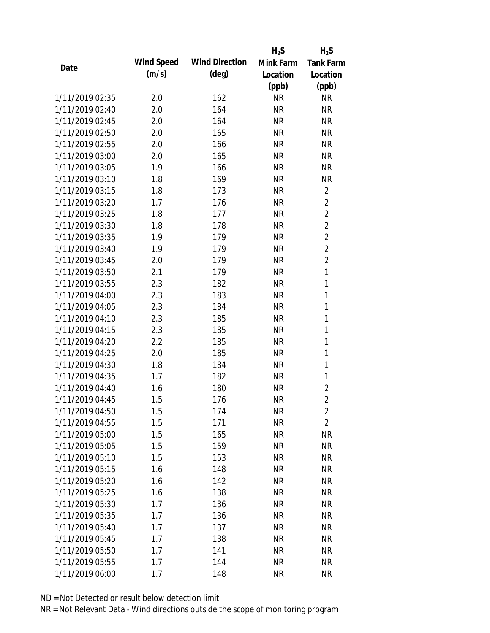|                 |            |                       | $H_2S$    | $H_2S$           |
|-----------------|------------|-----------------------|-----------|------------------|
| Date            | Wind Speed | <b>Wind Direction</b> | Mink Farm | <b>Tank Farm</b> |
|                 | (m/s)      | $(\text{deg})$        | Location  | Location         |
|                 |            |                       | (ppb)     | (ppb)            |
| 1/11/2019 02:35 | 2.0        | 162                   | <b>NR</b> | <b>NR</b>        |
| 1/11/2019 02:40 | 2.0        | 164                   | <b>NR</b> | <b>NR</b>        |
| 1/11/2019 02:45 | 2.0        | 164                   | <b>NR</b> | <b>NR</b>        |
| 1/11/2019 02:50 | 2.0        | 165                   | <b>NR</b> | <b>NR</b>        |
| 1/11/2019 02:55 | 2.0        | 166                   | <b>NR</b> | <b>NR</b>        |
| 1/11/2019 03:00 | 2.0        | 165                   | <b>NR</b> | <b>NR</b>        |
| 1/11/2019 03:05 | 1.9        | 166                   | <b>NR</b> | <b>NR</b>        |
| 1/11/2019 03:10 | 1.8        | 169                   | <b>NR</b> | <b>NR</b>        |
| 1/11/2019 03:15 | 1.8        | 173                   | <b>NR</b> | $\overline{2}$   |
| 1/11/2019 03:20 | 1.7        | 176                   | <b>NR</b> | $\overline{2}$   |
| 1/11/2019 03:25 | 1.8        | 177                   | <b>NR</b> | $\overline{2}$   |
| 1/11/2019 03:30 | 1.8        | 178                   | <b>NR</b> | $\overline{2}$   |
| 1/11/2019 03:35 | 1.9        | 179                   | <b>NR</b> | $\overline{2}$   |
| 1/11/2019 03:40 | 1.9        | 179                   | <b>NR</b> | $\overline{2}$   |
| 1/11/2019 03:45 | 2.0        | 179                   | <b>NR</b> | $\overline{2}$   |
| 1/11/2019 03:50 | 2.1        | 179                   | <b>NR</b> | 1                |
| 1/11/2019 03:55 | 2.3        | 182                   | <b>NR</b> | 1                |
| 1/11/2019 04:00 | 2.3        | 183                   | <b>NR</b> | 1                |
| 1/11/2019 04:05 | 2.3        | 184                   | <b>NR</b> | $\mathbf{1}$     |
| 1/11/2019 04:10 | 2.3        | 185                   | <b>NR</b> | 1                |
| 1/11/2019 04:15 | 2.3        | 185                   | <b>NR</b> | $\mathbf{1}$     |
| 1/11/2019 04:20 | 2.2        | 185                   | <b>NR</b> | $\mathbf{1}$     |
| 1/11/2019 04:25 | 2.0        | 185                   | <b>NR</b> | 1                |
| 1/11/2019 04:30 | 1.8        | 184                   | <b>NR</b> | $\mathbf{1}$     |
| 1/11/2019 04:35 | 1.7        | 182                   | <b>NR</b> | 1                |
| 1/11/2019 04:40 | 1.6        | 180                   | <b>NR</b> | $\overline{2}$   |
| 1/11/2019 04:45 | 1.5        | 176                   | <b>NR</b> | $\overline{2}$   |
| 1/11/2019 04:50 | 1.5        | 174                   | <b>NR</b> | $\overline{2}$   |
| 1/11/2019 04:55 | 1.5        | 171                   | <b>NR</b> | $\overline{2}$   |
| 1/11/2019 05:00 | 1.5        | 165                   | <b>NR</b> | <b>NR</b>        |
| 1/11/2019 05:05 | 1.5        | 159                   | <b>NR</b> | <b>NR</b>        |
| 1/11/2019 05:10 | 1.5        | 153                   | <b>NR</b> | NR               |
| 1/11/2019 05:15 | 1.6        | 148                   | <b>NR</b> | NR               |
| 1/11/2019 05:20 | 1.6        | 142                   | <b>NR</b> | <b>NR</b>        |
| 1/11/2019 05:25 | 1.6        | 138                   | <b>NR</b> | <b>NR</b>        |
| 1/11/2019 05:30 | 1.7        | 136                   | <b>NR</b> | <b>NR</b>        |
| 1/11/2019 05:35 | 1.7        | 136                   | <b>NR</b> | <b>NR</b>        |
| 1/11/2019 05:40 | 1.7        | 137                   | <b>NR</b> | <b>NR</b>        |
| 1/11/2019 05:45 | 1.7        | 138                   | <b>NR</b> | <b>NR</b>        |
| 1/11/2019 05:50 | 1.7        | 141                   | <b>NR</b> | <b>NR</b>        |
| 1/11/2019 05:55 | 1.7        | 144                   | <b>NR</b> | <b>NR</b>        |
| 1/11/2019 06:00 | $1.7$      | 148                   | <b>NR</b> | <b>NR</b>        |
|                 |            |                       |           |                  |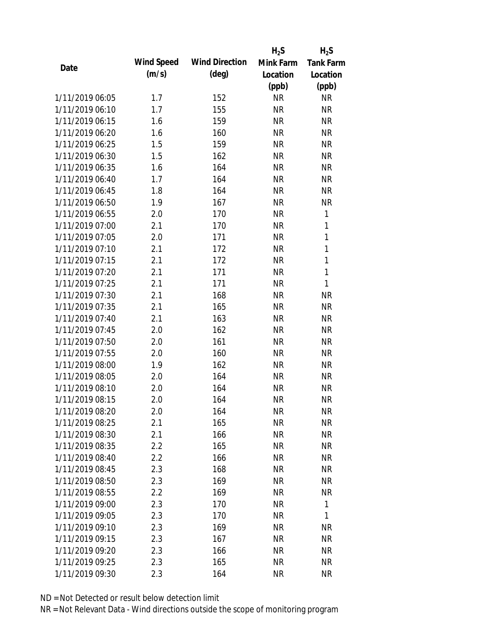|                 |            |                       | $H_2S$    | $H_2S$           |
|-----------------|------------|-----------------------|-----------|------------------|
|                 | Wind Speed | <b>Wind Direction</b> | Mink Farm | <b>Tank Farm</b> |
| Date            | (m/s)      | $(\text{deg})$        | Location  | Location         |
|                 |            |                       | (ppb)     | (ppb)            |
| 1/11/2019 06:05 | 1.7        | 152                   | <b>NR</b> | <b>NR</b>        |
| 1/11/2019 06:10 | 1.7        | 155                   | <b>NR</b> | <b>NR</b>        |
| 1/11/2019 06:15 | 1.6        | 159                   | <b>NR</b> | <b>NR</b>        |
| 1/11/2019 06:20 | 1.6        | 160                   | <b>NR</b> | <b>NR</b>        |
| 1/11/2019 06:25 | 1.5        | 159                   | <b>NR</b> | <b>NR</b>        |
| 1/11/2019 06:30 | 1.5        | 162                   | <b>NR</b> | <b>NR</b>        |
| 1/11/2019 06:35 | 1.6        | 164                   | <b>NR</b> | <b>NR</b>        |
| 1/11/2019 06:40 | 1.7        | 164                   | <b>NR</b> | <b>NR</b>        |
| 1/11/2019 06:45 | 1.8        | 164                   | <b>NR</b> | <b>NR</b>        |
| 1/11/2019 06:50 | 1.9        | 167                   | <b>NR</b> | <b>NR</b>        |
| 1/11/2019 06:55 | 2.0        | 170                   | <b>NR</b> | 1                |
| 1/11/2019 07:00 | 2.1        | 170                   | <b>NR</b> | 1                |
| 1/11/2019 07:05 | 2.0        | 171                   | <b>NR</b> | 1                |
| 1/11/2019 07:10 | 2.1        | 172                   | <b>NR</b> | $\mathbf{1}$     |
| 1/11/2019 07:15 | 2.1        | 172                   | <b>NR</b> | $\mathbf{1}$     |
| 1/11/2019 07:20 | 2.1        | 171                   | <b>NR</b> | 1                |
| 1/11/2019 07:25 | 2.1        | 171                   | <b>NR</b> | 1                |
| 1/11/2019 07:30 | 2.1        | 168                   | <b>NR</b> | <b>NR</b>        |
| 1/11/2019 07:35 | 2.1        | 165                   | <b>NR</b> | <b>NR</b>        |
| 1/11/2019 07:40 | 2.1        | 163                   | <b>NR</b> | <b>NR</b>        |
| 1/11/2019 07:45 | 2.0        | 162                   | <b>NR</b> | <b>NR</b>        |
| 1/11/2019 07:50 | 2.0        | 161                   | <b>NR</b> | <b>NR</b>        |
| 1/11/2019 07:55 | 2.0        | 160                   | <b>NR</b> | <b>NR</b>        |
| 1/11/2019 08:00 | 1.9        | 162                   | <b>NR</b> | <b>NR</b>        |
| 1/11/2019 08:05 | 2.0        | 164                   | <b>NR</b> | <b>NR</b>        |
| 1/11/2019 08:10 | 2.0        | 164                   | <b>NR</b> | <b>NR</b>        |
| 1/11/2019 08:15 | 2.0        | 164                   | <b>NR</b> | <b>NR</b>        |
| 1/11/2019 08:20 | 2.0        | 164                   | <b>NR</b> | <b>NR</b>        |
| 1/11/2019 08:25 | 2.1        | 165                   | <b>NR</b> | <b>NR</b>        |
| 1/11/2019 08:30 | 2.1        | 166                   | NR        | NR               |
| 1/11/2019 08:35 | 2.2        | 165                   | <b>NR</b> | <b>NR</b>        |
| 1/11/2019 08:40 | 2.2        | 166                   | <b>NR</b> | NR               |
| 1/11/2019 08:45 | 2.3        | 168                   | <b>NR</b> | <b>NR</b>        |
| 1/11/2019 08:50 | 2.3        | 169                   | <b>NR</b> | NR               |
| 1/11/2019 08:55 | 2.2        | 169                   | <b>NR</b> | <b>NR</b>        |
| 1/11/2019 09:00 | 2.3        | 170                   | <b>NR</b> | 1                |
| 1/11/2019 09:05 | 2.3        | 170                   | <b>NR</b> | 1                |
| 1/11/2019 09:10 | 2.3        | 169                   | <b>NR</b> | <b>NR</b>        |
| 1/11/2019 09:15 | 2.3        | 167                   | <b>NR</b> | NR               |
| 1/11/2019 09:20 | 2.3        | 166                   | <b>NR</b> | NR               |
| 1/11/2019 09:25 |            |                       | <b>NR</b> | <b>NR</b>        |
|                 | 2.3        | 165                   |           |                  |
| 1/11/2019 09:30 | 2.3        | 164                   | <b>NR</b> | <b>NR</b>        |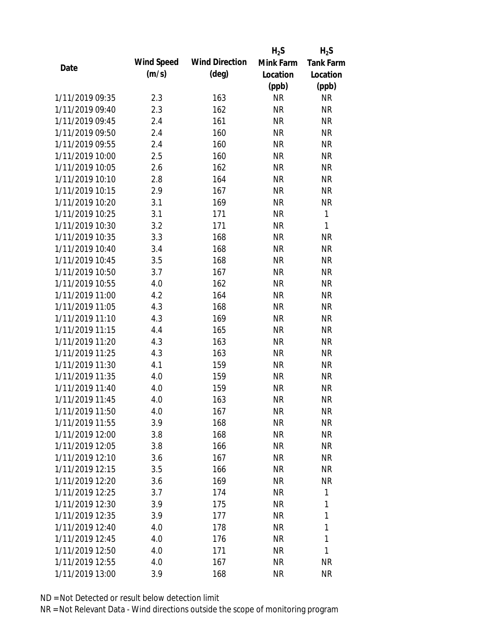|                 |            |                       | $H_2S$    | $H_2S$           |
|-----------------|------------|-----------------------|-----------|------------------|
| Date            | Wind Speed | <b>Wind Direction</b> | Mink Farm | <b>Tank Farm</b> |
|                 | (m/s)      | $(\text{deg})$        | Location  | Location         |
|                 |            |                       | (ppb)     | (ppb)            |
| 1/11/2019 09:35 | 2.3        | 163                   | <b>NR</b> | <b>NR</b>        |
| 1/11/2019 09:40 | 2.3        | 162                   | <b>NR</b> | <b>NR</b>        |
| 1/11/2019 09:45 | 2.4        | 161                   | <b>NR</b> | <b>NR</b>        |
| 1/11/2019 09:50 | 2.4        | 160                   | <b>NR</b> | <b>NR</b>        |
| 1/11/2019 09:55 | 2.4        | 160                   | <b>NR</b> | <b>NR</b>        |
| 1/11/2019 10:00 | 2.5        | 160                   | <b>NR</b> | <b>NR</b>        |
| 1/11/2019 10:05 | 2.6        | 162                   | <b>NR</b> | <b>NR</b>        |
| 1/11/2019 10:10 | 2.8        | 164                   | <b>NR</b> | <b>NR</b>        |
| 1/11/2019 10:15 | 2.9        | 167                   | <b>NR</b> | <b>NR</b>        |
| 1/11/2019 10:20 | 3.1        | 169                   | <b>NR</b> | <b>NR</b>        |
| 1/11/2019 10:25 | 3.1        | 171                   | <b>NR</b> | 1                |
| 1/11/2019 10:30 | 3.2        | 171                   | <b>NR</b> | 1                |
| 1/11/2019 10:35 | 3.3        | 168                   | <b>NR</b> | <b>NR</b>        |
| 1/11/2019 10:40 | 3.4        | 168                   | <b>NR</b> | <b>NR</b>        |
| 1/11/2019 10:45 | 3.5        | 168                   | <b>NR</b> | <b>NR</b>        |
| 1/11/2019 10:50 | 3.7        | 167                   | <b>NR</b> | <b>NR</b>        |
| 1/11/2019 10:55 | 4.0        | 162                   | <b>NR</b> | <b>NR</b>        |
| 1/11/2019 11:00 | 4.2        | 164                   | <b>NR</b> | <b>NR</b>        |
| 1/11/2019 11:05 | 4.3        | 168                   | <b>NR</b> | <b>NR</b>        |
| 1/11/2019 11:10 | 4.3        | 169                   | <b>NR</b> | <b>NR</b>        |
| 1/11/2019 11:15 | 4.4        | 165                   | <b>NR</b> | <b>NR</b>        |
| 1/11/2019 11:20 | 4.3        | 163                   | <b>NR</b> | <b>NR</b>        |
| 1/11/2019 11:25 | 4.3        | 163                   | <b>NR</b> | <b>NR</b>        |
| 1/11/2019 11:30 | 4.1        | 159                   | <b>NR</b> | <b>NR</b>        |
| 1/11/2019 11:35 | 4.0        | 159                   | <b>NR</b> | <b>NR</b>        |
| 1/11/2019 11:40 | 4.0        | 159                   | <b>NR</b> | <b>NR</b>        |
| 1/11/2019 11:45 | 4.0        | 163                   | <b>NR</b> | <b>NR</b>        |
| 1/11/2019 11:50 | 4.0        | 167                   | <b>NR</b> | <b>NR</b>        |
| 1/11/2019 11:55 | 3.9        | 168                   | <b>NR</b> | <b>NR</b>        |
| 1/11/2019 12:00 | 3.8        | 168                   | NR        | NR               |
| 1/11/2019 12:05 | 3.8        | 166                   | <b>NR</b> | <b>NR</b>        |
| 1/11/2019 12:10 | 3.6        | 167                   | <b>NR</b> | NR               |
| 1/11/2019 12:15 | 3.5        | 166                   | <b>NR</b> | NR               |
| 1/11/2019 12:20 | 3.6        | 169                   | <b>NR</b> | <b>NR</b>        |
| 1/11/2019 12:25 | 3.7        | 174                   | <b>NR</b> | 1                |
| 1/11/2019 12:30 | 3.9        | 175                   | <b>NR</b> | 1                |
| 1/11/2019 12:35 | 3.9        | 177                   | <b>NR</b> | 1                |
| 1/11/2019 12:40 | 4.0        | 178                   | NR        | 1                |
| 1/11/2019 12:45 | 4.0        | 176                   | <b>NR</b> | 1                |
| 1/11/2019 12:50 | 4.0        | 171                   | <b>NR</b> | 1                |
| 1/11/2019 12:55 | 4.0        | 167                   | <b>NR</b> | <b>NR</b>        |
| 1/11/2019 13:00 | 3.9        | 168                   | <b>NR</b> | <b>NR</b>        |
|                 |            |                       |           |                  |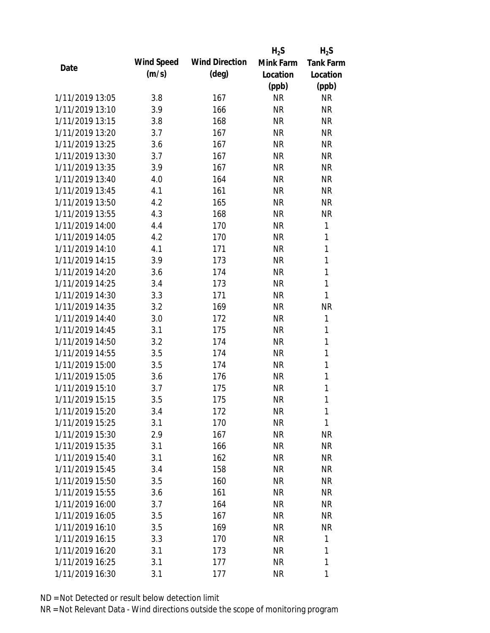|                 |            |                       | $H_2S$    | $H_2S$           |
|-----------------|------------|-----------------------|-----------|------------------|
| Date            | Wind Speed | <b>Wind Direction</b> | Mink Farm | <b>Tank Farm</b> |
|                 | (m/s)      | $(\text{deg})$        | Location  | Location         |
|                 |            |                       | (ppb)     | (ppb)            |
| 1/11/2019 13:05 | 3.8        | 167                   | <b>NR</b> | <b>NR</b>        |
| 1/11/2019 13:10 | 3.9        | 166                   | <b>NR</b> | <b>NR</b>        |
| 1/11/2019 13:15 | 3.8        | 168                   | <b>NR</b> | <b>NR</b>        |
| 1/11/2019 13:20 | 3.7        | 167                   | <b>NR</b> | <b>NR</b>        |
| 1/11/2019 13:25 | 3.6        | 167                   | <b>NR</b> | <b>NR</b>        |
| 1/11/2019 13:30 | 3.7        | 167                   | <b>NR</b> | <b>NR</b>        |
| 1/11/2019 13:35 | 3.9        | 167                   | <b>NR</b> | <b>NR</b>        |
| 1/11/2019 13:40 | 4.0        | 164                   | <b>NR</b> | <b>NR</b>        |
| 1/11/2019 13:45 | 4.1        | 161                   | <b>NR</b> | <b>NR</b>        |
| 1/11/2019 13:50 | 4.2        | 165                   | <b>NR</b> | <b>NR</b>        |
| 1/11/2019 13:55 | 4.3        | 168                   | <b>NR</b> | <b>NR</b>        |
| 1/11/2019 14:00 | 4.4        | 170                   | <b>NR</b> | 1                |
| 1/11/2019 14:05 | 4.2        | 170                   | <b>NR</b> | 1                |
| 1/11/2019 14:10 | 4.1        | 171                   | <b>NR</b> | 1                |
| 1/11/2019 14:15 | 3.9        | 173                   | <b>NR</b> | $\mathbf{1}$     |
| 1/11/2019 14:20 | 3.6        | 174                   | <b>NR</b> | 1                |
| 1/11/2019 14:25 | 3.4        | 173                   | <b>NR</b> | 1                |
| 1/11/2019 14:30 | 3.3        | 171                   | <b>NR</b> | 1                |
| 1/11/2019 14:35 | 3.2        | 169                   | <b>NR</b> | <b>NR</b>        |
| 1/11/2019 14:40 | 3.0        | 172                   | <b>NR</b> | 1                |
| 1/11/2019 14:45 | 3.1        | 175                   | <b>NR</b> | 1                |
| 1/11/2019 14:50 | 3.2        | 174                   | <b>NR</b> | $\mathbf{1}$     |
| 1/11/2019 14:55 | 3.5        | 174                   | <b>NR</b> | 1                |
| 1/11/2019 15:00 | 3.5        | 174                   | <b>NR</b> | $\mathbf{1}$     |
| 1/11/2019 15:05 | 3.6        | 176                   | <b>NR</b> | 1                |
| 1/11/2019 15:10 | 3.7        | 175                   | <b>NR</b> | 1                |
| 1/11/2019 15:15 | 3.5        | 175                   | <b>NR</b> | 1                |
| 1/11/2019 15:20 | 3.4        | 172                   | <b>NR</b> | 1                |
| 1/11/2019 15:25 | 3.1        | 170                   | <b>NR</b> | 1                |
| 1/11/2019 15:30 | 2.9        | 167                   | NR        | ΝR               |
| 1/11/2019 15:35 | 3.1        | 166                   | <b>NR</b> | <b>NR</b>        |
| 1/11/2019 15:40 | 3.1        | 162                   | <b>NR</b> | NR               |
| 1/11/2019 15:45 | 3.4        | 158                   | <b>NR</b> | NR               |
| 1/11/2019 15:50 | 3.5        | 160                   | <b>NR</b> | NR               |
| 1/11/2019 15:55 | 3.6        | 161                   | <b>NR</b> | NR               |
| 1/11/2019 16:00 | 3.7        | 164                   | <b>NR</b> | <b>NR</b>        |
| 1/11/2019 16:05 | 3.5        | 167                   | NR        | NR               |
| 1/11/2019 16:10 | 3.5        | 169                   | NR        | <b>NR</b>        |
| 1/11/2019 16:15 | 3.3        | 170                   | <b>NR</b> | 1                |
| 1/11/2019 16:20 | 3.1        | 173                   | <b>NR</b> | 1                |
| 1/11/2019 16:25 | 3.1        | 177                   | <b>NR</b> | 1                |
| 1/11/2019 16:30 |            |                       | <b>NR</b> | 1                |
|                 | 3.1        | 177                   |           |                  |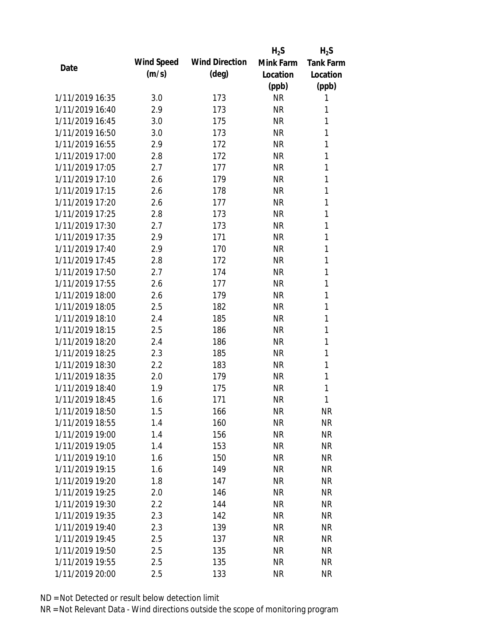|                 |            |                       | $H_2S$    | $H_2S$           |
|-----------------|------------|-----------------------|-----------|------------------|
| Date            | Wind Speed | <b>Wind Direction</b> | Mink Farm | <b>Tank Farm</b> |
|                 | (m/s)      | $(\text{deg})$        | Location  | Location         |
|                 |            |                       | (ppb)     | (ppb)            |
| 1/11/2019 16:35 | 3.0        | 173                   | <b>NR</b> | 1                |
| 1/11/2019 16:40 | 2.9        | 173                   | <b>NR</b> | 1                |
| 1/11/2019 16:45 | 3.0        | 175                   | <b>NR</b> | 1                |
| 1/11/2019 16:50 | 3.0        | 173                   | <b>NR</b> | 1                |
| 1/11/2019 16:55 | 2.9        | 172                   | <b>NR</b> | 1                |
| 1/11/2019 17:00 | 2.8        | 172                   | <b>NR</b> | 1                |
| 1/11/2019 17:05 | 2.7        | 177                   | <b>NR</b> | 1                |
| 1/11/2019 17:10 | 2.6        | 179                   | <b>NR</b> | 1                |
| 1/11/2019 17:15 | 2.6        | 178                   | <b>NR</b> | 1                |
| 1/11/2019 17:20 | 2.6        | 177                   | <b>NR</b> | 1                |
| 1/11/2019 17:25 | 2.8        | 173                   | <b>NR</b> | 1                |
| 1/11/2019 17:30 | 2.7        | 173                   | <b>NR</b> | 1                |
| 1/11/2019 17:35 | 2.9        | 171                   | <b>NR</b> | 1                |
| 1/11/2019 17:40 | 2.9        | 170                   | <b>NR</b> | 1                |
| 1/11/2019 17:45 | 2.8        | 172                   | <b>NR</b> | 1                |
| 1/11/2019 17:50 | 2.7        | 174                   | <b>NR</b> | 1                |
| 1/11/2019 17:55 | 2.6        | 177                   | <b>NR</b> | 1                |
| 1/11/2019 18:00 | 2.6        | 179                   | <b>NR</b> | 1                |
| 1/11/2019 18:05 | 2.5        | 182                   | <b>NR</b> | 1                |
| 1/11/2019 18:10 | 2.4        | 185                   | <b>NR</b> | 1                |
| 1/11/2019 18:15 | 2.5        | 186                   | <b>NR</b> | 1                |
| 1/11/2019 18:20 | 2.4        | 186                   | <b>NR</b> | 1                |
| 1/11/2019 18:25 | 2.3        | 185                   | <b>NR</b> | 1                |
| 1/11/2019 18:30 | 2.2        | 183                   | <b>NR</b> | 1                |
| 1/11/2019 18:35 | 2.0        | 179                   | <b>NR</b> | 1                |
| 1/11/2019 18:40 | 1.9        | 175                   | <b>NR</b> | 1                |
| 1/11/2019 18:45 | 1.6        | 171                   | <b>NR</b> | 1                |
| 1/11/2019 18:50 | 1.5        | 166                   | <b>NR</b> | <b>NR</b>        |
| 1/11/2019 18:55 | 1.4        | 160                   | <b>NR</b> | <b>NR</b>        |
| 1/11/2019 19:00 | 1.4        | 156                   | NR        | <b>NR</b>        |
| 1/11/2019 19:05 | 1.4        | 153                   | <b>NR</b> | <b>NR</b>        |
| 1/11/2019 19:10 | 1.6        | 150                   | <b>NR</b> | <b>NR</b>        |
| 1/11/2019 19:15 | 1.6        | 149                   | <b>NR</b> | <b>NR</b>        |
| 1/11/2019 19:20 | 1.8        | 147                   | <b>NR</b> | <b>NR</b>        |
| 1/11/2019 19:25 | 2.0        | 146                   | <b>NR</b> | <b>NR</b>        |
| 1/11/2019 19:30 | 2.2        | 144                   | <b>NR</b> | <b>NR</b>        |
| 1/11/2019 19:35 | 2.3        | 142                   | <b>NR</b> | <b>NR</b>        |
| 1/11/2019 19:40 | 2.3        | 139                   | <b>NR</b> | <b>NR</b>        |
| 1/11/2019 19:45 | 2.5        | 137                   | <b>NR</b> | <b>NR</b>        |
| 1/11/2019 19:50 | 2.5        | 135                   | <b>NR</b> | <b>NR</b>        |
| 1/11/2019 19:55 | 2.5        | 135                   | <b>NR</b> | <b>NR</b>        |
| 1/11/2019 20:00 | 2.5        | 133                   | <b>NR</b> | <b>NR</b>        |
|                 |            |                       |           |                  |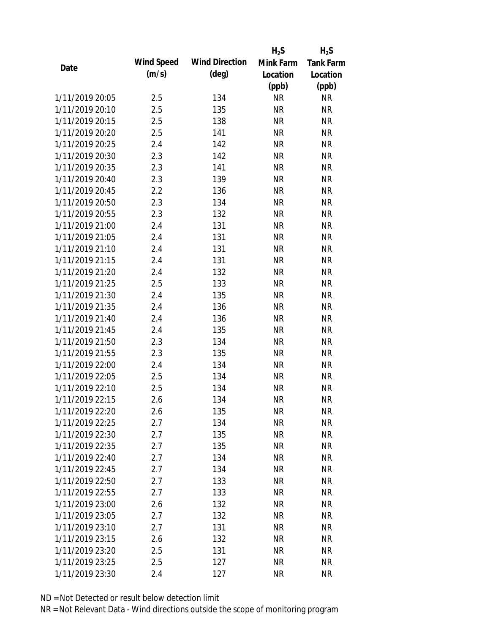|                 |            |                       | $H_2S$    | $H_2S$           |
|-----------------|------------|-----------------------|-----------|------------------|
| Date            | Wind Speed | <b>Wind Direction</b> | Mink Farm | <b>Tank Farm</b> |
|                 | (m/s)      | $(\text{deg})$        | Location  | Location         |
|                 |            |                       | (ppb)     | (ppb)            |
| 1/11/2019 20:05 | 2.5        | 134                   | <b>NR</b> | <b>NR</b>        |
| 1/11/2019 20:10 | 2.5        | 135                   | <b>NR</b> | <b>NR</b>        |
| 1/11/2019 20:15 | 2.5        | 138                   | <b>NR</b> | <b>NR</b>        |
| 1/11/2019 20:20 | 2.5        | 141                   | <b>NR</b> | <b>NR</b>        |
| 1/11/2019 20:25 | 2.4        | 142                   | <b>NR</b> | <b>NR</b>        |
| 1/11/2019 20:30 | 2.3        | 142                   | <b>NR</b> | <b>NR</b>        |
| 1/11/2019 20:35 | 2.3        | 141                   | <b>NR</b> | <b>NR</b>        |
| 1/11/2019 20:40 | 2.3        | 139                   | <b>NR</b> | <b>NR</b>        |
| 1/11/2019 20:45 | 2.2        | 136                   | <b>NR</b> | <b>NR</b>        |
| 1/11/2019 20:50 | 2.3        | 134                   | <b>NR</b> | <b>NR</b>        |
| 1/11/2019 20:55 | 2.3        | 132                   | <b>NR</b> | <b>NR</b>        |
| 1/11/2019 21:00 | 2.4        | 131                   | <b>NR</b> | <b>NR</b>        |
| 1/11/2019 21:05 | 2.4        | 131                   | <b>NR</b> | <b>NR</b>        |
| 1/11/2019 21:10 | 2.4        | 131                   | <b>NR</b> | <b>NR</b>        |
| 1/11/2019 21:15 | 2.4        | 131                   | <b>NR</b> | <b>NR</b>        |
| 1/11/2019 21:20 | 2.4        | 132                   | <b>NR</b> | <b>NR</b>        |
| 1/11/2019 21:25 | 2.5        | 133                   | <b>NR</b> | <b>NR</b>        |
| 1/11/2019 21:30 | 2.4        | 135                   | <b>NR</b> | <b>NR</b>        |
| 1/11/2019 21:35 | 2.4        | 136                   | <b>NR</b> | <b>NR</b>        |
| 1/11/2019 21:40 | 2.4        | 136                   | <b>NR</b> | <b>NR</b>        |
| 1/11/2019 21:45 | 2.4        | 135                   | <b>NR</b> | <b>NR</b>        |
| 1/11/2019 21:50 | 2.3        | 134                   | <b>NR</b> | <b>NR</b>        |
| 1/11/2019 21:55 | 2.3        | 135                   | <b>NR</b> | <b>NR</b>        |
| 1/11/2019 22:00 | 2.4        | 134                   | <b>NR</b> | <b>NR</b>        |
| 1/11/2019 22:05 | 2.5        | 134                   | <b>NR</b> | <b>NR</b>        |
| 1/11/2019 22:10 | 2.5        | 134                   | <b>NR</b> | <b>NR</b>        |
| 1/11/2019 22:15 | 2.6        | 134                   | <b>NR</b> | <b>NR</b>        |
| 1/11/2019 22:20 | 2.6        | 135                   | <b>NR</b> | <b>NR</b>        |
| 1/11/2019 22:25 | 2.7        | 134                   | <b>NR</b> | <b>NR</b>        |
| 1/11/2019 22:30 | 2.7        | 135                   | <b>NR</b> | NR               |
| 1/11/2019 22:35 | 2.7        | 135                   | <b>NR</b> | <b>NR</b>        |
| 1/11/2019 22:40 | 2.7        | 134                   | <b>NR</b> | NR               |
| 1/11/2019 22:45 | 2.7        | 134                   | <b>NR</b> | <b>NR</b>        |
| 1/11/2019 22:50 | 2.7        | 133                   | <b>NR</b> | NR               |
| 1/11/2019 22:55 | 2.7        | 133                   | <b>NR</b> | <b>NR</b>        |
| 1/11/2019 23:00 | 2.6        | 132                   | <b>NR</b> | <b>NR</b>        |
| 1/11/2019 23:05 | 2.7        | 132                   | <b>NR</b> | <b>NR</b>        |
| 1/11/2019 23:10 | 2.7        | 131                   | NR        | <b>NR</b>        |
| 1/11/2019 23:15 | 2.6        | 132                   | <b>NR</b> | <b>NR</b>        |
| 1/11/2019 23:20 | 2.5        | 131                   | <b>NR</b> | <b>NR</b>        |
| 1/11/2019 23:25 | 2.5        | 127                   | <b>NR</b> | <b>NR</b>        |
| 1/11/2019 23:30 | 2.4        | 127                   | <b>NR</b> | <b>NR</b>        |
|                 |            |                       |           |                  |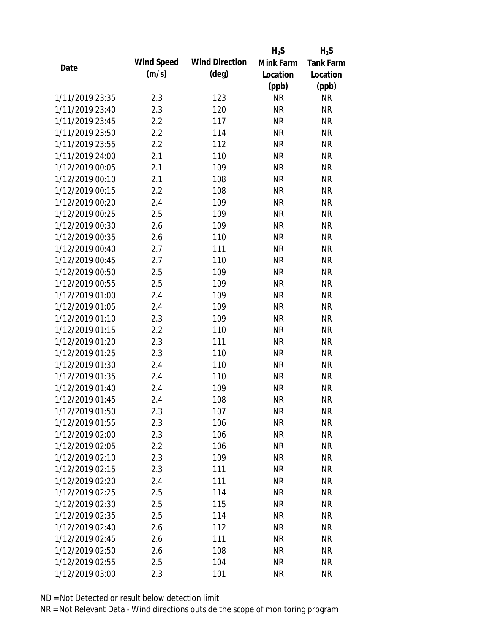|                                    |            |                       | $H_2S$    | $H_2S$           |
|------------------------------------|------------|-----------------------|-----------|------------------|
|                                    | Wind Speed | <b>Wind Direction</b> | Mink Farm | <b>Tank Farm</b> |
| Date                               | (m/s)      | $(\text{deg})$        | Location  | Location         |
|                                    |            |                       | (ppb)     | (ppb)            |
| 1/11/2019 23:35                    | 2.3        | 123                   | <b>NR</b> | <b>NR</b>        |
| 1/11/2019 23:40                    | 2.3        | 120                   | <b>NR</b> | <b>NR</b>        |
| 1/11/2019 23:45                    | 2.2        | 117                   | <b>NR</b> | <b>NR</b>        |
| 1/11/2019 23:50                    | 2.2        | 114                   | <b>NR</b> | <b>NR</b>        |
| 1/11/2019 23:55                    | 2.2        | 112                   | <b>NR</b> | <b>NR</b>        |
| 1/11/2019 24:00                    | 2.1        | 110                   | <b>NR</b> | <b>NR</b>        |
| 1/12/2019 00:05                    | 2.1        | 109                   | <b>NR</b> | <b>NR</b>        |
| 1/12/2019 00:10                    | 2.1        | 108                   | <b>NR</b> | <b>NR</b>        |
| 1/12/2019 00:15                    | 2.2        | 108                   | <b>NR</b> | <b>NR</b>        |
| 1/12/2019 00:20                    | 2.4        | 109                   | <b>NR</b> | <b>NR</b>        |
| 1/12/2019 00:25                    | 2.5        | 109                   | <b>NR</b> | <b>NR</b>        |
| 1/12/2019 00:30                    | 2.6        | 109                   | <b>NR</b> | <b>NR</b>        |
| 1/12/2019 00:35                    | 2.6        | 110                   | <b>NR</b> | <b>NR</b>        |
| 1/12/2019 00:40                    | 2.7        | 111                   | <b>NR</b> | <b>NR</b>        |
| 1/12/2019 00:45                    | 2.7        | 110                   | <b>NR</b> | <b>NR</b>        |
| 1/12/2019 00:50                    | 2.5        | 109                   | <b>NR</b> | <b>NR</b>        |
| 1/12/2019 00:55                    | 2.5        | 109                   | <b>NR</b> | <b>NR</b>        |
| 1/12/2019 01:00                    | 2.4        | 109                   | <b>NR</b> | <b>NR</b>        |
| 1/12/2019 01:05                    | 2.4        | 109                   | <b>NR</b> | <b>NR</b>        |
| 1/12/2019 01:10                    | 2.3        | 109                   | <b>NR</b> | <b>NR</b>        |
| 1/12/2019 01:15                    | 2.2        | 110                   | <b>NR</b> | <b>NR</b>        |
| 1/12/2019 01:20                    | 2.3        | 111                   | <b>NR</b> | <b>NR</b>        |
| 1/12/2019 01:25                    | 2.3        | 110                   | <b>NR</b> | <b>NR</b>        |
| 1/12/2019 01:30                    | 2.4        | 110                   | <b>NR</b> | <b>NR</b>        |
| 1/12/2019 01:35                    | 2.4        | 110                   | <b>NR</b> | <b>NR</b>        |
| 1/12/2019 01:40                    | 2.4        | 109                   | <b>NR</b> | <b>NR</b>        |
| 1/12/2019 01:45                    | 2.4        | 108                   | <b>NR</b> | <b>NR</b>        |
| 1/12/2019 01:50                    | 2.3        | 107                   | <b>NR</b> | <b>NR</b>        |
| 1/12/2019 01:55                    | 2.3        | 106                   | <b>NR</b> | <b>NR</b>        |
| 1/12/2019 02:00                    | 2.3        | 106                   | <b>NR</b> | <b>NR</b>        |
| 1/12/2019 02:05                    | 2.2        | 106                   | <b>NR</b> | <b>NR</b>        |
| 1/12/2019 02:10                    | 2.3        | 109                   | <b>NR</b> | <b>NR</b>        |
| 1/12/2019 02:15                    | 2.3        | 111                   | <b>NR</b> | <b>NR</b>        |
| 1/12/2019 02:20                    | 2.4        | 111                   | <b>NR</b> | <b>NR</b>        |
| 1/12/2019 02:25                    | 2.5        | 114                   | <b>NR</b> | <b>NR</b>        |
| 1/12/2019 02:30                    | 2.5        | 115                   | <b>NR</b> | <b>NR</b>        |
| 1/12/2019 02:35                    | 2.5        | 114                   | <b>NR</b> | NR               |
|                                    |            |                       |           |                  |
| 1/12/2019 02:40<br>1/12/2019 02:45 | 2.6        | 112                   | <b>NR</b> | NR               |
|                                    | 2.6        | 111                   | <b>NR</b> | NR               |
| 1/12/2019 02:50                    | 2.6        | 108                   | <b>NR</b> | NR               |
| 1/12/2019 02:55                    | 2.5        | 104                   | <b>NR</b> | <b>NR</b>        |
| 1/12/2019 03:00                    | 2.3        | 101                   | <b>NR</b> | <b>NR</b>        |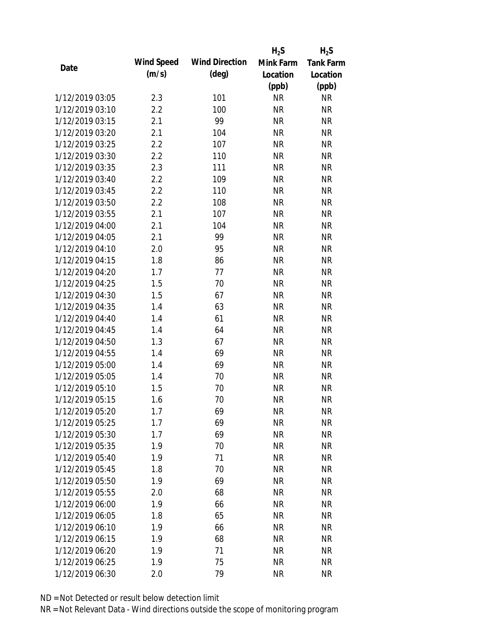|                 |            |                       | $H_2S$    | $H_2S$           |
|-----------------|------------|-----------------------|-----------|------------------|
| Date            | Wind Speed | <b>Wind Direction</b> | Mink Farm | <b>Tank Farm</b> |
|                 | (m/s)      | $(\text{deg})$        | Location  | Location         |
|                 |            |                       | (ppb)     | (ppb)            |
| 1/12/2019 03:05 | 2.3        | 101                   | <b>NR</b> | NR               |
| 1/12/2019 03:10 | 2.2        | 100                   | <b>NR</b> | <b>NR</b>        |
| 1/12/2019 03:15 | 2.1        | 99                    | <b>NR</b> | <b>NR</b>        |
| 1/12/2019 03:20 | 2.1        | 104                   | <b>NR</b> | <b>NR</b>        |
| 1/12/2019 03:25 | 2.2        | 107                   | <b>NR</b> | <b>NR</b>        |
| 1/12/2019 03:30 | 2.2        | 110                   | <b>NR</b> | <b>NR</b>        |
| 1/12/2019 03:35 | 2.3        | 111                   | <b>NR</b> | <b>NR</b>        |
| 1/12/2019 03:40 | 2.2        | 109                   | <b>NR</b> | <b>NR</b>        |
| 1/12/2019 03:45 | 2.2        | 110                   | <b>NR</b> | <b>NR</b>        |
| 1/12/2019 03:50 | 2.2        | 108                   | <b>NR</b> | <b>NR</b>        |
| 1/12/2019 03:55 | 2.1        | 107                   | <b>NR</b> | <b>NR</b>        |
| 1/12/2019 04:00 | 2.1        | 104                   | <b>NR</b> | <b>NR</b>        |
| 1/12/2019 04:05 | 2.1        | 99                    | <b>NR</b> | <b>NR</b>        |
| 1/12/2019 04:10 | 2.0        | 95                    | <b>NR</b> | <b>NR</b>        |
| 1/12/2019 04:15 | 1.8        | 86                    | <b>NR</b> | <b>NR</b>        |
| 1/12/2019 04:20 | 1.7        | 77                    | <b>NR</b> | <b>NR</b>        |
| 1/12/2019 04:25 | 1.5        | 70                    | <b>NR</b> | <b>NR</b>        |
| 1/12/2019 04:30 | 1.5        | 67                    | <b>NR</b> | <b>NR</b>        |
| 1/12/2019 04:35 | 1.4        | 63                    | <b>NR</b> | <b>NR</b>        |
| 1/12/2019 04:40 | 1.4        | 61                    | <b>NR</b> | <b>NR</b>        |
| 1/12/2019 04:45 | 1.4        | 64                    | <b>NR</b> | <b>NR</b>        |
| 1/12/2019 04:50 | 1.3        | 67                    | <b>NR</b> | <b>NR</b>        |
| 1/12/2019 04:55 | 1.4        | 69                    | <b>NR</b> | <b>NR</b>        |
| 1/12/2019 05:00 | 1.4        | 69                    | <b>NR</b> | <b>NR</b>        |
| 1/12/2019 05:05 | 1.4        | 70                    | <b>NR</b> | <b>NR</b>        |
| 1/12/2019 05:10 | 1.5        | 70                    | <b>NR</b> | <b>NR</b>        |
| 1/12/2019 05:15 | 1.6        | 70                    | <b>NR</b> | <b>NR</b>        |
| 1/12/2019 05:20 | 1.7        | 69                    | <b>NR</b> | <b>NR</b>        |
| 1/12/2019 05:25 | 1.7        | 69                    | <b>NR</b> | <b>NR</b>        |
| 1/12/2019 05:30 | 1.7        | 69                    | <b>NR</b> | <b>NR</b>        |
| 1/12/2019 05:35 | 1.9        | 70                    | <b>NR</b> | <b>NR</b>        |
| 1/12/2019 05:40 | 1.9        | 71                    | <b>NR</b> | NR               |
| 1/12/2019 05:45 | 1.8        | 70                    | <b>NR</b> | <b>NR</b>        |
| 1/12/2019 05:50 | 1.9        | 69                    | <b>NR</b> | <b>NR</b>        |
| 1/12/2019 05:55 | 2.0        | 68                    | <b>NR</b> | <b>NR</b>        |
|                 |            |                       |           |                  |
| 1/12/2019 06:00 | 1.9        | 66                    | <b>NR</b> | <b>NR</b>        |
| 1/12/2019 06:05 | 1.8        | 65                    | <b>NR</b> | <b>NR</b>        |
| 1/12/2019 06:10 | 1.9        | 66                    | NR        | <b>NR</b>        |
| 1/12/2019 06:15 | 1.9        | 68                    | <b>NR</b> | <b>NR</b>        |
| 1/12/2019 06:20 | 1.9        | 71                    | <b>NR</b> | <b>NR</b>        |
| 1/12/2019 06:25 | 1.9        | 75                    | <b>NR</b> | <b>NR</b>        |
| 1/12/2019 06:30 | 2.0        | 79                    | <b>NR</b> | <b>NR</b>        |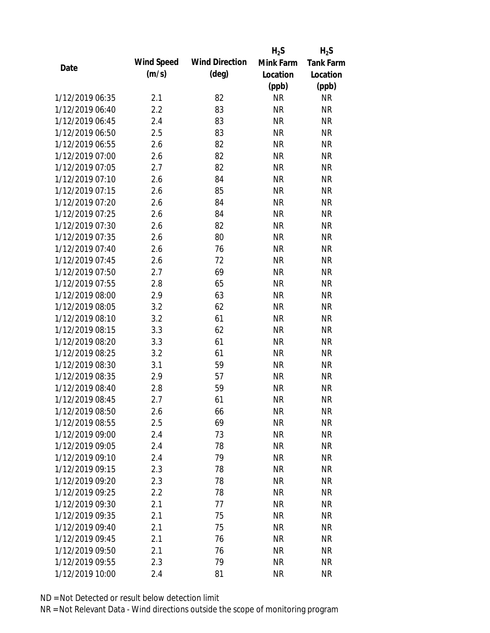|                 |            |                       | $H_2S$    | $H_2S$           |
|-----------------|------------|-----------------------|-----------|------------------|
| Date            | Wind Speed | <b>Wind Direction</b> | Mink Farm | <b>Tank Farm</b> |
|                 | (m/s)      | $(\text{deg})$        | Location  | Location         |
|                 |            |                       | (ppb)     | (ppb)            |
| 1/12/2019 06:35 | 2.1        | 82                    | <b>NR</b> | NR               |
| 1/12/2019 06:40 | 2.2        | 83                    | <b>NR</b> | <b>NR</b>        |
| 1/12/2019 06:45 | 2.4        | 83                    | <b>NR</b> | <b>NR</b>        |
| 1/12/2019 06:50 | 2.5        | 83                    | <b>NR</b> | <b>NR</b>        |
| 1/12/2019 06:55 | 2.6        | 82                    | <b>NR</b> | <b>NR</b>        |
| 1/12/2019 07:00 | 2.6        | 82                    | <b>NR</b> | <b>NR</b>        |
| 1/12/2019 07:05 | 2.7        | 82                    | <b>NR</b> | <b>NR</b>        |
| 1/12/2019 07:10 | 2.6        | 84                    | <b>NR</b> | <b>NR</b>        |
| 1/12/2019 07:15 | 2.6        | 85                    | <b>NR</b> | <b>NR</b>        |
| 1/12/2019 07:20 | 2.6        | 84                    | <b>NR</b> | <b>NR</b>        |
| 1/12/2019 07:25 | 2.6        | 84                    | <b>NR</b> | <b>NR</b>        |
| 1/12/2019 07:30 | 2.6        | 82                    | <b>NR</b> | <b>NR</b>        |
| 1/12/2019 07:35 | 2.6        | 80                    | <b>NR</b> | <b>NR</b>        |
| 1/12/2019 07:40 | 2.6        | 76                    | <b>NR</b> | <b>NR</b>        |
| 1/12/2019 07:45 | 2.6        | 72                    | <b>NR</b> | <b>NR</b>        |
| 1/12/2019 07:50 | 2.7        | 69                    | <b>NR</b> | <b>NR</b>        |
| 1/12/2019 07:55 | 2.8        | 65                    | <b>NR</b> | <b>NR</b>        |
| 1/12/2019 08:00 | 2.9        | 63                    | <b>NR</b> | <b>NR</b>        |
| 1/12/2019 08:05 | 3.2        | 62                    | <b>NR</b> | <b>NR</b>        |
| 1/12/2019 08:10 | 3.2        | 61                    | <b>NR</b> | <b>NR</b>        |
| 1/12/2019 08:15 | 3.3        | 62                    | <b>NR</b> | <b>NR</b>        |
| 1/12/2019 08:20 | 3.3        | 61                    | <b>NR</b> | <b>NR</b>        |
| 1/12/2019 08:25 | 3.2        | 61                    | <b>NR</b> | <b>NR</b>        |
| 1/12/2019 08:30 | 3.1        | 59                    | <b>NR</b> | <b>NR</b>        |
| 1/12/2019 08:35 | 2.9        | 57                    | <b>NR</b> | <b>NR</b>        |
| 1/12/2019 08:40 | 2.8        | 59                    | <b>NR</b> | <b>NR</b>        |
| 1/12/2019 08:45 | 2.7        | 61                    | <b>NR</b> | <b>NR</b>        |
| 1/12/2019 08:50 | 2.6        | 66                    | <b>NR</b> | <b>NR</b>        |
| 1/12/2019 08:55 | 2.5        | 69                    | <b>NR</b> | <b>NR</b>        |
| 1/12/2019 09:00 | 2.4        | 73                    | <b>NR</b> | NR               |
| 1/12/2019 09:05 | 2.4        | 78                    | <b>NR</b> | <b>NR</b>        |
| 1/12/2019 09:10 | 2.4        | 79                    | <b>NR</b> | NR               |
| 1/12/2019 09:15 | 2.3        | 78                    | <b>NR</b> | <b>NR</b>        |
| 1/12/2019 09:20 | 2.3        | 78                    | <b>NR</b> | NR               |
| 1/12/2019 09:25 | 2.2        | 78                    | <b>NR</b> | NR               |
| 1/12/2019 09:30 | 2.1        | 77                    | <b>NR</b> | <b>NR</b>        |
| 1/12/2019 09:35 | 2.1        | 75                    | <b>NR</b> | <b>NR</b>        |
| 1/12/2019 09:40 | 2.1        | 75                    | <b>NR</b> | <b>NR</b>        |
| 1/12/2019 09:45 | 2.1        | 76                    | <b>NR</b> | NR               |
| 1/12/2019 09:50 | 2.1        | 76                    | <b>NR</b> | NR               |
| 1/12/2019 09:55 | 2.3        | 79                    | <b>NR</b> | <b>NR</b>        |
| 1/12/2019 10:00 | 2.4        | 81                    | <b>NR</b> | <b>NR</b>        |
|                 |            |                       |           |                  |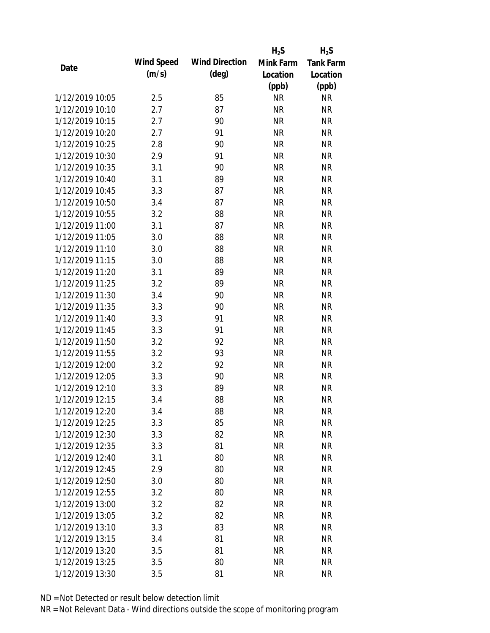|                 |            |                       | $H_2S$    | $H_2S$           |
|-----------------|------------|-----------------------|-----------|------------------|
| Date            | Wind Speed | <b>Wind Direction</b> | Mink Farm | <b>Tank Farm</b> |
|                 | (m/s)      | $(\text{deg})$        | Location  | Location         |
|                 |            |                       | (ppb)     | (ppb)            |
| 1/12/2019 10:05 | 2.5        | 85                    | <b>NR</b> | <b>NR</b>        |
| 1/12/2019 10:10 | 2.7        | 87                    | <b>NR</b> | <b>NR</b>        |
| 1/12/2019 10:15 | 2.7        | 90                    | <b>NR</b> | <b>NR</b>        |
| 1/12/2019 10:20 | 2.7        | 91                    | <b>NR</b> | <b>NR</b>        |
| 1/12/2019 10:25 | 2.8        | 90                    | <b>NR</b> | <b>NR</b>        |
| 1/12/2019 10:30 | 2.9        | 91                    | <b>NR</b> | <b>NR</b>        |
| 1/12/2019 10:35 | 3.1        | 90                    | <b>NR</b> | <b>NR</b>        |
| 1/12/2019 10:40 | 3.1        | 89                    | <b>NR</b> | <b>NR</b>        |
| 1/12/2019 10:45 | 3.3        | 87                    | <b>NR</b> | <b>NR</b>        |
| 1/12/2019 10:50 | 3.4        | 87                    | <b>NR</b> | <b>NR</b>        |
| 1/12/2019 10:55 | 3.2        | 88                    | <b>NR</b> | <b>NR</b>        |
| 1/12/2019 11:00 | 3.1        | 87                    | <b>NR</b> | <b>NR</b>        |
| 1/12/2019 11:05 | 3.0        | 88                    | <b>NR</b> | <b>NR</b>        |
| 1/12/2019 11:10 | 3.0        | 88                    | <b>NR</b> | <b>NR</b>        |
| 1/12/2019 11:15 | 3.0        | 88                    | <b>NR</b> | <b>NR</b>        |
| 1/12/2019 11:20 | 3.1        | 89                    | <b>NR</b> | <b>NR</b>        |
| 1/12/2019 11:25 | 3.2        | 89                    | <b>NR</b> | <b>NR</b>        |
| 1/12/2019 11:30 | 3.4        | 90                    | <b>NR</b> | <b>NR</b>        |
| 1/12/2019 11:35 | 3.3        | 90                    | <b>NR</b> | <b>NR</b>        |
| 1/12/2019 11:40 | 3.3        | 91                    | <b>NR</b> | <b>NR</b>        |
| 1/12/2019 11:45 | 3.3        | 91                    | <b>NR</b> | <b>NR</b>        |
| 1/12/2019 11:50 | 3.2        | 92                    | <b>NR</b> | <b>NR</b>        |
| 1/12/2019 11:55 | 3.2        | 93                    | <b>NR</b> | <b>NR</b>        |
| 1/12/2019 12:00 | 3.2        | 92                    | <b>NR</b> | <b>NR</b>        |
| 1/12/2019 12:05 | 3.3        | 90                    | <b>NR</b> | <b>NR</b>        |
| 1/12/2019 12:10 | 3.3        | 89                    | <b>NR</b> | <b>NR</b>        |
| 1/12/2019 12:15 | 3.4        | 88                    | <b>NR</b> | <b>NR</b>        |
| 1/12/2019 12:20 | 3.4        | 88                    | <b>NR</b> | <b>NR</b>        |
| 1/12/2019 12:25 | 3.3        | 85                    | <b>NR</b> | <b>NR</b>        |
| 1/12/2019 12:30 | 3.3        | 82                    | <b>NR</b> | NR               |
| 1/12/2019 12:35 | 3.3        | 81                    | <b>NR</b> | <b>NR</b>        |
| 1/12/2019 12:40 | 3.1        | 80                    | <b>NR</b> | NR               |
| 1/12/2019 12:45 | 2.9        | 80                    | <b>NR</b> | NR               |
| 1/12/2019 12:50 | 3.0        | 80                    | <b>NR</b> | NR               |
| 1/12/2019 12:55 | 3.2        | 80                    | <b>NR</b> | <b>NR</b>        |
| 1/12/2019 13:00 | 3.2        | 82                    | <b>NR</b> | <b>NR</b>        |
| 1/12/2019 13:05 | 3.2        | 82                    | <b>NR</b> | <b>NR</b>        |
| 1/12/2019 13:10 | 3.3        | 83                    | <b>NR</b> | <b>NR</b>        |
| 1/12/2019 13:15 | 3.4        | 81                    | <b>NR</b> | <b>NR</b>        |
| 1/12/2019 13:20 | 3.5        | 81                    | <b>NR</b> | <b>NR</b>        |
| 1/12/2019 13:25 | 3.5        | 80                    | <b>NR</b> | <b>NR</b>        |
| 1/12/2019 13:30 |            | 81                    | <b>NR</b> | <b>NR</b>        |
|                 | 3.5        |                       |           |                  |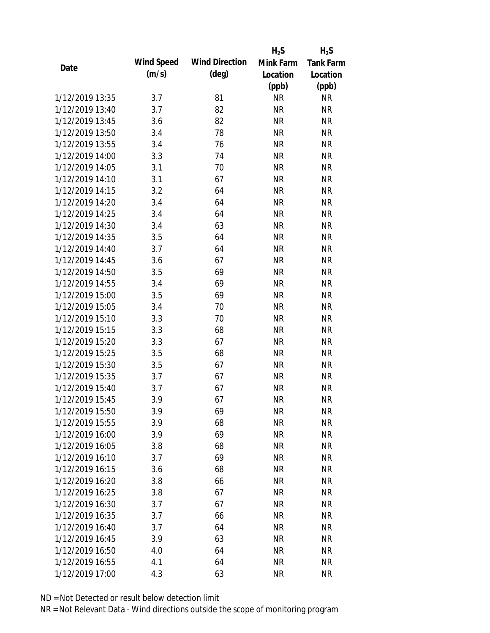|                 |            |                       | $H_2S$    | $H_2S$           |
|-----------------|------------|-----------------------|-----------|------------------|
| Date            | Wind Speed | <b>Wind Direction</b> | Mink Farm | <b>Tank Farm</b> |
|                 | (m/s)      | $(\text{deg})$        | Location  | Location         |
|                 |            |                       | (ppb)     | (ppb)            |
| 1/12/2019 13:35 | 3.7        | 81                    | <b>NR</b> | NR               |
| 1/12/2019 13:40 | 3.7        | 82                    | <b>NR</b> | <b>NR</b>        |
| 1/12/2019 13:45 | 3.6        | 82                    | <b>NR</b> | <b>NR</b>        |
| 1/12/2019 13:50 | 3.4        | 78                    | <b>NR</b> | <b>NR</b>        |
| 1/12/2019 13:55 | 3.4        | 76                    | <b>NR</b> | <b>NR</b>        |
| 1/12/2019 14:00 | 3.3        | 74                    | <b>NR</b> | <b>NR</b>        |
| 1/12/2019 14:05 | 3.1        | 70                    | <b>NR</b> | <b>NR</b>        |
| 1/12/2019 14:10 | 3.1        | 67                    | <b>NR</b> | <b>NR</b>        |
| 1/12/2019 14:15 | 3.2        | 64                    | <b>NR</b> | <b>NR</b>        |
| 1/12/2019 14:20 | 3.4        | 64                    | <b>NR</b> | <b>NR</b>        |
| 1/12/2019 14:25 | 3.4        | 64                    | <b>NR</b> | <b>NR</b>        |
| 1/12/2019 14:30 | 3.4        | 63                    | <b>NR</b> | <b>NR</b>        |
| 1/12/2019 14:35 | 3.5        | 64                    | <b>NR</b> | <b>NR</b>        |
| 1/12/2019 14:40 | 3.7        | 64                    | <b>NR</b> | <b>NR</b>        |
| 1/12/2019 14:45 | 3.6        | 67                    | <b>NR</b> | <b>NR</b>        |
| 1/12/2019 14:50 | 3.5        | 69                    | <b>NR</b> | <b>NR</b>        |
| 1/12/2019 14:55 | 3.4        | 69                    | <b>NR</b> | <b>NR</b>        |
| 1/12/2019 15:00 | 3.5        | 69                    | <b>NR</b> | <b>NR</b>        |
| 1/12/2019 15:05 | 3.4        | 70                    | <b>NR</b> | <b>NR</b>        |
| 1/12/2019 15:10 | 3.3        | 70                    | <b>NR</b> | <b>NR</b>        |
| 1/12/2019 15:15 | 3.3        | 68                    | <b>NR</b> | <b>NR</b>        |
| 1/12/2019 15:20 | 3.3        | 67                    | <b>NR</b> | <b>NR</b>        |
| 1/12/2019 15:25 | 3.5        | 68                    | <b>NR</b> | <b>NR</b>        |
| 1/12/2019 15:30 | 3.5        | 67                    | <b>NR</b> | <b>NR</b>        |
| 1/12/2019 15:35 | 3.7        | 67                    | <b>NR</b> | <b>NR</b>        |
| 1/12/2019 15:40 | 3.7        | 67                    | <b>NR</b> | <b>NR</b>        |
| 1/12/2019 15:45 | 3.9        | 67                    | <b>NR</b> | <b>NR</b>        |
| 1/12/2019 15:50 | 3.9        | 69                    | <b>NR</b> | <b>NR</b>        |
| 1/12/2019 15:55 | 3.9        | 68                    | <b>NR</b> | <b>NR</b>        |
| 1/12/2019 16:00 | 3.9        | 69                    | <b>NR</b> | NR               |
| 1/12/2019 16:05 | 3.8        | 68                    | <b>NR</b> | <b>NR</b>        |
| 1/12/2019 16:10 | 3.7        | 69                    | <b>NR</b> | NR               |
| 1/12/2019 16:15 | 3.6        | 68                    | <b>NR</b> | <b>NR</b>        |
| 1/12/2019 16:20 | 3.8        | 66                    | <b>NR</b> | NR               |
| 1/12/2019 16:25 | 3.8        | 67                    | <b>NR</b> | NR               |
| 1/12/2019 16:30 | 3.7        | 67                    | <b>NR</b> | <b>NR</b>        |
| 1/12/2019 16:35 | 3.7        | 66                    | <b>NR</b> | <b>NR</b>        |
| 1/12/2019 16:40 | 3.7        | 64                    | <b>NR</b> | <b>NR</b>        |
| 1/12/2019 16:45 | 3.9        | 63                    | <b>NR</b> | NR               |
| 1/12/2019 16:50 | 4.0        | 64                    | <b>NR</b> | NR               |
| 1/12/2019 16:55 | 4.1        | 64                    | <b>NR</b> | <b>NR</b>        |
| 1/12/2019 17:00 | 4.3        | 63                    | <b>NR</b> | <b>NR</b>        |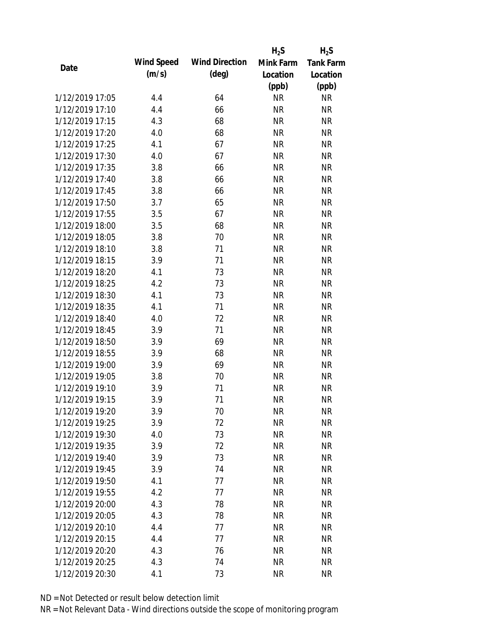|                 |            |                       | $H_2S$    | $H_2S$           |
|-----------------|------------|-----------------------|-----------|------------------|
| Date            | Wind Speed | <b>Wind Direction</b> | Mink Farm | <b>Tank Farm</b> |
|                 | (m/s)      | $(\text{deg})$        | Location  | Location         |
|                 |            |                       | (ppb)     | (ppb)            |
| 1/12/2019 17:05 | 4.4        | 64                    | <b>NR</b> | NR               |
| 1/12/2019 17:10 | 4.4        | 66                    | <b>NR</b> | <b>NR</b>        |
| 1/12/2019 17:15 | 4.3        | 68                    | <b>NR</b> | <b>NR</b>        |
| 1/12/2019 17:20 | 4.0        | 68                    | <b>NR</b> | <b>NR</b>        |
| 1/12/2019 17:25 | 4.1        | 67                    | <b>NR</b> | <b>NR</b>        |
| 1/12/2019 17:30 | 4.0        | 67                    | <b>NR</b> | <b>NR</b>        |
| 1/12/2019 17:35 | 3.8        | 66                    | <b>NR</b> | <b>NR</b>        |
| 1/12/2019 17:40 | 3.8        | 66                    | <b>NR</b> | <b>NR</b>        |
| 1/12/2019 17:45 | 3.8        | 66                    | <b>NR</b> | <b>NR</b>        |
| 1/12/2019 17:50 | 3.7        | 65                    | <b>NR</b> | <b>NR</b>        |
| 1/12/2019 17:55 | 3.5        | 67                    | <b>NR</b> | <b>NR</b>        |
| 1/12/2019 18:00 | 3.5        | 68                    | <b>NR</b> | <b>NR</b>        |
| 1/12/2019 18:05 | 3.8        | 70                    | <b>NR</b> | <b>NR</b>        |
| 1/12/2019 18:10 | 3.8        | 71                    | <b>NR</b> | <b>NR</b>        |
| 1/12/2019 18:15 | 3.9        | 71                    | <b>NR</b> | <b>NR</b>        |
| 1/12/2019 18:20 | 4.1        | 73                    | <b>NR</b> | <b>NR</b>        |
| 1/12/2019 18:25 | 4.2        | 73                    | <b>NR</b> | <b>NR</b>        |
| 1/12/2019 18:30 | 4.1        | 73                    | <b>NR</b> | <b>NR</b>        |
| 1/12/2019 18:35 | 4.1        | 71                    | <b>NR</b> | <b>NR</b>        |
| 1/12/2019 18:40 | 4.0        | 72                    | <b>NR</b> | <b>NR</b>        |
| 1/12/2019 18:45 | 3.9        | 71                    | <b>NR</b> | <b>NR</b>        |
| 1/12/2019 18:50 | 3.9        | 69                    | <b>NR</b> | <b>NR</b>        |
| 1/12/2019 18:55 | 3.9        | 68                    | <b>NR</b> | <b>NR</b>        |
| 1/12/2019 19:00 | 3.9        | 69                    | <b>NR</b> | <b>NR</b>        |
| 1/12/2019 19:05 | 3.8        | 70                    | <b>NR</b> | <b>NR</b>        |
| 1/12/2019 19:10 | 3.9        | 71                    | <b>NR</b> | <b>NR</b>        |
| 1/12/2019 19:15 | 3.9        | 71                    | <b>NR</b> | <b>NR</b>        |
| 1/12/2019 19:20 | 3.9        | 70                    | <b>NR</b> | <b>NR</b>        |
| 1/12/2019 19:25 | 3.9        | 72                    | <b>NR</b> | <b>NR</b>        |
| 1/12/2019 19:30 | 4.0        | 73                    | <b>NR</b> | NR               |
| 1/12/2019 19:35 | 3.9        | 72                    | <b>NR</b> | <b>NR</b>        |
| 1/12/2019 19:40 | 3.9        | 73                    | <b>NR</b> | NR               |
| 1/12/2019 19:45 | 3.9        | 74                    | <b>NR</b> | NR               |
| 1/12/2019 19:50 | 4.1        | 77                    | <b>NR</b> | NR               |
| 1/12/2019 19:55 | 4.2        | 77                    | <b>NR</b> | <b>NR</b>        |
| 1/12/2019 20:00 | 4.3        | 78                    | <b>NR</b> | <b>NR</b>        |
| 1/12/2019 20:05 | 4.3        | 78                    | <b>NR</b> | <b>NR</b>        |
| 1/12/2019 20:10 | 4.4        | 77                    | <b>NR</b> | <b>NR</b>        |
| 1/12/2019 20:15 | 4.4        | 77                    | <b>NR</b> | <b>NR</b>        |
| 1/12/2019 20:20 | 4.3        | 76                    | <b>NR</b> | NR               |
| 1/12/2019 20:25 | 4.3        | 74                    | <b>NR</b> | <b>NR</b>        |
| 1/12/2019 20:30 | 4.1        | 73                    | <b>NR</b> | <b>NR</b>        |
|                 |            |                       |           |                  |